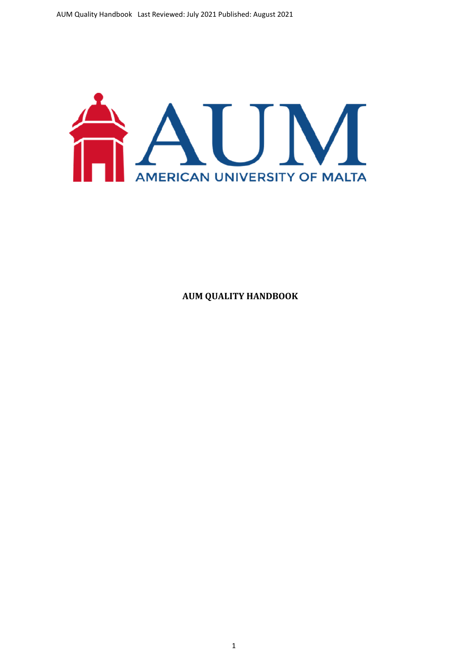

**AUM QUALITY HANDBOOK**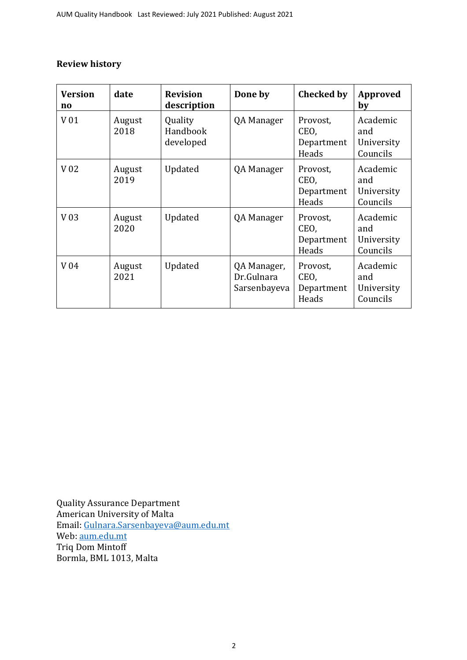# **Review history**

| <b>Version</b><br>$\mathbf{n}\mathbf{o}$ | date           | <b>Revision</b><br>description   | Done by                                   | <b>Checked by</b>                       | <b>Approved</b><br>by                     |
|------------------------------------------|----------------|----------------------------------|-------------------------------------------|-----------------------------------------|-------------------------------------------|
| V 01                                     | August<br>2018 | Quality<br>Handbook<br>developed | QA Manager                                | Provost,<br>CEO,<br>Department<br>Heads | Academic<br>and<br>University<br>Councils |
| V <sub>02</sub>                          | August<br>2019 | Updated                          | QA Manager                                | Provost,<br>CEO,<br>Department<br>Heads | Academic<br>and<br>University<br>Councils |
| V <sub>03</sub>                          | August<br>2020 | Updated                          | QA Manager                                | Provost,<br>CEO,<br>Department<br>Heads | Academic<br>and<br>University<br>Councils |
| V 04                                     | August<br>2021 | Updated                          | QA Manager,<br>Dr.Gulnara<br>Sarsenbayeva | Provost,<br>CEO,<br>Department<br>Heads | Academic<br>and<br>University<br>Councils |

Quality Assurance Department American University of Malta Email: [Gulnara.Sarsenbayeva@aum.edu.mt](mailto:Gulnara.Sarsenbayeva@aum.edu.mt) Web: [aum.edu.mt](http://aum.edu.mt/) Triq Dom Mintoff Bormla, BML 1013, Malta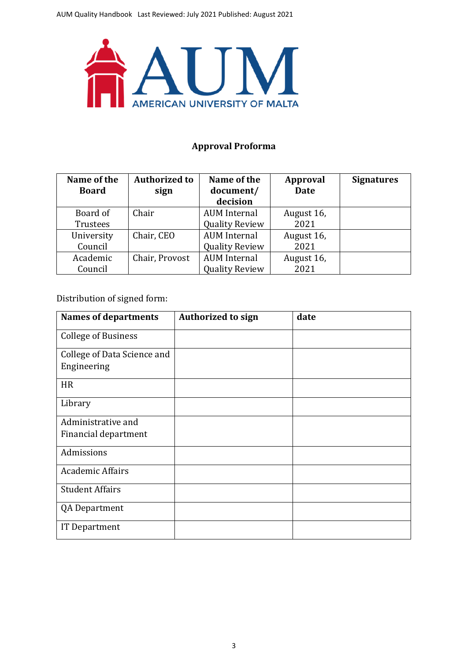

# **Approval Proforma**

| Name of the<br><b>Board</b> | <b>Authorized to</b><br>sign | Name of the<br>document/ | Approval<br><b>Date</b> | <b>Signatures</b> |
|-----------------------------|------------------------------|--------------------------|-------------------------|-------------------|
|                             |                              | decision                 |                         |                   |
| Board of                    | Chair                        | <b>AUM</b> Internal      | August 16,              |                   |
| Trustees                    |                              | <b>Quality Review</b>    | 2021                    |                   |
| University                  | Chair, CEO                   | <b>AUM</b> Internal      | August 16,              |                   |
| Council                     |                              | <b>Quality Review</b>    | 2021                    |                   |
| Academic                    | Chair, Provost               | <b>AUM</b> Internal      | August 16,              |                   |
| Council                     |                              | <b>Quality Review</b>    | 2021                    |                   |

Distribution of signed form:

| <b>Names of departments</b> | <b>Authorized to sign</b> | date |
|-----------------------------|---------------------------|------|
| <b>College of Business</b>  |                           |      |
| College of Data Science and |                           |      |
| Engineering                 |                           |      |
| <b>HR</b>                   |                           |      |
| Library                     |                           |      |
| Administrative and          |                           |      |
| Financial department        |                           |      |
| Admissions                  |                           |      |
| <b>Academic Affairs</b>     |                           |      |
| <b>Student Affairs</b>      |                           |      |
| <b>QA Department</b>        |                           |      |
| <b>IT Department</b>        |                           |      |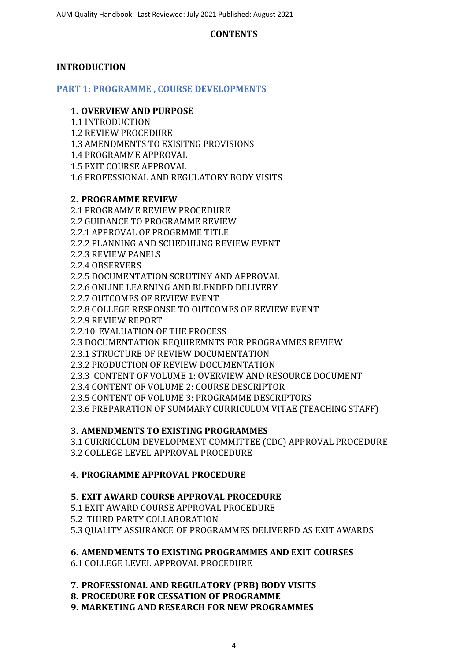# **CONTENTS**

# **INTRODUCTION**

**PART 1: PROGRAMME , COURSE DEVELOPMENTS**

# **1. OVERVIEW AND PURPOSE**

1.1 INTRODUCTION

1.2 REVIEW PROCEDURE

1.3 AMENDMENTS TO EXISITNG PROVISIONS

1.4 PROGRAMME APPROVAL

1.5 EXIT COURSE APPROVAL

1.6 PROFESSIONAL AND REGULATORY BODY VISITS

# **2. PROGRAMME REVIEW**

2.1 PROGRAMME REVIEW PROCEDURE 2.2 GUIDANCE TO PROGRAMME REVIEW 2.2.1 APPROVAL OF PROGRMME TITLE 2.2.2 PLANNING AND SCHEDULING REVIEW EVENT 2.2.3 REVIEW PANELS 2.2.4 OBSERVERS 2.2.5 DOCUMENTATION SCRUTINY AND APPROVAL 2.2.6 ONLINE LEARNING AND BLENDED DELIVERY 2.2.7 OUTCOMES OF REVIEW EVENT 2.2.8 COLLEGE RESPONSE TO OUTCOMES OF REVIEW EVENT 2.2.9 REVIEW REPORT 2.2.10 EVALUATION OF THE PROCESS 2.3 DOCUMENTATION REQUIREMNTS FOR PROGRAMMES REVIEW 2.3.1 STRUCTURE OF REVIEW DOCUMENTATION 2.3.2 PRODUCTION OF REVIEW DOCUMENTATION 2.3.3 CONTENT OF VOLUME 1: OVERVIEW AND RESOURCE DOCUMENT 2.3.4 CONTENT OF VOLUME 2: COURSE DESCRIPTOR 2.3.5 CONTENT OF VOLUME 3: PROGRAMME DESCRIPTORS 2.3.6 PREPARATION OF SUMMARY CURRICULUM VITAE (TEACHING STAFF)

# **3. AMENDMENTS TO EXISTING PROGRAMMES**

3.1 CURRICCLUM DEVELOPMENT COMMITTEE (CDC) APPROVAL PROCEDURE 3.2 COLLEGE LEVEL APPROVAL PROCEDURE

# **4. PROGRAMME APPROVAL PROCEDURE**

# **5. EXIT AWARD COURSE APPROVAL PROCEDURE**

5.1 EXIT AWARD COURSE APPROVAL PROCEDURE 5.2 THIRD PARTY COLLABORATION

5.3 QUALITY ASSURANCE OF PROGRAMMES DELIVERED AS EXIT AWARDS

**6. AMENDMENTS TO EXISTING PROGRAMMES AND EXIT COURSES**

6.1 COLLEGE LEVEL APPROVAL PROCEDURE

**7. PROFESSIONAL AND REGULATORY (PRB) BODY VISITS**

**8. PROCEDURE FOR CESSATION OF PROGRAMME**

**9. MARKETING AND RESEARCH FOR NEW PROGRAMMES**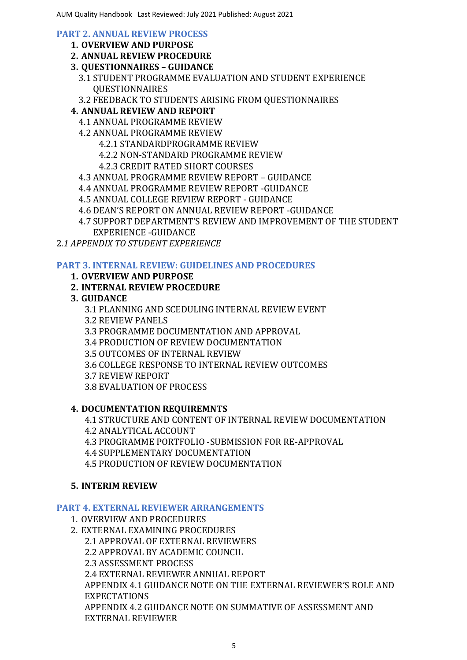### **PART 2. ANNUAL REVIEW PROCESS**

- **1. OVERVIEW AND PURPOSE**
- **2. ANNUAL REVIEW PROCEDURE**
- **3. QUESTIONNAIRES – GUIDANCE**
	- 3.1 STUDENT PROGRAMME EVALUATION AND STUDENT EXPERIENCE QUESTIONNAIRES
	- 3.2 FEEDBACK TO STUDENTS ARISING FROM QUESTIONNAIRES
- **4. ANNUAL REVIEW AND REPORT**
	- 4.1 ANNUAL PROGRAMME REVIEW
	- 4.2 ANNUAL PROGRAMME REVIEW
		- 4.2.1 STANDARDPROGRAMME REVIEW
		- 4.2.2 NON-STANDARD PROGRAMME REVIEW
		- 4.2.3 CREDIT RATED SHORT COURSES
	- 4.3 ANNUAL PROGRAMME REVIEW REPORT GUIDANCE
	- 4.4 ANNUAL PROGRAMME REVIEW REPORT -GUIDANCE
	- 4.5 ANNUAL COLLEGE REVIEW REPORT GUIDANCE
	- 4.6 DEAN'S REPORT ON ANNUAL REVIEW REPORT -GUIDANCE
	- 4.7 SUPPORT DEPARTMENT'S REVIEW AND IMPROVEMENT OF THE STUDENT
	- EXPERIENCE -GUIDANCE

2*.1 APPENDIX TO STUDENT EXPERIENCE* 

# **PART 3. INTERNAL REVIEW: GUIDELINES AND PROCEDURES**

- **1. OVERVIEW AND PURPOSE**
- **2. INTERNAL REVIEW PROCEDURE**
- **3. GUIDANCE**

3.1 PLANNING AND SCEDULING INTERNAL REVIEW EVENT 3.2 REVIEW PANELS 3.3 PROGRAMME DOCUMENTATION AND APPROVAL 3.4 PRODUCTION OF REVIEW DOCUMENTATION 3.5 OUTCOMES OF INTERNAL REVIEW 3.6 COLLEGE RESPONSE TO INTERNAL REVIEW OUTCOMES 3.7 REVIEW REPORT

3.8 EVALUATION OF PROCESS

# **4. DOCUMENTATION REQUIREMNTS**

4.1 STRUCTURE AND CONTENT OF INTERNAL REVIEW DOCUMENTATION 4.2 ANALYTICAL ACCOUNT

4.3 PROGRAMME PORTFOLIO -SUBMISSION FOR RE-APPROVAL

4.4 SUPPLEMENTARY DOCUMENTATION

4.5 PRODUCTION OF REVIEW DOCUMENTATION

# **5. INTERIM REVIEW**

# **PART 4. EXTERNAL REVIEWER ARRANGEMENTS**

- 1. OVERVIEW AND PROCEDURES
- 2. EXTERNAL EXAMINING PROCEDURES 2.1 APPROVAL OF EXTERNAL REVIEWERS 2.2 APPROVAL BY ACADEMIC COUNCIL 2.3 ASSESSMENT PROCESS 2.4 EXTERNAL REVIEWER ANNUAL REPORT APPENDIX 4.1 GUIDANCE NOTE ON THE EXTERNAL REVIEWER'S ROLE AND EXPECTATIONS APPENDIX 4.2 GUIDANCE NOTE ON SUMMATIVE OF ASSESSMENT AND EXTERNAL REVIEWER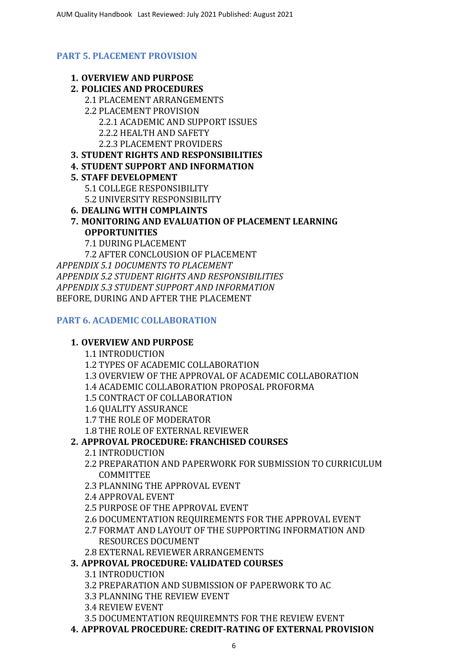# **PART 5. PLACEMENT PROVISION**

- **1. OVERVIEW AND PURPOSE**
- **2. POLICIES AND PROCEDURES**
	- 2.1 PLACEMENT ARRANGEMENTS
	- 2.2 PLACEMENT PROVISION 2.2.1 ACADEMIC AND SUPPORT ISSUES 2.2.2 HEALTH AND SAFETY
		- 2.2.3 PLACEMENT PROVIDERS
- **3. STUDENT RIGHTS AND RESPONSIBILITIES**
- **4. STUDENT SUPPORT AND INFORMATION**

# **5. STAFF DEVELOPMENT**

- 5.1 COLLEGE RESPONSIBILITY
- 5.2 UNIVERSITY RESPONSIBILITY
- **6. DEALING WITH COMPLAINTS**
- **7. MONITORING AND EVALUATION OF PLACEMENT LEARNING OPPORTUNITIES**
	- 7.1 DURING PLACEMENT

7.2 AFTER CONCLOUSION OF PLACEMENT *APPENDIX 5.1 DOCUMENTS TO PLACEMENT APPENDIX 5.2 STUDENT RIGHTS AND RESPONSIBILITIES APPENDIX 5.3 STUDENT SUPPORT AND INFORMATION* BEFORE, DURING AND AFTER THE PLACEMENT

# **PART 6. ACADEMIC COLLABORATION**

# **1. OVERVIEW AND PURPOSE**

1.1 INTRODUCTION

1.2 TYPES OF ACADEMIC COLLABORATION

- 1.3 OVERVIEW OF THE APPROVAL OF ACADEMIC COLLABORATION
- 1.4 ACADEMIC COLLABORATION PROPOSAL PROFORMA
- 1.5 CONTRACT OF COLLABORATION
- 1.6 QUALITY ASSURANCE
- 1.7 THE ROLE OF MODERATOR
- 1.8 THE ROLE OF EXTERNAL REVIEWER

# **2. APPROVAL PROCEDURE: FRANCHISED COURSES**

- 2.1 INTRODUCTION
- 2.2 PREPARATION AND PAPERWORK FOR SUBMISSION TO CURRICULUM COMMITTEE
- 2.3 PLANNING THE APPROVAL EVENT
- 2.4 APPROVAL EVENT
- 2.5 PURPOSE OF THE APPROVAL EVENT
- 2.6 DOCUMENTATION REQUIREMENTS FOR THE APPROVAL EVENT
- 2.7 FORMAT AND LAYOUT OF THE SUPPORTING INFORMATION AND RESOURCES DOCUMENT
- 2.8 EXTERNAL REVIEWER ARRANGEMENTS

# **3. APPROVAL PROCEDURE: VALIDATED COURSES**

- 3.1 INTRODUCTION
- 3.2 PREPARATION AND SUBMISSION OF PAPERWORK TO AC
- 3.3 PLANNING THE REVIEW EVENT
- 3.4 REVIEW EVENT
- 3.5 DOCUMENTATION REQUIREMNTS FOR THE REVIEW EVENT
- **4. APPROVAL PROCEDURE: CREDIT-RATING OF EXTERNAL PROVISION**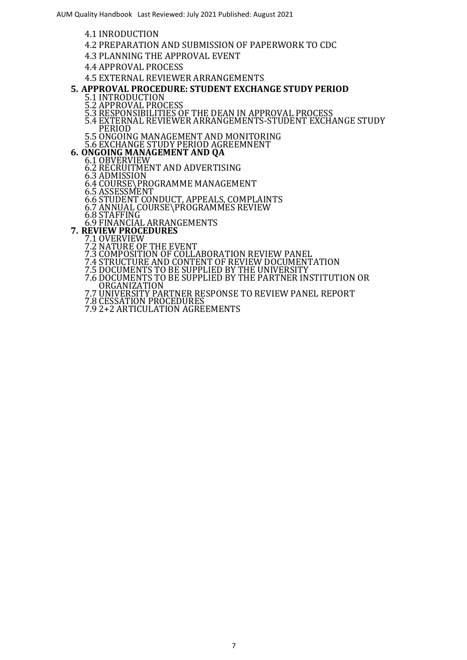- 4.1 INRODUCTION
- 4.2 PREPARATION AND SUBMISSION OF PAPERWORK TO CDC
- 4.3 PLANNING THE APPROVAL EVENT
- 4.4 APPROVAL PROCESS
- 4.5 EXTERNAL REVIEWER ARRANGEMENTS
- **5. APPROVAL PROCEDURE: STUDENT EXCHANGE STUDY PERIOD**
	- 5.1 INTRODUCTION
	- 5.2 APPROVAL PROCESS
	- 5.3 RESPONSIBILITIES OF THE DEAN IN APPROVAL PROCESS
	- 5.4 EXTERNAL REVIEWER ARRANGEMENTS-STUDENT EXCHANGE STUDY PERIOD
	- 5.5 ONGOING MANAGEMENT AND MONITORING
- 5.6 EXCHANGE STUDY PERIOD AGREEMNENT **6. ONGOING MANAGEMENT AND QA**
	- 6.1 OBVERVIEW
		- 6.2 RECRUITMENT AND ADVERTISING
		- 6.3 ADMISSION
		- 6.4 COURSE\PROGRAMME MANAGEMENT
		- 6.5 ASSESSMENT
		- 6.6 STUDENT CONDUCT, APPEALS, COMPLAINTS
		- 6.7 ANNUAL COURSE\PROGRAMMES REVIEW
		- 6.8 STAFFING
- 6.9 FINANCIAL ARRANGEMENTS **7. REVIEW PROCEDURES**
	- - 7.1 OVERVIEW
		- 7.2 NATURE OF THE EVENT
		- 7.3 COMPOSITION OF COLLABORATION REVIEW PANEL 7.4 STRUCTURE AND CONTENT OF REVIEW DOCUMENTATION
		- 7.5 DOCUMENTS TO BE SUPPLIED BY THE UNIVERSITY
		- 7.6 DOCUMENTS TO BE SUPPLIED BY THE PARTNER INSTITUTION OR ORGANIZATION
		- 7.7 UNIVERSITY PARTNER RESPONSE TO REVIEW PANEL REPORT
		- 7.8 CESSATION PROCEDURES
		- 7.9 2+2 ARTICULATION AGREEMENTS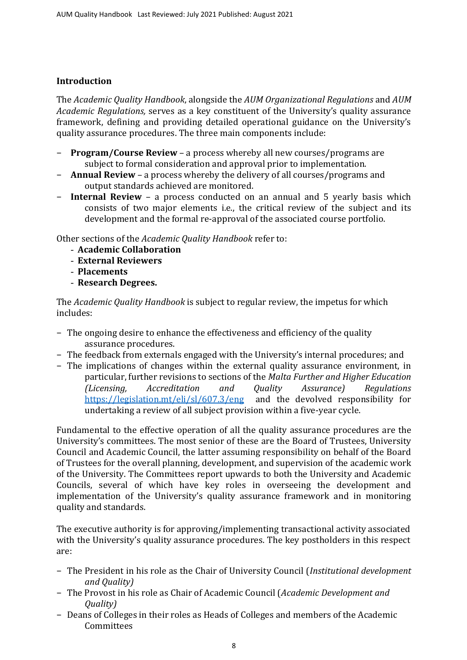# **Introduction**

The *Academic Quality Handbook*, alongside the *AUM [Organizational](http://www.rgu.ac.uk/academicaffairs/quality_assurance/page.cfm?pge=1827) Regulations* and *AUM [Academic](http://www.rgu.ac.uk/academicaffairs/quality_assurance/page.cfm?pge=1826) [Regulations,](http://www.rgu.ac.uk/academicaffairs/quality_assurance/page.cfm?pge=1826)* serves as a key constituent of the University's quality assurance framework, defining and providing detailed operational guidance on the University's quality assurance procedures. The three main components include:

- − **Program/Course Review** a process whereby all new courses/programs are subject to formal consideration and approval prior to implementation.
- − **Annual Review** a process whereby the delivery of all courses/programs and output standards achieved are monitored.
- − **Internal Review** a process conducted on an annual and 5 yearly basis which consists of two major elements i.e., the critical review of the subject and its development and the formal re-approval of the associated course portfolio.

Other sections of the *Academic Quality Handbook* refer to:

- **Academic Collaboration**
- **External Reviewers**
- **Placements**
- **Research Degrees.**

The *Academic Quality Handbook* is subject to regular review, the impetus for which includes:

- − The ongoing desire to enhance the effectiveness and efficiency of the quality assurance procedures.
- − The feedback from externals engaged with the University's internal procedures; and
- − The implications of changes within the external quality assurance environment, in particular, further revisions to sections of the *Malta Further and Higher Education (Licensing, Accreditation and Quality Assurance) Regulations* <https://legislation.mt/eli/sl/607.3/eng> and the devolved responsibility for undertaking a review of all subject provision within a five-year cycle.

Fundamental to the effective operation of all the quality assurance procedures are the University's committees. The most senior of these are the Board of Trustees, University Council and Academic Council, the latter assuming responsibility on behalf of the Board of Trustees for the overall planning, development, and supervision of the academic work of the University. The Committees report upwards to both the University and Academic Councils, several of which have key roles in overseeing the development and implementation of the University's quality assurance framework and in monitoring quality and standards.

The executive authority is for approving/implementing transactional activity associated with the University's quality assurance procedures. The key postholders in this respect are:

- − The President in his role as the Chair of University Council (*Institutional development and Quality)*
- − The Provost in his role as Chair of Academic Council (*Academic Development and Quality)*
- − Deans of Colleges in their roles as Heads of Colleges and members of the Academic Committees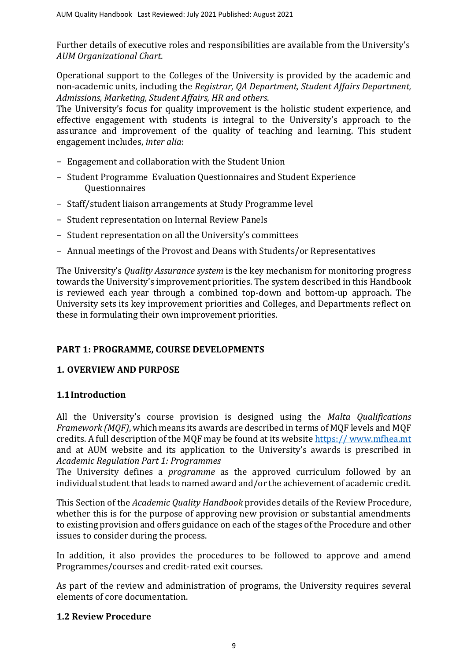Further details of executive roles and responsibilities are available from the University's *AUM [Organizational](http://www.rgu.ac.uk/governance/management/page.cfm?pge=38979) Chart.*

Operational support to the Colleges of the University is provided by the academic and non-academic units, including the *Registrar, QA Department, Student Affairs Department, Admissions, Marketing, Student Affairs, HR and others*.

The University's focus for quality improvement is the holistic student experience, and effective engagement with students is integral to the University's approach to the assurance and improvement of the quality of teaching and learning. This student engagement includes, *inter alia*:

- − Engagement and collaboration with the Student Union
- − Student Programme Evaluation Questionnaires and Student Experience Questionnaires
- − Staff/student liaison arrangements at Study Programme level
- − Student representation on Internal Review Panels
- − Student representation on all the University's committees
- − Annual meetings of the Provost and Deans with Students/or Representatives

The University's *[Quality Assurance system](http://www.rgu.ac.uk/academicaffairs/quality_enhancement/page.cfm?pge=34553)* is the key mechanism for monitoring progress towards the University's improvement priorities. The system described in this Handbook is reviewed each year through a combined top-down and bottom-up approach. The University sets its key improvement priorities and Colleges, and Departments reflect on these in formulating their own improvement priorities.

# **PART 1: PROGRAMME, COURSE DEVELOPMENTS**

# **1. OVERVIEW AND PURPOSE**

# **1.1Introduction**

All the University's course provision is designed using the *Malta Qualifications Framework (MQF)*, which means its awards are described in terms of MQF levels and MQF credits. A full description of the MQF may be found at its website https:// www.mfhea.mt and at AUM website and its application to the University's awards is prescribed in *[Academic Regulation Part 1: Programmes](http://www.rgu.ac.uk/academicaffairs/quality_assurance/page.cfm?pge=1826)*

The University defines a *programme* as the approved curriculum followed by an individual student that leads to named award and/or the achievement of academic credit.

This Section of the *Academic Quality Handbook* provides details of the Review Procedure, whether this is for the purpose of approving new provision or substantial amendments to existing provision and offers guidance on each of the stages of the Procedure and other issues to consider during the process.

In addition, it also provides the procedures to be followed to approve and amend Programmes/courses and credit-rated exit courses.

As part of the review and administration of programs, the University requires several elements of core documentation.

# **1.2 Review Procedure**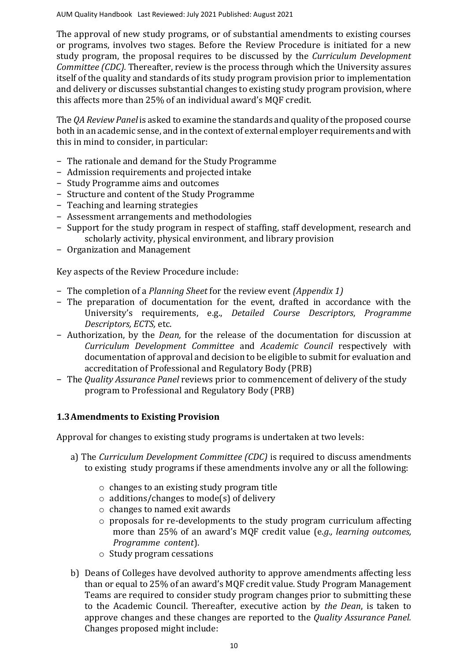The approval of new study programs, or of substantial amendments to existing courses or programs, involves two stages. Before the Review Procedure is initiated for a new study program, the proposal requires to be discussed by the *Curriculum Development Committee (CDC).* Thereafter, review is the process through which the University assures itself of the quality and standards of its study program provision prior to implementation and delivery or discusses substantial changes to existing study program provision, where this affects more than 25% of an individual award's MQF credit.

The *QA Review Panel* is asked to examine the standards and quality of the proposed course both in an academic sense, and in the context of external employer requirements and with this in mind to consider, in particular:

- − The rationale and demand for the Study Programme
- − Admission requirements and projected intake
- − Study Programme aims and outcomes
- − Structure and content of the Study Programme
- − Teaching and learning strategies
- − Assessment arrangements and methodologies
- − Support for the study program in respect of staffing, staff development, research and scholarly activity, physical environment, and library provision
- − Organization and Management

Key aspects of the Review Procedure include:

- − The completion of a *Planning Sheet* for the review event *(Appendix 1)*
- − The preparation of documentation for the event, drafted in accordance with the University's requirements, e.g., *Detailed Course Descriptors*, *Programme Descriptors, ECTS,* etc.
- − Authorization, by the *Dean,* for the release of the documentation for discussion at *Curriculum Development Committee* and *Academic Council* respectively with documentation of approval and decision to be eligible to submit for evaluation and accreditation of Professional and Regulatory Body (PRB)
- − The *Quality Assurance Panel* reviews prior to commencement of delivery of the study program to Professional and Regulatory Body (PRB)

# **1.3Amendments to Existing Provision**

Approval for changes to existing study programs is undertaken at two levels:

- a) The *Curriculum Development Committee (CDC)* is required to discuss amendments to existing study programs if these amendments involve any or all the following:
	- o changes to an existing study program title
	- $\circ$  additions/changes to mode(s) of delivery
	- o changes to named exit awards
	- o proposals for re-developments to the study program curriculum affecting more than 25% of an award's MQF credit value (e.*g., learning outcomes, Programme content*).
	- o Study program cessations
- b) Deans of Colleges have devolved authority to approve amendments affecting less than or equal to 25% of an award's MQF credit value. Study Program Management Teams are required to consider study program changes prior to submitting these to the Academic Council. Thereafter, executive action by *the Dean*, is taken to approve changes and these changes are reported to the *Quality Assurance Panel.* Changes proposed might include: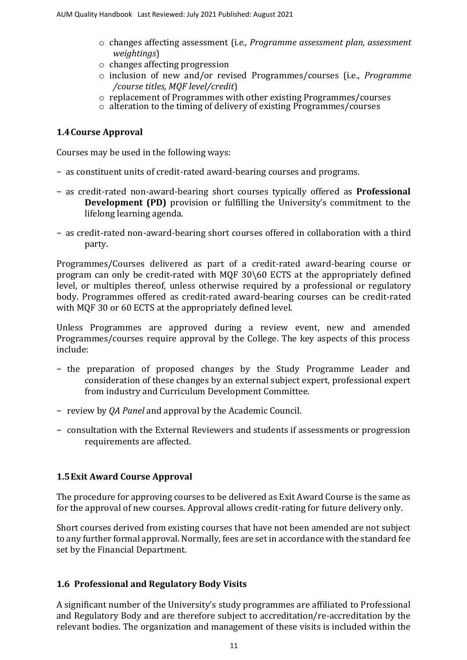- o changes affecting assessment (i*.e., Programme assessment plan, assessment weightings*)
- o changes affecting progression
- o inclusion of new and/or revised Programmes/courses (i.e., *Programme /course titles, MQF level/credit*)
- o replacement of Programmes with other existing Programmes/courses
- $\circ$  alteration to the timing of delivery of existing Programmes/courses

# **1.4Course Approval**

Courses may be used in the following ways:

- − as constituent units of credit-rated award-bearing courses and programs.
- − as credit-rated non-award-bearing short courses typically offered as **Professional Development (PD)** provision or fulfilling the University's commitment to the lifelong learning agenda.
- − as credit-rated non-award-bearing short courses offered in collaboration with a third party.

Programmes/Courses delivered as part of a credit-rated award-bearing course or program can only be credit-rated with MQF 30\60 ECTS at the appropriately defined level, or multiples thereof, unless otherwise required by a professional or regulatory body. Programmes offered as credit-rated award-bearing courses can be credit-rated with MQF 30 or 60 ECTS at the appropriately defined level.

Unless Programmes are approved during a review event, new and amended Programmes/courses require approval by the College. The key aspects of this process include:

- − the preparation of proposed changes by the Study Programme Leader and consideration of these changes by an external subject expert, professional expert from industry and Curriculum Development Committee.
- − review by *QA Panel* and approval by the Academic Council.
- − consultation with the External Reviewers and students if assessments or progression requirements are affected.

# **1.5Exit Award Course Approval**

The procedure for approving courses to be delivered as Exit Award Course is the same as for the approval of new courses. Approval allows credit-rating for future delivery only.

Short courses derived from existing courses that have not been amended are not subject to any further formal approval. Normally, fees are set in accordance with the standard fee set by the Financial Department.

# **1.6 Professional and Regulatory Body Visits**

A significant number of the University's study programmes are affiliated to Professional and Regulatory Body and are therefore subject to accreditation/re-accreditation by the relevant bodies. The organization and management of these visits is included within the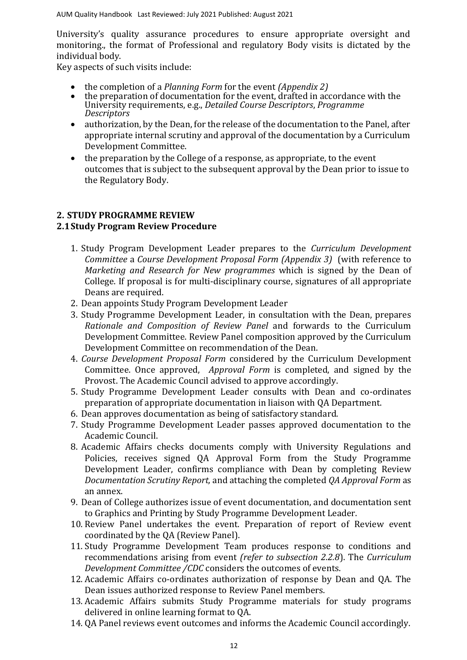University's quality assurance procedures to ensure appropriate oversight and monitoring., the format of Professional and regulatory Body visits is dictated by the individual body.

Key aspects of such visits include:

- the completion of a *Planning Form* for the event *(Appendix 2)*
- the preparation of documentation for the event, drafted in accordance with the University requirements, e.g., *Detailed Course Descriptors*, *Programme Descriptors*
- authorization, by the Dean, for the release of the documentation to the Panel, after appropriate internal scrutiny and approval of the documentation by a Curriculum Development Committee.
- the preparation by the College of a response, as appropriate, to the event outcomes that is subject to the subsequent approval by the Dean prior to issue to the Regulatory Body.

# **2. STUDY PROGRAMME REVIEW 2.1Study Program Review Procedure**

- 1. Study Program Development Leader prepares to the *[Curriculum Development](file:///C:/Users/ola.tina/AppData/Local/Microsoft/Windows/INetCache/Content.Outlook/Forms/Section%201/ADSC%20Course%20Development%20Proposal%20Proforma.pdf)  [Committee](file:///C:/Users/ola.tina/AppData/Local/Microsoft/Windows/INetCache/Content.Outlook/Forms/Section%201/ADSC%20Course%20Development%20Proposal%20Proforma.pdf)* a *[Course Development Proposal Form \(Appendix 3\)](file:///C:/Users/ola.tina/AppData/Local/Microsoft/Windows/INetCache/Content.Outlook/Forms/Section%201/ADSC%20Course%20Development%20Proposal%20Proforma.pdf)* (with reference to *Marketing and Research for New programmes* which is signed by the Dean of College. If proposal is for multi-disciplinary course, signatures of all appropriate Deans are required.
- 2. Dean appoints Study Program Development Leader
- 3. Study Programme Development Leader, in consultation with the Dean, prepares *[Rationale and Composition of Review](file:///C:/Users/ola.tina/AppData/Local/Microsoft/Windows/INetCache/Content.Outlook/Exemplars/Section%201%20-%20Module,%20Course%20and%20Programme%20Developments/PDF/Exemplar%20Validation%20Panel%20Membership.pdf) Panel* and forwards to the Curriculum Development Committee. Review Panel composition approved by the Curriculum Development Committee on recommendation of the Dean.
- 4. *[Course Development Proposal Form](file:///C:/Users/Lenovo/Desktop/AUM/QA%20Folders/Gulnara%20)* considered by the Curriculum Development Committee. Once approved, *[Approval Form](file:///C:/Users/Lenovo/Desktop/AUM/QA%20Folders/Gulnara%20)* is completed, and signed by the Provost. The Academic Council advised to approve accordingly.
- 5. Study Programme Development Leader consults with Dean and co-ordinates preparation of appropriate documentation in liaison with QA Department.
- 6. Dean approves documentation as being of satisfactory standard.
- 7. Study Programme Development Leader passes approved documentation to the Academic Council.
- 8. Academic Affairs checks documents comply with University Regulations and Policies, receives signed QA Approval Form from the Study Programme Development Leader, confirms compliance with Dean by completing Review *Documentation Scrutiny Report,* and attaching the completed *QA Approval Form* as an annex.
- 9. Dean of College authorizes issue of event documentation, and documentation sent to Graphics and Printing by Study Programme Development Leader.
- 10. Review Panel undertakes the event. Preparation of report of Review event coordinated by the QA (Review Panel).
- 11. Study Programme Development Team produces response to conditions and recommendations arising from event *(refer to subsection 2.2.8*). The *Curriculum Development Committee /CDC* considers the outcomes of events.
- 12. Academic Affairs co-ordinates authorization of response by Dean and QA. The Dean issues authorized response to Review Panel members.
- 13. Academic Affairs submits Study Programme materials for study programs delivered in online learning format to QA.
- 14. QA Panel reviews event outcomes and informs the Academic Council accordingly.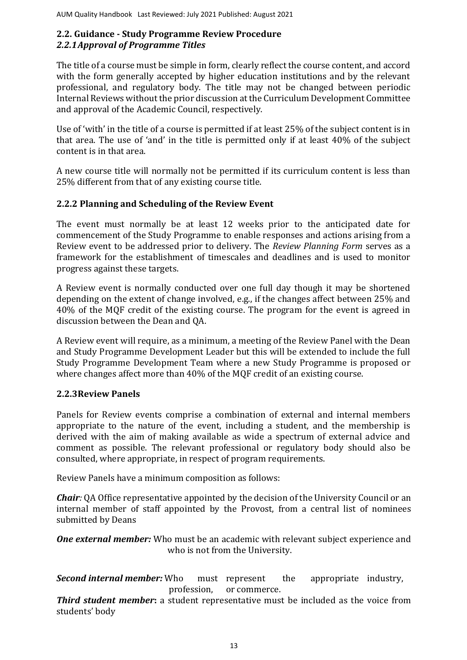# **2.2. Guidance - Study Programme Review Procedure** *2.2.1Approval of Programme Titles*

The title of a course must be simple in form, clearly reflect the course content, and accord with the form generally accepted by higher education institutions and by the relevant professional, and regulatory body. The title may not be changed between periodic Internal Reviews without the prior discussion at the Curriculum Development Committee and approval of the Academic Council, respectively.

Use of 'with' in the title of a course is permitted if at least 25% of the subject content is in that area. The use of 'and' in the title is permitted only if at least 40% of the subject content is in that area.

A new course title will normally not be permitted if its curriculum content is less than 25% different from that of any existing course title.

# **2.2.2 Planning and Scheduling of the Review Event**

The event must normally be at least 12 weeks prior to the anticipated date for commencement of the Study Programme to enable responses and actions arising from a Review event to be addressed prior to delivery. The *Review [Planning Form](file:///C:/Users/ola.tina/AppData/Local/Microsoft/Windows/INetCache/Content.Outlook/Forms/Section%201/Validation%20Planning%20Sheet.pdf)* serves as a framework for the establishment of timescales and deadlines and is used to monitor progress against these targets.

A Review event is normally conducted over one full day though it may be shortened depending on the extent of change involved, e.g., if the changes affect between 25% and 40% of the MQF credit of the existing course. The program for the event is agreed in discussion between the Dean and QA.

A Review event will require, as a minimum, a meeting of the Review Panel with the Dean and Study Programme Development Leader but this will be extended to include the full Study Programme Development Team where a new Study Programme is proposed or where changes affect more than 40% of the MQF credit of an existing course.

# **2.2.3Review Panels**

Panels for Review events comprise a combination of external and internal members appropriate to the nature of the event, including a student, and the membership is derived with the aim of making available as wide a spectrum of external advice and comment as possible. The relevant professional or regulatory body should also be consulted, where appropriate, in respect of program requirements.

Review Panels have a minimum composition as follows:

*Chair:* QA Office representative appointed by the decision of the University Council or an internal member of staff appointed by the Provost, from a central list of nominees submitted by Deans

*One external member:* Who must be an academic with relevant subject experience and who is not from the University.

**Second internal member:** Who must represent the appropriate industry, profession, or commerce.

*Third student member***:** a student representative must be included as the voice from students' body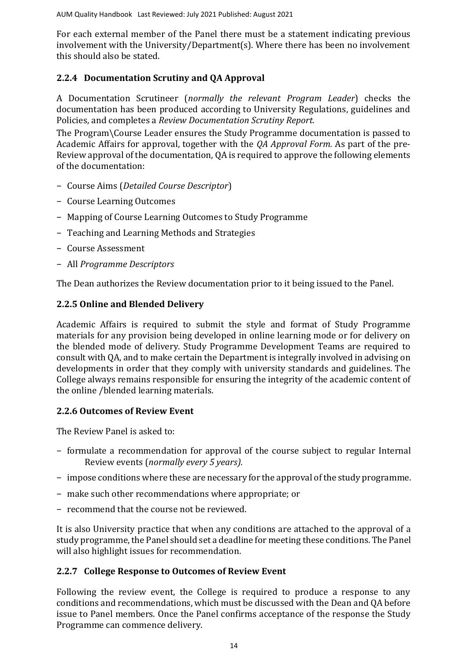For each external member of the Panel there must be a statement indicating previous involvement with the University/Department(s). Where there has been no involvement this should also be stated.

# **2.2.4 Documentation Scrutiny and QA Approval**

A Documentation Scrutineer (*normally the relevant Program Leader*) checks the documentation has been produced according to University Regulations, guidelines and Policies, and completes a *[Review](file:///C:/Users/ola.tina/AppData/Local/Microsoft/Windows/INetCache/Content.Outlook/Forms/Section%201/Validation%20Documentation%20Scrutiny%20Report.pdf) [Documentation Scrutiny](file:///C:/Users/ola.tina/AppData/Local/Microsoft/Windows/INetCache/Content.Outlook/Forms/Section%201/Validation%20Documentation%20Scrutiny%20Report.pdf) Report.*

The Program\Course Leader ensures the Study Programme documentation is passed to Academic Affairs for approval, together with the *QA Approval Form.* As part of the pre-Review approval of the documentation, QA is required to approve the following elements of the documentation:

- − Course Aims (*Detailed Course Descriptor*)
- − Course Learning Outcomes
- − Mapping of Course Learning Outcomes to Study Programme
- − Teaching and Learning Methods and Strategies
- − Course Assessment
- − All *Programme Descriptors*

The Dean authorizes the Review documentation prior to it being issued to the Panel.

# **2.2.5 Online and Blended Delivery**

Academic Affairs is required to submit the style and format of Study Programme materials for any provision being developed in online learning mode or for delivery on the blended mode of delivery. Study Programme Development Teams are required to consult with QA, and to make certain the Department is integrally involved in advising on developments in order that they comply with university standards and guidelines. The College always remains responsible for ensuring the integrity of the academic content of the online /blended learning materials.

# **2.2.6 Outcomes of Review Event**

The Review Panel is asked to:

- − formulate a recommendation for approval of the course subject to regular Internal Review events (*normally every 5 years).*
- − impose conditions where these are necessary for the approval of the study programme.
- − make such other recommendations where appropriate; or
- − recommend that the course not be reviewed.

It is also University practice that when any conditions are attached to the approval of a study programme, the Panel should set a deadline for meeting these conditions. The Panel will also highlight issues for recommendation.

# **2.2.7 College Response to Outcomes of Review Event**

Following the review event, the College is required to produce a response to any conditions and recommendations, which must be discussed with the Dean and QA before issue to Panel members. Once the Panel confirms acceptance of the response the Study Programme can commence delivery.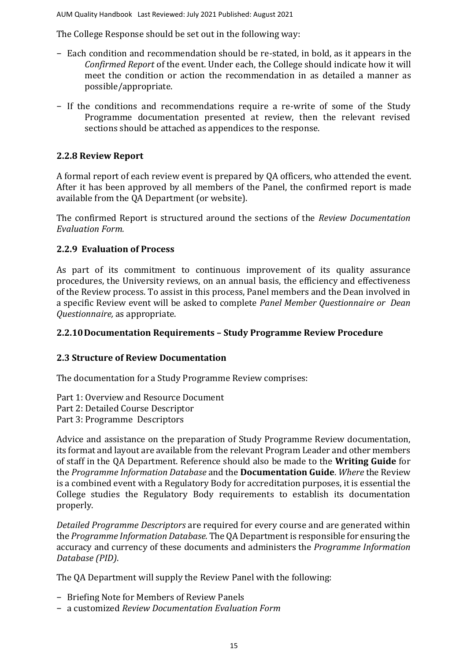The College Response should be set out in the following way:

- − Each condition and recommendation should be re-stated, in bold, as it appears in the *Confirmed Report* of the event. Under each, the College should indicate how it will meet the condition or action the recommendation in as detailed a manner as possible/appropriate.
- − If the conditions and recommendations require a re-write of some of the Study Programme documentation presented at review, then the relevant revised sections should be attached as appendices to the response.

# **2.2.8 Review Report**

A formal report of each review event is prepared by QA officers, who attended the event. After it has been approved by all members of the Panel, the confirmed report is made available from the QA [Department](http://www.rgu.ac.uk/academicaffairs/quality/page.cfm?pge=9974) (or website).

The confirmed Report is structured around the sections of the *Review [Documentation](file:///C:/Users/ola.tina/AppData/Local/Microsoft/Windows/INetCache/Content.Outlook/Forms/Section%201/Validation%20Documentation%20Evaluation%20Form.pdf)  [Evaluation](file:///C:/Users/ola.tina/AppData/Local/Microsoft/Windows/INetCache/Content.Outlook/Forms/Section%201/Validation%20Documentation%20Evaluation%20Form.pdf) [Form.](file:///C:/Users/ola.tina/AppData/Local/Microsoft/Windows/INetCache/Content.Outlook/Forms/Section%201/Validation%20Documentation%20Evaluation%20Form.pdf)*

# **2.2.9 Evaluation of Process**

As part of its commitment to continuous improvement of its quality assurance procedures, the University reviews, on an annual basis, the efficiency and effectiveness of the Review process. To assist in this process, Panel members and the Dean involved in a specific Review event will be asked to complete *[Panel Member Questionnaire o](file:///C:/Users/ola.tina/AppData/Local/Microsoft/Windows/INetCache/Content.Outlook/Forms/Section%201/Panel%20Member%20Questionnaire.pdf)r [Dean](file:///C:/Users/ola.tina/AppData/Local/Microsoft/Windows/INetCache/Content.Outlook/Forms/Section%201/Head%20of%20School%20Associate%20Dean%20Questionnaire.pdf)  [Questionnaire,](file:///C:/Users/ola.tina/AppData/Local/Microsoft/Windows/INetCache/Content.Outlook/Forms/Section%201/Head%20of%20School%20Associate%20Dean%20Questionnaire.pdf)* as appropriate.

# **2.2.10Documentation Requirements – Study Programme Review Procedure**

# **2.3 Structure of Review Documentation**

The documentation for a Study Programme Review comprises:

Part 1: Overview and Resource Document

Part 2: Detailed Course Descriptor

Part 3: Programme Descriptors

Advice and assistance on the preparation of Study Programme Review documentation, its format and layout are available from the relevant Program Leader and other members of staff in the QA Department. Reference should also be made to the **[Writing Guide](file:///C:/Users/ola.tina/AppData/Local/Microsoft/Windows/INetCache/Content.Outlook/2PY684QH/Forms/Section%201/CID%20Writing%20Guide%20September%202006.pdf)** for the *Programme Information Database* and the **[Documentation Guide](file:///C:/Users/ola.tina/AppData/Local/Microsoft/Windows/INetCache/Content.Outlook/2PY684QH/Forms/Section%201/Documentation%20Guide.pdf)**. *Where* the Review is a combined event with a Regulatory Body for accreditation purposes, it is essential the College studies the Regulatory Body requirements to establish its documentation properly.

*Detailed Programme Descriptors* are required for every course and are generated within the *Programme Information Database.* The QA Department is responsible for ensuring the accuracy and currency of these documents and administers the *Programme Information Database (PID)*.

The QA Department will supply the Review Panel with the following:

- − Briefing Note for Members of Review Panels
- − a customized *[Review Documentation](file:///C:/Users/ola.tina/AppData/Local/Microsoft/Windows/INetCache/Content.Outlook/Forms/Section%201/Validation%20Documentation%20Evaluation%20Form.pdf) Evaluation Form*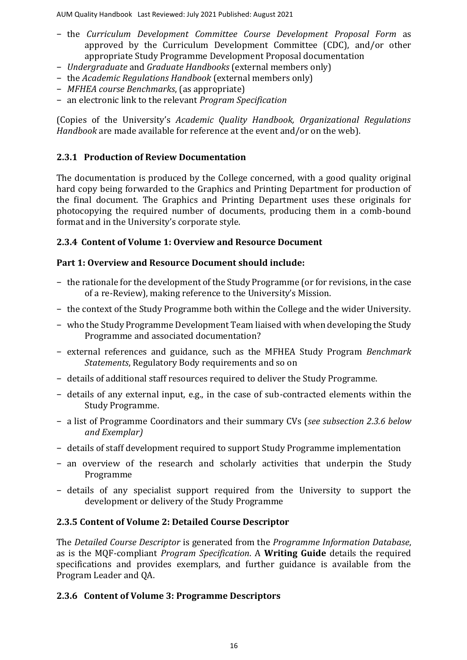- − the *[Curriculum Development Committee Course Development Proposal Form](file:///C:/Users/ola.tina/AppData/Local/Microsoft/Windows/INetCache/Content.Outlook/Forms/Section%201/ADSC%20Course%20Development%20Proposal%20Proforma.pdf)* as approved by the Curriculum Development Committee (CDC), and/or other appropriate Study Programme Development Proposal documentation
- − *Undergraduate* and *Graduate Handbooks* (external members only)
- − the *Academic Regulations Handbook* (external members only)
- − *MFHEA course Benchmarks*, (as appropriate)
- − an electronic link to the relevant *Program Specification*

(Copies of the University's *Academic Quality Handbook, Organizational Regulations Handbook* are made available for reference at the event and/or on the web).

# <span id="page-15-0"></span>**2.3.1 Production of Review Documentation**

The documentation is produced by the College concerned, with a good quality original hard copy being forwarded to the Graphics and Printing Department for production of the final document. The Graphics and Printing Department uses these originals for photocopying the required number of documents, producing them in a comb-bound format and in the University's corporate style.

# **2.3.4 Content of Volume 1: Overview and Resource Document**

# **Part 1: Overview and Resource Document should include:**

- − the rationale for the development of the Study Programme (or for revisions, in the case of a re-Review), making reference to the University's Mission.
- − the context of the Study Programme both within the College and the wider University.
- − who the Study Programme Development Team liaised with when developing the Study Programme and associated documentation?
- − external references and guidance, such as the MFHEA Study Program *Benchmark Statements*, Regulatory Body requirements and so on
- − details of additional staff resources required to deliver the Study Programme.
- − details of any external input, e.g., in the case of sub-contracted elements within the Study Programme.
- − a list of Programme Coordinators and their summary CVs (*see [subsection 2.3.6 b](#page-15-0)elow an[d Exemplar\)](file:///C:/Users/ola.tina/AppData/Local/Microsoft/Windows/INetCache/Content.Outlook/2PY684QH/Forms/Section%201/Exemplar%20Summary%20Curriculum%20Vitae.pdf)*
- − details of staff development required to support Study Programme implementation
- − an overview of the research and scholarly activities that underpin the Study Programme
- − details of any specialist support required from the University to support the development or delivery of the Study Programme

# **2.3.5 Content of Volume 2: Detailed Course Descriptor**

The *Detailed Course Descriptor* is generated from the *Programme Information Database*, as is the MQF-compliant *Program Specification*. A **[Writing Guide](file:///C:/Users/ola.tina/AppData/Local/Microsoft/Windows/INetCache/Content.Outlook/2PY684QH/Forms/Section%201/CID%20Writing%20Guide%20September%202006.pdf)** details the required specifications and provides exemplars, and further guidance is available from the Program Leader and QA.

# **2.3.6 Content of Volume 3: Programme Descriptors**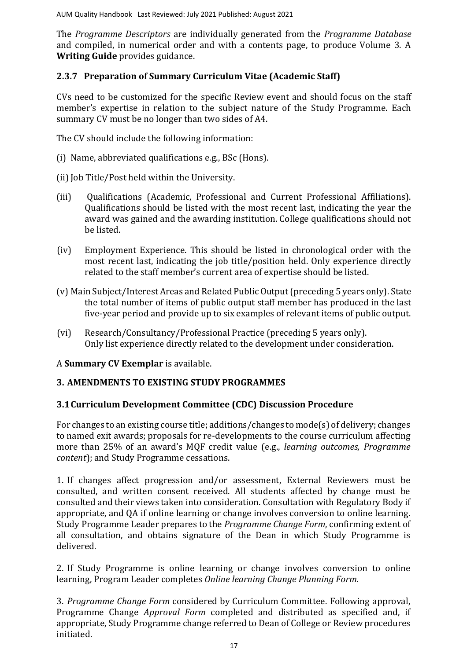The *Programme Descriptors* are individually generated from the *Programme Database* and compiled, in numerical order and with a contents page, to produce Volume 3. A **[Writing Guide](file:///C:/Users/ola.tina/AppData/Local/Microsoft/Windows/INetCache/Content.Outlook/2PY684QH/Forms/Section%201/CID%20Writing%20Guide%20September%202006.pdf)** provides guidance.

# **2.3.7 Preparation of Summary Curriculum Vitae (Academic Staff)**

CVs need to be customized for the specific Review event and should focus on the staff member's expertise in relation to the subject nature of the Study Programme. Each summary CV must be no longer than two sides of A4.

The CV should include the following information:

- (i) Name, abbreviated qualifications e.g., BSc (Hons).
- (ii) Job Title/Post held within the University.
- (iii) Qualifications (Academic, Professional and Current Professional Affiliations). Qualifications should be listed with the most recent last, indicating the year the award was gained and the awarding institution. College qualifications should not be listed.
- (iv) Employment Experience. This should be listed in chronological order with the most recent last, indicating the job title/position held. Only experience directly related to the staff member's current area of expertise should be listed.
- (v) Main Subject/Interest Areas and Related Public Output (preceding 5 years only). State the total number of items of public output staff member has produced in the last five-year period and provide up to six examples of relevant items of public output.
- (vi) Research/Consultancy/Professional Practice (preceding 5 years only). Only list experience directly related to the development under consideration.
- A **[Summary CV Exemplar](file:///C:/Users/ola.tina/AppData/Local/Microsoft/Windows/INetCache/Content.Outlook/2PY684QH/Forms/Section%201/Exemplar%20Summary%20Curriculum%20Vitae.pdf)** is available.

# **3. AMENDMENTS TO EXISTING STUDY PROGRAMMES**

# **3.1Curriculum Development Committee (CDC) Discussion Procedure**

For changes to an existing course title; additions/changes to mode(s) of delivery; changes to named exit awards; proposals for re-developments to the course curriculum affecting more than 25% of an award's MQF credit value (e.g., *learning outcomes, Programme content*); and Study Programme cessations.

1. If changes affect progression and/or assessment, External Reviewers must be consulted, and written consent received. All students affected by change must be consulted and their views taken into consideration. Consultation with Regulatory Body if appropriate, and QA if online learning or change involves conversion to online learning. Study Programme Leader prepares to the *Programme Change Form*, confirming extent of all consultation, and obtains signature of the Dean in which Study Programme is delivered.

2. If Study Programme is online learning or change involves conversion to online learning, Program Leader completes *Online learning Change Planning Form.*

3. *Programme Change Form* considered by Curriculum Committee. Following approval, Programme Change *Approval Form* completed and distributed as specified and, if appropriate, Study Programme change referred to Dean of College or Review procedures initiated.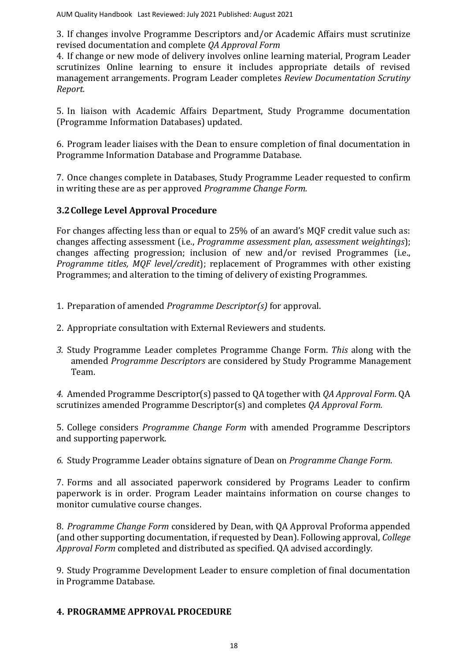3. If changes involve Programme Descriptors and/or Academic Affairs must scrutinize revised documentation and complete *QA Approval Form*

4. If change or new mode of delivery involves online learning material, Program Leader scrutinizes Online learning to ensure it includes appropriate details of revised management arrangements. Program Leader completes *Review Documentation Scrutiny Report.*

5. In liaison with Academic Affairs Department, Study Programme documentation (Programme Information Databases) updated.

6. Program leader liaises with the Dean to ensure completion of final documentation in Programme Information Database and Programme Database.

7. Once changes complete in Databases, Study Programme Leader requested to confirm in writing these are as per approved *Programme Change Form.*

# <span id="page-17-0"></span>**3.2College Level Approval Procedure**

For changes affecting less than or equal to 25% of an award's MQF credit value such as: changes affecting assessment (i.e., *Programme assessment plan, assessment weightings*); changes affecting progression; inclusion of new and/or revised Programmes (i.e., *Programme titles, MQF level/credit*); replacement of Programmes with other existing Programmes; and alteration to the timing of delivery of existing Programmes.

- 1. Preparation of amended *Programme Descriptor(s)* for approval.
- 2. Appropriate consultation with External Reviewers and students.
- *3.* Study Programme Leader completes Programme Change Form. *This* along with the amended *Programme Descriptors* are considered by Study Programme Management Team.

*4.* Amended Programme Descriptor(s) passed to QA together with *QA Approval Form.* QA scrutinizes amended Programme Descriptor(s) and completes *QA Approval Form.*

5. College considers *Programme Change Form* with amended Programme Descriptors and supporting paperwork.

*6.* Study Programme Leader obtains signature of Dean on *Programme Change Form.*

7. Forms and all associated paperwork considered by Programs Leader to confirm paperwork is in order. Program Leader maintains information on course changes to monitor cumulative course changes.

8. *Programme Change Form* considered by Dean, with QA Approval Proforma appended (and other supporting documentation, if requested by Dean). Following approval, *College Approval Form* completed and distributed as specified. QA advised accordingly.

9. Study Programme Development Leader to ensure completion of final documentation in Programme Database.

# **4. PROGRAMME APPROVAL PROCEDURE**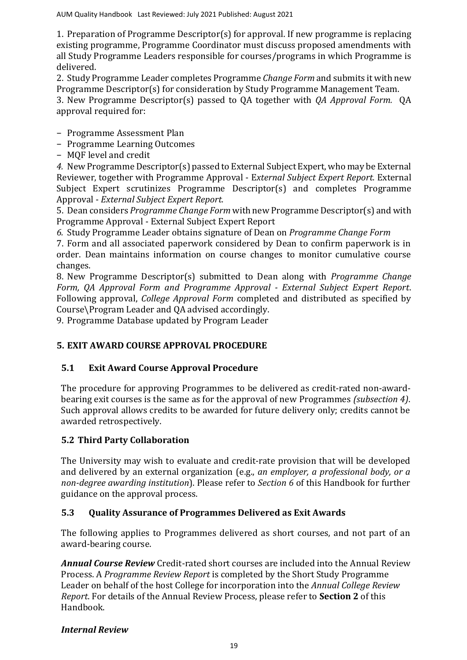1. Preparation of Programme Descriptor(s) for approval. If new programme is replacing existing programme, Programme Coordinator must discuss proposed amendments with all Study Programme Leaders responsible for courses/programs in which Programme is delivered.

2. Study Programme Leader completes Programme *Change Form* and submits it with new Programme Descriptor(s) for consideration by Study Programme Management Team.

3. New Programme Descriptor(s) passed to QA together with *QA Approval Form.* QA approval required for:

− Programme Assessment Plan

- − Programme Learning Outcomes
- − MQF level and credit

*4.* New Programme Descriptor(s) passed to External Subject Expert, who may be External Reviewer, together with Programme Approval - E*xternal Subject Expert Report.* External Subject Expert scrutinizes Programme Descriptor(s) and completes Programme Approval - *External Subject Expert Report.*

5. Dean considers *Programme Change Form* with new Programme Descriptor(s) and with Programme Approval - External Subject Expert Report

*6.* Study Programme Leader obtains signature of Dean on *Programme Change Form*

7. Form and all associated paperwork considered by Dean to confirm paperwork is in order. Dean maintains information on course changes to monitor cumulative course changes.

8. New Programme Descriptor(s) submitted to Dean along with *Programme Change Form, QA Approval Form and Programme Approval - External Subject Expert Report*. Following approval, *College Approval Form* completed and distributed as specified by Course\Program Leader and QA advised accordingly.

9. Programme Database updated by Program Leader

# **5. EXIT AWARD COURSE APPROVAL PROCEDURE**

# **5.1 Exit Award Course Approval Procedure**

The procedure for approving Programmes to be delivered as credit-rated non-awardbearing exit courses is the same as for the approval of new Programmes *[\(subsection 4\)](#page-17-0)*. Such approval allows credits to be awarded for future delivery only; credits cannot be awarded retrospectively.

# **5.2 Third Party Collaboration**

The University may wish to evaluate and credit-rate provision that will be developed and delivered by an external organization (e.g., *an employer, a professional body, or a non-degree awarding institution*). Please refer to *[Section 6](file:///C:/Users/ola.tina/AppData/Local/Microsoft/Windows/INetCache/Content.Outlook/2PY684QH/Section%206%20Academic%20Collaboration.pdf)* of this Handbook for further guidance on the approval process.

# **5.3 Quality Assurance of Programmes Delivered as Exit Awards**

The following applies to Programmes delivered as short courses, and not part of an award-bearing course.

*Annual Course Review* Credit-rated short courses are included into the Annual Review Process. A *[Programme Review Report](file:///C:/Users/ola.tina/AppData/Local/Microsoft/Windows/INetCache/Content.Outlook/Forms/Section%202/Annual%20Module%20Appraisal%20Report.pdf)* is completed by the Short Study Programme Leader on behalf of the host College for incorporation into the *[Annual College Review](file:///C:/Users/ola.tina/AppData/Local/Microsoft/Windows/INetCache/Content.Outlook/Forms/Section%202/Annual%20School%20Appraisal%20Report.pdf) [Report](file:///C:/Users/ola.tina/AppData/Local/Microsoft/Windows/INetCache/Content.Outlook/Forms/Section%202/Annual%20School%20Appraisal%20Report.pdf)*. For details of the Annual Review Process, please refer to **[Section 2](file:///C:/Users/ola.tina/AppData/Local/Microsoft/Windows/INetCache/Content.Outlook/2PY684QH/Section%202%20Annual%20Appraisal%20Process.pdf)** of this Handbook.

# *Internal Review*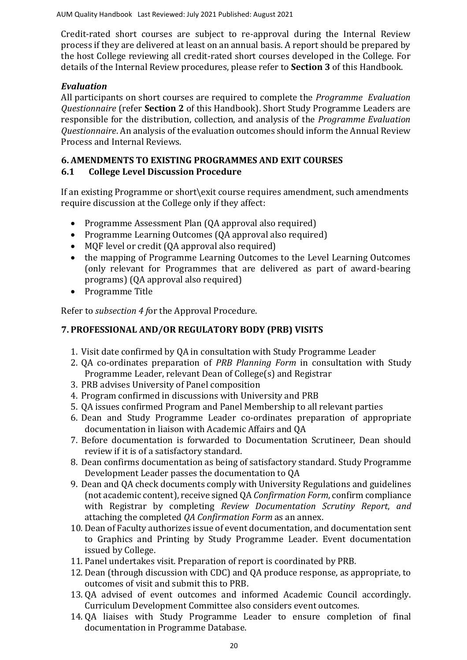Credit-rated short courses are subject to re-approval during the Internal Review process if they are delivered at least on an annual basis. A report should be prepared by the host College reviewing all credit-rated short courses developed in the College. For details of the Internal Review procedures, please refer to **[Section 3](file:///C:/Users/ola.tina/AppData/Local/Microsoft/Windows/INetCache/Content.Outlook/2PY684QH/Section%203%20Internal%20Review.pdf)** of this Handbook.

# *Evaluation*

All participants on short courses are required to complete the *Programme Evaluation Questionnaire* (refer **[Section 2](file:///C:/Users/ola.tina/AppData/Local/Microsoft/Windows/INetCache/Content.Outlook/2PY684QH/Section%202%20Annual%20Appraisal%20Process.pdf)** of this Handbook). Short Study Programme Leaders are responsible for the distribution, collection, and analysis of the *Programme Evaluation Questionnaire*. An analysis of the evaluation outcomes should inform the Annual Review Process and Internal Reviews.

# **6. AMENDMENTS TO EXISTING PROGRAMMES AND EXIT COURSES**

# **6.1 College Level Discussion Procedure**

If an existing Programme or short\exit course requires amendment, such amendments require discussion at the College only if they affect:

- Programme Assessment Plan (QA approval also required)
- Programme Learning Outcomes (QA approval also required)
- MQF level or credit (QA approval also required)
- the mapping of Programme Learning Outcomes to the Level Learning Outcomes (only relevant for Programmes that are delivered as part of award-bearing programs) (QA approval also required)
- Programme Title

Refer to *[subsection 4 f](#page-17-0)*or the Approval Procedure.

# **7. PROFESSIONAL AND/OR REGULATORY BODY (PRB) VISITS**

- 1. Visit date confirmed by QA in consultation with Study Programme Leader
- 2. QA co-ordinates preparation of *[PRB Planning Form](file:///C:/Users/ola.tina/AppData/Local/Microsoft/Windows/INetCache/Content.Outlook/Forms/Section%201/PSRB%20Planning%20Sheet.pdf)* in consultation with Study Programme Leader, relevant Dean of College(s) and Registrar
- 3. PRB advises University of Panel composition
- 4. Program confirmed in discussions with University and PRB
- 5. QA issues confirmed Program and Panel Membership to all relevant parties
- 6. Dean and Study Programme Leader co-ordinates preparation of appropriate documentation in liaison with Academic Affairs and QA
- 7. Before documentation is forwarded to Documentation Scrutineer, Dean should review if it is of a satisfactory standard.
- 8. Dean confirms documentation as being of satisfactory standard. Study Programme Development Leader passes the documentation to QA
- 9. Dean and QA check documents comply with University Regulations and guidelines (not academic content), receive signed QA *[Confirmation](file:///C:/Users/ola.tina/AppData/Local/Microsoft/Windows/INetCache/Content.Outlook/Forms/Section%201/DELTA%20Approval%20Proforma.pdf) Form*, confirm compliance with Registrar by completing *[Review](file:///C:/Users/ola.tina/AppData/Local/Microsoft/Windows/INetCache/Content.Outlook/Forms/Section%201/Validation%20Documentation%20Scrutiny%20Report.pdf) [Documentation Scrutiny Report](file:///C:/Users/ola.tina/AppData/Local/Microsoft/Windows/INetCache/Content.Outlook/Forms/Section%201/Validation%20Documentation%20Scrutiny%20Report.pdf)*[,](file:///C:/Users/ola.tina/AppData/Local/Microsoft/Windows/INetCache/Content.Outlook/Forms/Section%201/Validation%20Documentation%20Scrutiny%20Report.pdf) *and*  attaching the completed *[QA Confirmation](file:///C:/Users/ola.tina/AppData/Local/Microsoft/Windows/INetCache/Content.Outlook/Forms/Section%201/DELTA%20Approval%20Proforma.pdf) Form* as an annex.
- 10. Dean of Faculty authorizes issue of event documentation, and documentation sent to Graphics and Printing by Study Programme Leader. Event documentation issued by College.
- 11. Panel undertakes visit. Preparation of report is coordinated by PRB.
- 12. Dean (through discussion with CDC) and QA produce response, as appropriate, to outcomes of visit and submit this to PRB.
- 13. QA advised of event outcomes and informed Academic Council accordingly. Curriculum Development Committee also considers event outcomes.
- 14. QA liaises with Study Programme Leader to ensure completion of final documentation in Programme Database.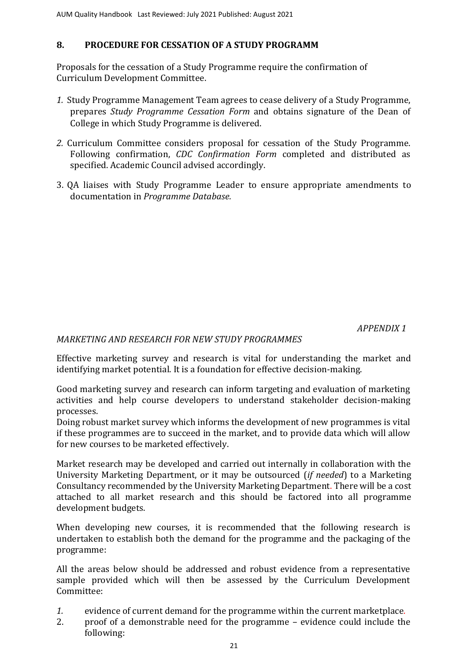# **8. PROCEDURE FOR CESSATION OF A STUDY PROGRAMM**

Proposals for the cessation of a Study Programme require the confirmation of Curriculum Development Committee.

- *1.* Study Programme Management Team agrees to cease delivery of a Study Programme, prepares *[Study Programme](file:///C:/Users/ola.tina/AppData/Local/Microsoft/Windows/INetCache/Content.Outlook/Forms/Section%201/Course%20Programme%20Cessation%20Proforma.pdf) Cessation For[m](file:///C:/Users/ola.tina/AppData/Local/Microsoft/Windows/INetCache/Content.Outlook/Forms/Section%201/Course%20Programme%20Cessation%20Proforma.pdf)* and obtains signature of the Dean of College in which Study Programme is delivered.
- *2.* Curriculum Committee considers proposal for cessation of the Study Programme. Following confirmation, *CDC [Confirmation](file:///C:/Users/ola.tina/AppData/Local/Microsoft/Windows/INetCache/Content.Outlook/Forms/Section%201/ADSC%20Approval%20Proforma.pdf) Form* completed and distributed as specified. Academic Council advised accordingly.
- 3. QA liaises with Study Programme Leader to ensure appropriate amendments to documentation in *Programme Database.*

 *APPENDIX 1* 

# *MARKETING AND RESEARCH FOR NEW STUDY PROGRAMMES*

Effective marketing survey and research is vital for understanding the market and identifying market potential. It is a foundation for effective decision-making.

Good marketing survey and research can inform targeting and evaluation of marketing activities and help course developers to understand stakeholder decision-making processes.

Doing robust market survey which informs the development of new programmes is vital if these programmes are to succeed in the market, and to provide data which will allow for new courses to be marketed effectively.

Market research may be developed and carried out internally in collaboration with the University Marketing Department, or it may be outsourced (*if needed*) to a Marketing Consultancy recommended by the University Marketing Department. There will be a cost attached to all market research and this should be factored into all programme development budgets.

When developing new courses, it is recommended that the following research is undertaken to establish both the demand for the programme and the packaging of the programme:

All the areas below should be addressed and robust evidence from a representative sample provided which will then be assessed by the Curriculum Development Committee:

- *1.* evidence of current demand for the programme within the current marketplace*.*
- 2. proof of a demonstrable need for the programme evidence could include the following: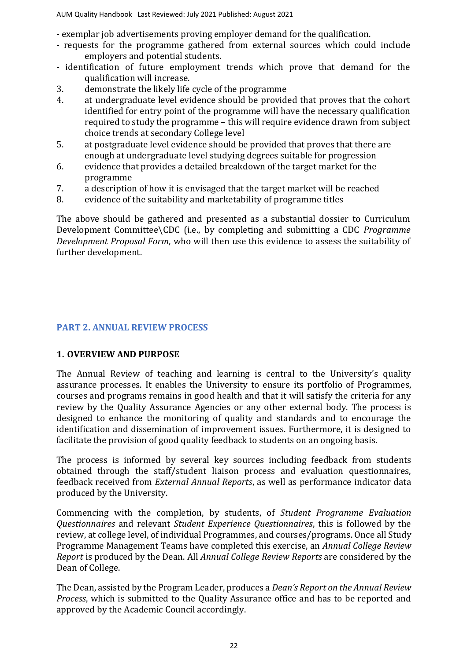- exemplar job advertisements proving employer demand for the qualification.

- requests for the programme gathered from external sources which could include employers and potential students.
- identification of future employment trends which prove that demand for the qualification will increase.
- 3. demonstrate the likely life cycle of the programme
- 4. at undergraduate level evidence should be provided that proves that the cohort identified for entry point of the programme will have the necessary qualification required to study the programme – this will require evidence drawn from subject choice trends at secondary College level
- 5. at postgraduate level evidence should be provided that proves that there are enough at undergraduate level studying degrees suitable for progression
- 6. evidence that provides a detailed breakdown of the target market for the programme
- 7. a description of how it is envisaged that the target market will be reached
- 8. evidence of the suitability and marketability of programme titles

The above should be gathered and presented as a substantial dossier to Curriculum Development Committee\CDC (i.e., by completing and submitting a CDC *Programme Development Proposal Form*, who will then use this evidence to assess the suitability of further development.

## **PART 2. ANNUAL REVIEW PROCESS**

#### **1. OVERVIEW AND PURPOSE**

The Annual Review of teaching and learning is central to the University's quality assurance processes. It enables the University to ensure its portfolio of Programmes, courses and programs remains in good health and that it will satisfy the criteria for any review by the Quality Assurance Agencies or any other external body. The process is designed to enhance the monitoring of quality and standards and to encourage the identification and dissemination of improvement issues. Furthermore, it is designed to facilitate the provision of good quality feedback to students on an ongoing basis.

The process is informed by several key sources including feedback from students obtained through the staff/student liaison process and evaluation questionnaires, feedback received from *External Annual Reports*, as well as performance indicator data produced by the University.

Commencing with the completion, by students, of *Student Programme Evaluation Questionnaires* and relevant *Student Experience Questionnaires*, this is followed by the review, at college level, of individual Programmes, and courses/programs. Once all Study Programme Management Teams have completed this exercise, an *Annual College Review Report* is produced by the Dean. All *Annual College Review Reports* are considered by the Dean of College.

The Dean, assisted by the Program Leader, produces a *Dean's Report on the Annual Review Process*, which is submitted to the Quality Assurance office and has to be reported and approved by the Academic Council accordingly.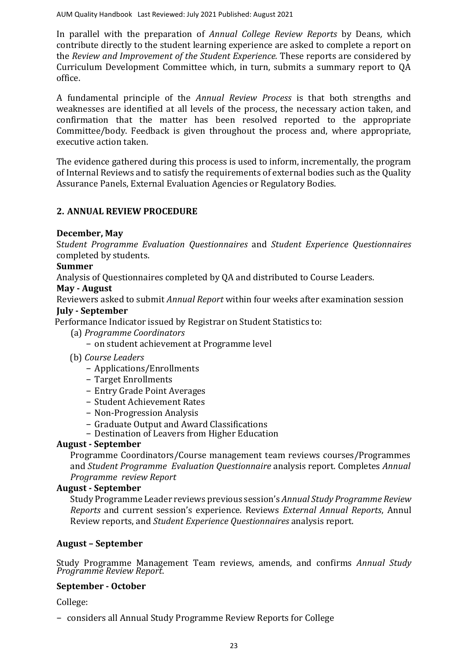In parallel with the preparation of *Annual College Review Reports* by Deans*,* which contribute directly to the student learning experience are asked to complete a report on the *Review and Improvement of the Student Experience.* These reports are considered by Curriculum Development Committee which, in turn, submits a summary report to QA office.

A fundamental principle of the *Annual Review Process* is that both strengths and weaknesses are identified at all levels of the process, the necessary action taken, and confirmation that the matter has been resolved reported to the appropriate Committee/body. Feedback is given throughout the process and, where appropriate, executive action taken.

The evidence gathered during this process is used to inform, incrementally, the program of Internal Reviews and to satisfy the requirements of external bodies such as the Quality Assurance Panels, External Evaluation Agencies or Regulatory Bodies.

# **2. ANNUAL REVIEW PROCEDURE**

# **December, May**

S*tudent Programme Evaluation Questionnaires* and *Student Experience Questionnaires* completed by students.

#### **Summer**

Analysis of Questionnaires completed by QA and distributed to Course Leaders.

## **May - August**

Reviewers asked to submit *Annual Report* within four weeks after examination session

## **July - September**

Performance Indicator issued by Registrar on Student Statistics to:

- (a) *Programme Coordinators*
	- − on student achievement at Programme level
- (b) *Course Leaders* 
	- − Applications/Enrollments
	- − Target Enrollments
	- − Entry Grade Point Averages
	- − Student Achievement Rates
	- − Non-Progression Analysis
	- − Graduate Output and Award Classifications
	- − Destination of Leavers from Higher Education

# **August - September**

Programme Coordinators/Course management team reviews courses/Programmes and *Student Programme Evaluation Questionnaire* analysis report. Completes *[Annual](file:///C:/Users/ola.tina/AppData/Local/Microsoft/Windows/INetCache/Content.Outlook/Forms/Section%202/Annual%20Module%20Appraisal%20Report.pdf)  [Programme review Report](file:///C:/Users/ola.tina/AppData/Local/Microsoft/Windows/INetCache/Content.Outlook/Forms/Section%202/Annual%20Module%20Appraisal%20Report.pdf)* 

# **August - September**

Study Programme Leader reviews previous session's *Annual Study Programme Review Reports* and current session's experience. Reviews *External Annual Reports*, Annul Review reports, and *Student Experience Questionnaires* analysis report.

#### **August – September**

Study Programme Management Team reviews, amends, and confirms *Annual Study Programme Review Report*.

#### **September - October**

College:

− considers all Annual Study Programme Review Reports for College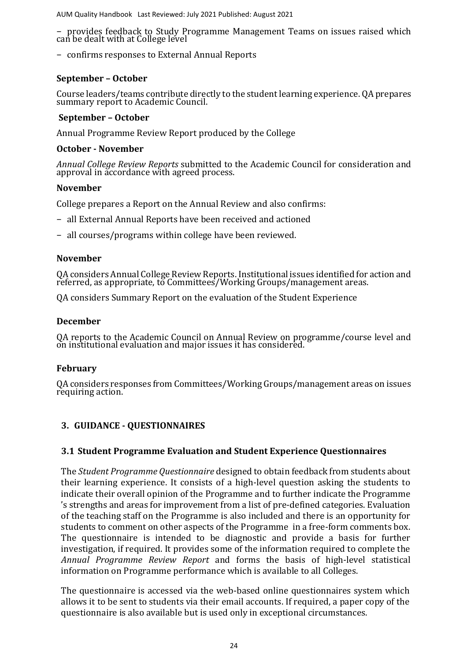− provides feedback to Study Programme Management Teams on issues raised which can be dealt with at College level

− confirms responses to External Annual Reports

# **September – October**

Course leaders/teams contribute directly to the student learning experience. QA prepares summary report to Academic Council.

#### **September – October**

Annual Programme Review Report produced by the College

#### **October - November**

*Annual College Review Reports* submitted to the Academic Council for consideration and approval in accordance with agreed process.

#### **November**

College prepares a Report on the Annual Review and also confirms:

- − all External Annual Reports have been received and actioned
- − all courses/programs within college have been reviewed.

#### **November**

QA considers Annual College Review Reports. Institutional issues identified for action and referred, as appropriate, to Committees/Working Groups/management areas.

QA considers Summary Report on the evaluation of the Student Experience

#### **December**

QA reports to the Academic Council on Annual Review on programme/course level and on institutional evaluation and major issues it has considered.

#### **February**

QA considers responses from Committees/Working Groups/management areas on issues requiring action.

# **3. GUIDANCE - QUESTIONNAIRES**

# **3.1 Student Programme Evaluation and Student Experience Questionnaires**

The *Student Programme Questionnaire* designed to obtain feedback from students about their learning experience. It consists of a high-level question asking the students to indicate their overall opinion of the Programme and to further indicate the Programme 's strengths and areas for improvement from a list of pre-defined categories. Evaluation of the teaching staff on the Programme is also included and there is an opportunity for students to comment on other aspects of the Programme in a free-form comments box. The questionnaire is intended to be diagnostic and provide a basis for further investigation, if required. It provides some of the information required to complete the *Annual Programme Review Report* and forms the basis of high-level statistical information on Programme performance which is available to all Colleges.

The questionnaire is accessed via the web-based online questionnaires system which allows it to be sent to students via their email accounts. If required, a paper copy of the questionnaire is also available but is used only in exceptional circumstances.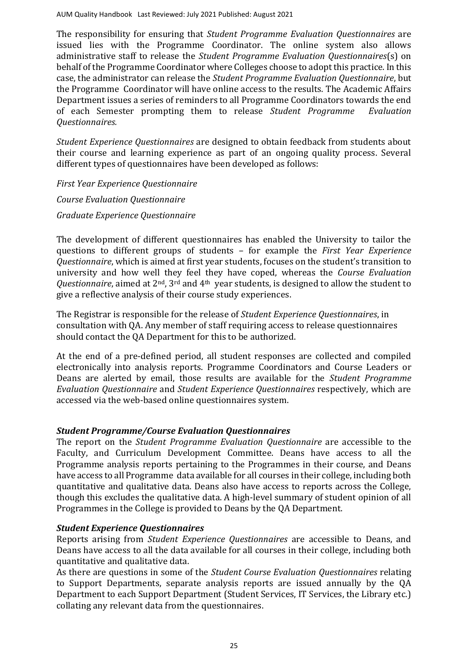The responsibility for ensuring that *Student Programme Evaluation Questionnaires* are issued lies with the Programme Coordinator. The online system also allows administrative staff to release the *Student Programme Evaluation Questionnaires*(s) on behalf of the Programme Coordinator where Colleges choose to adopt this practice. In this case, the administrator can release the *Student Programme Evaluation Questionnaire*, but the Programme Coordinator will have online access to the results. The Academic Affairs Department issues a series of reminders to all Programme Coordinators towards the end of each Semester prompting them to release *Student Programme Evaluation Questionnaires.*

*Student Experience Questionnaires* are designed to obtain feedback from students about their course and learning experience as part of an ongoing quality process. Several different types of questionnaires have been developed as follows:

*First Year Experience Questionnaire Course Evaluation Questionnaire [Graduate Experience Questionnaire](file:///C:/Users/ola.tina/AppData/Local/Microsoft/Windows/INetCache/Content.Outlook/Forms/Section%202/Postgraduate%20Questionnaire%20pdf.pdf)* 

The development of different questionnaires has enabled the University to tailor the questions to different groups of students – for example the *First Year Experience Questionnaire*, which is aimed at first year students, focuses on the student's transition to university and how well they feel they have coped, whereas the *Course Evaluation Questionnaire*, aimed at 2nd, 3rd and 4th year students, is designed to allow the student to give a reflective analysis of their course study experiences.

The Registrar is responsible for the release of *Student Experience Questionnaires*, in consultation with QA. Any member of staff requiring access to release questionnaires should contact the QA Department for this to be authorized.

At the end of a pre-defined period, all student responses are collected and compiled electronically into analysis reports. Programme Coordinators and Course Leaders or Deans are alerted by email, those results are available for the *Student Programme Evaluation Questionnaire* and *Student Experience Questionnaires* respectively, which are accessed via the web-based online questionnaires system.

# *Student Programme/Course Evaluation Questionnaires*

The report on the *Student Programme Evaluation Questionnaire* are accessible to the Faculty, and Curriculum Development Committee. Deans have access to all the Programme analysis reports pertaining to the Programmes in their course, and Deans have access to all Programme data available for all courses in their college, including both quantitative and qualitative data. Deans also have access to reports across the College, though this excludes the qualitative data. A high-level summary of student opinion of all Programmes in the College is provided to Deans by the QA Department.

# *Student Experience Questionnaires*

Reports arising from *Student Experience Questionnaires* are accessible to Deans, and Deans have access to all the data available for all courses in their college, including both quantitative and qualitative data.

As there are questions in some of the *Student Course Evaluation Questionnaires* relating to Support Departments, separate analysis reports are issued annually by the QA Department to each Support Department (Student Services, IT Services, the Library etc.) collating any relevant data from the questionnaires.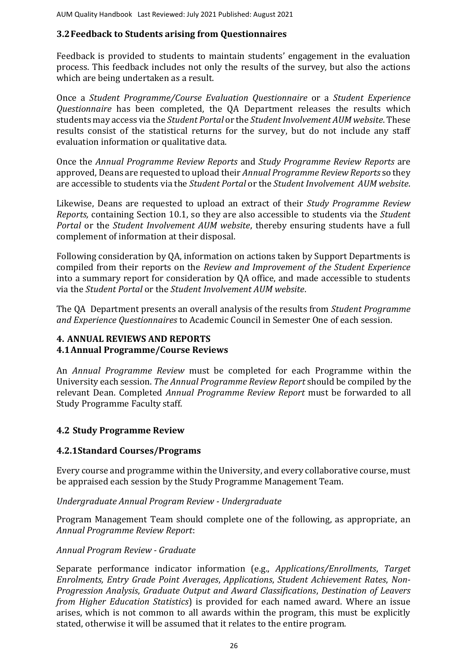# **3.2Feedback to Students arising from Questionnaires**

Feedback is provided to students to maintain students' engagement in the evaluation process. This feedback includes not only the results of the survey, but also the actions which are being undertaken as a result.

Once a *Student Programme/Course Evaluation Questionnaire* or a *Student Experience Questionnaire* has been completed, the QA Department releases the results which students may access via the *[Student Portal](https://portal.rgu.ac.uk/)* or the *[Student Involvement AUM website](https://www.rgu.ac.uk/studentinvolve/about/page.cfm)*. These results consist of the statistical returns for the survey, but do not include any staff evaluation information or qualitative data.

Once the *[Annual Programme Review Reports](file:///C:/Users/ola.tina/AppData/Local/Microsoft/Windows/INetCache/Content.Outlook/Forms/Section%202/Annual%20Module%20Appraisal%20Report.pdf)* and *[Study Programme](file:///C:/Users/ola.tina/AppData/Local/Microsoft/Windows/INetCache/Content.Outlook/Forms/Section%202/Annual%20Course%20Appraisal%20Report%20UG.pdf) Review Report[s](file:///C:/Users/ola.tina/AppData/Local/Microsoft/Windows/INetCache/Content.Outlook/Forms/Section%202/Annual%20Course%20Appraisal%20Report%20UG.pdf)* are approved, Deans are requested to upload their *[Annual Programme Review Reports](file:///C:/Users/ola.tina/AppData/Local/Microsoft/Windows/INetCache/Content.Outlook/Forms/Section%202/Annual%20Module%20Appraisal%20Report.pdf)* so they are accessible to students via the *[Student Portal](https://portal.rgu.ac.uk/)* or the *[Student Involvement AUM website](https://www.rgu.ac.uk/studentinvolve/about/page.cfm)*.

Likewise, Deans are requested to upload an extract of their *[Study Programme](file:///C:/Users/ola.tina/AppData/Local/Microsoft/Windows/INetCache/Content.Outlook/Forms/Section%202/Annual%20Course%20Appraisal%20Report%20UG.pdf) Review [Reports,](file:///C:/Users/ola.tina/AppData/Local/Microsoft/Windows/INetCache/Content.Outlook/Forms/Section%202/Annual%20Course%20Appraisal%20Report%20UG.pdf)* containing Section 10.1, so they are also accessible to students via the *[Student](https://portal.rgu.ac.uk/)  [Portal](https://portal.rgu.ac.uk/)* or the *[Student Involvement AUM website](https://www.rgu.ac.uk/studentinvolve/about/page.cfm)*, thereby ensuring students have a full complement of information at their disposal.

Following consideration by QA, information on actions taken by Support Departments is compiled from their reports on the *Review and Improvement [of the Student Experience](#page-31-0)* into a summary report for consideration by QA office, and made accessible to students via the *[Student Portal](https://portal.rgu.ac.uk/)* or the *[Student Involvement AUM website](https://www.rgu.ac.uk/studentinvolve/about/page.cfm)*.

The QA Department presents an overall analysis of the results from *Student Programme and Experience Questionnaires* to Academic Council in Semester One of each session.

# **4. ANNUAL REVIEWS AND REPORTS 4.1Annual Programme/Course Reviews**

An *Annual Programme Review* must be completed for each Programme within the University each session. *The Annual Programme Review Report* should be compiled by the relevant Dean. Completed *Annual Programme Review Report* must be forwarded to all Study Programme Faculty staff.

# **4.2 Study Programme Review**

# **4.2.1Standard Courses/Programs**

Every course and programme within the University, and every collaborative course, must be appraised each session by the Study Programme Management Team.

*Undergraduate Annual Program Review - Undergraduate*

Program Management Team should complete one of the following, as appropriate, an *Annual Programme Review Report*:

#### *Annual Program Review - Graduate*

Separate performance indicator information (e.g., *Applications/Enrollments*, *Target Enrolments, Entry Grade Point Averages*, *Applications*, *Student Achievement Rates*, *Non-Progression Analysis*, *Graduate Output and Award Classifications*, *Destination of Leavers from Higher Education Statistics*) is provided for each named award. Where an issue arises, which is not common to all awards within the program, this must be explicitly stated, otherwise it will be assumed that it relates to the entire program.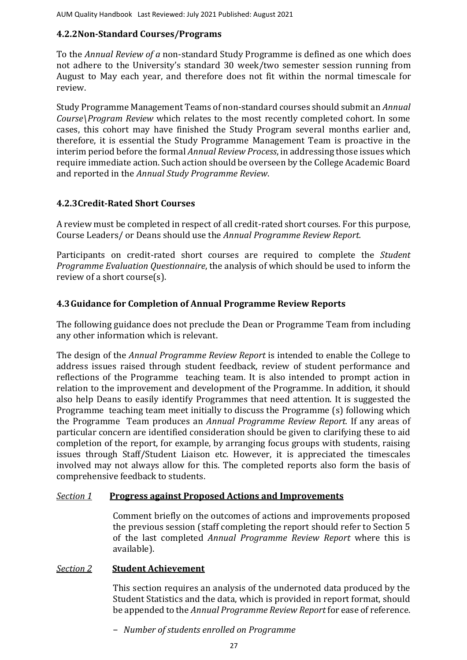# **4.2.2Non-Standard Courses/Programs**

To the *Annual Review of a* non-standard Study Programme is defined as one which does not adhere to the University's standard 30 week/two semester session running from August to May each year, and therefore does not fit within the normal timescale for review.

Study Programme Management Teams of non-standard courses should submit an *Annual Course\Program Review* which relates to the most recently completed cohort. In some cases, this cohort may have finished the Study Program several months earlier and, therefore, it is essential the Study Programme Management Team is proactive in the interim period before the formal *Annual Review Process*, in addressing those issues which require immediate action. Such action should be overseen by the College Academic Board and reported in the *Annual Study Programme Review*.

# **4.2.3Credit-Rated Short Courses**

A review must be completed in respect of all credit-rated short courses. For this purpose, Course Leaders/ or Deans should use the *Annual Programme Review Report.*

Participants on credit-rated short courses are required to complete the *Student Programme Evaluation Questionnaire*, the analysis of which should be used to inform the review of a short course(s).

# **4.3Guidance for Completion of Annual Programme Review Reports**

The following guidance does not preclude the Dean or Programme Team from including any other information which is relevant.

The design of the *[Annual Programme Review](file:///C:/Users/ola.tina/AppData/Local/Microsoft/Windows/INetCache/Content.Outlook/Forms/Section%202/Annual%20Module%20Appraisal%20Report.pdf) Report* is intended to enable the College to address issues raised through student feedback, review of student performance and reflections of the Programme teaching team. It is also intended to prompt action in relation to the improvement and development of the Programme. In addition, it should also help Deans to easily identify Programmes that need attention. It is suggested the Programme teaching team meet initially to discuss the Programme (s) following which the Programme Team produces an *[Annual Programme](file:///C:/Users/ola.tina/AppData/Local/Microsoft/Windows/INetCache/Content.Outlook/Forms/Section%202/Annual%20Module%20Appraisal%20Report.pdf) Review Report.* If any areas of particular concern are identified consideration should be given to clarifying these to aid completion of the report, for example, by arranging focus groups with students, raising issues through Staff/Student Liaison etc. However, it is appreciated the timescales involved may not always allow for this. The completed reports also form the basis of comprehensive feedback to students.

# *Section 1* **Progress against Proposed Actions and Improvements**

Comment briefly on the outcomes of actions and improvements proposed the previous session (staff completing the report should refer to Section 5 of the last completed *Annual Programme Review Report* where this is available).

# *Section 2* **Student Achievement**

This section requires an analysis of the undernoted data produced by the Student Statistics and the data, which is provided in report format, should be appended to the *Annual Programme Review Report* for ease of reference.

− *Number of students enrolled on Programme*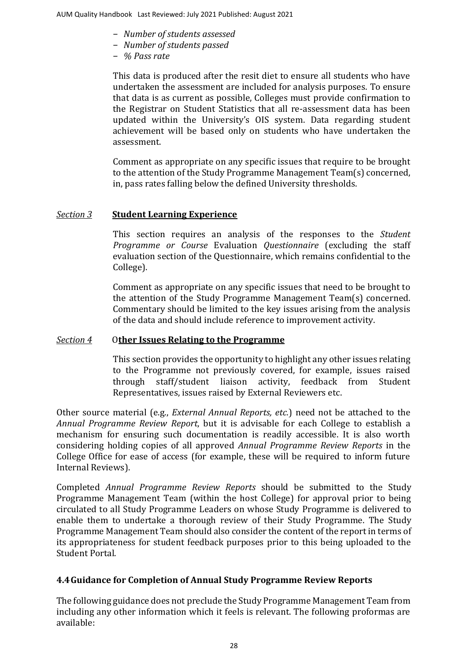- − *Number of students assessed*
- − *Number of students passed*
- − *% Pass rate*

This data is produced after the resit diet to ensure all students who have undertaken the assessment are included for analysis purposes. To ensure that data is as current as possible, Colleges must provide confirmation to the Registrar on Student Statistics that all re-assessment data has been updated within the University's OIS system. Data regarding student achievement will be based only on students who have undertaken the assessment.

Comment as appropriate on any specific issues that require to be brought to the attention of the Study Programme Management Team(s) concerned, in, pass rates falling below the defined University thresholds.

## *Section 3* **Student Learning Experience**

This section requires an analysis of the responses to the *Student Programme or Course* Evaluation *Questionnaire* (excluding the staff evaluation section of the Questionnaire, which remains confidential to the College).

Comment as appropriate on any specific issues that need to be brought to the attention of the Study Programme Management Team(s) concerned. Commentary should be limited to the key issues arising from the analysis of the data and should include reference to improvement activity.

# *Section 4* O**ther Issues Relating to the Programme**

This section provides the opportunity to highlight any other issues relating to the Programme not previously covered, for example, issues raised through staff/student liaison activity, feedback from Student Representatives, issues raised by External Reviewers etc.

Other source material (e.g., *External Annual Reports, etc.*) need not be attached to the *Annual Programme Review Report*, but it is advisable for each College to establish a mechanism for ensuring such documentation is readily accessible. It is also worth considering holding copies of all approved *Annual Programme Review Reports* in the College Office for ease of access (for example, these will be required to inform future Internal Reviews).

Completed *Annual Programme Review Reports* should be submitted to the Study Programme Management Team (within the host College) for approval prior to being circulated to all Study Programme Leaders on whose Study Programme is delivered to enable them to undertake a thorough review of their Study Programme. The Study Programme Management Team should also consider the content of the report in terms of its appropriateness for student feedback purposes prior to this being uploaded to the Student Portal.

# **4.4Guidance for Completion of Annual Study Programme Review Reports**

The following guidance does not preclude the Study Programme Management Team from including any other information which it feels is relevant. The following proformas are available: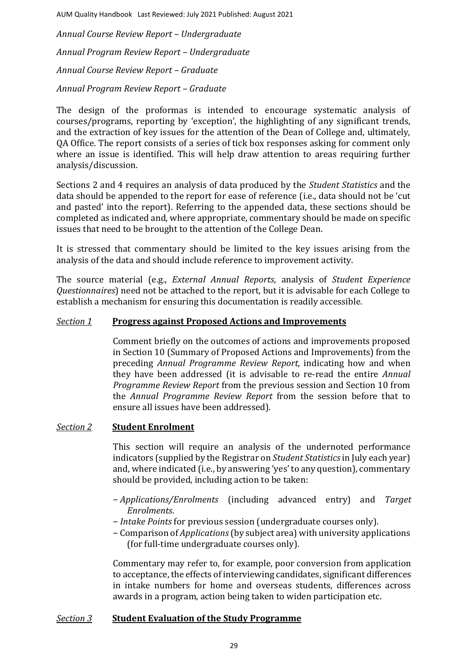*[Annual Course Review](file:///C:/Users/ola.tina/AppData/Local/Microsoft/Windows/INetCache/Content.Outlook/Forms/Section%202/Annual%20Course%20Appraisal%20Report%20UG.pdf) Report – Undergraduate [Annual Program](file:///C:/Users/ola.tina/AppData/Local/Microsoft/Windows/INetCache/Content.Outlook/Forms/Section%202/Annual%20Programme%20Appraisal%20Report%20UG.pdf) Review Report – Undergraduate [Annual Course Review](file:///C:/Users/ola.tina/AppData/Local/Microsoft/Windows/INetCache/Content.Outlook/Forms/Section%202/Annual%20Course%20Appraisal%20Report%20PG.pdf) Report – Graduate [Annual Program](file:///C:/Users/ola.tina/AppData/Local/Microsoft/Windows/INetCache/Content.Outlook/Forms/Section%202/Annual%20Programme%20Appraisal%20Report%20PG.pdf) Review Report – Graduate*

The design of the proformas is intended to encourage systematic analysis of courses/programs, reporting by 'exception', the highlighting of any significant trends, and the extraction of key issues for the attention of the Dean of College and, ultimately, QA Office. The report consists of a series of tick box responses asking for comment only where an issue is identified. This will help draw attention to areas requiring further analysis/discussion.

Sections 2 and 4 requires an analysis of data produced by the *Student Statistics* and the data should be appended to the report for ease of reference (i.e., data should not be 'cut and pasted' into the report). Referring to the appended data, these sections should be completed as indicated and, where appropriate, commentary should be made on specific issues that need to be brought to the attention of the College Dean.

It is stressed that commentary should be limited to the key issues arising from the analysis of the data and should include reference to improvement activity.

The source material (e.g., *External Annual Reports*, analysis of *Student Experience Questionnaires*) need not be attached to the report, but it is advisable for each College to establish a mechanism for ensuring this documentation is readily accessible.

## *Section 1* **Progress against Proposed Actions and Improvements**

Comment briefly on the outcomes of actions and improvements proposed in Section 10 (Summary of Proposed Actions and Improvements) from the preceding *Annual Programme Review Report*, indicating how and when they have been addressed (it is advisable to re-read the entire *Annual Programme Review Report* from the previous session and Section 10 from the *Annual Programme Review Report* from the session before that to ensure all issues have been addressed).

#### *Section 2* **Student Enrolment**

This section will require an analysis of the undernoted performance indicators (supplied by the Registrar on *Student Statistics*in July each year) and, where indicated (i.e., by answering 'yes' to any question), commentary should be provided, including action to be taken:

- − *Applications/Enrolments* (including advanced entry) and *Target Enrolments*.
- − *Intake Points* for previous session (undergraduate courses only).
- − Comparison of *Applications*(by subject area) with university applications (for full-time undergraduate courses only).

Commentary may refer to, for example, poor conversion from application to acceptance, the effects of interviewing candidates, significant differences in intake numbers for home and overseas students, differences across awards in a program, action being taken to widen participation etc.

# *Section 3* **Student Evaluation of the Study Programme**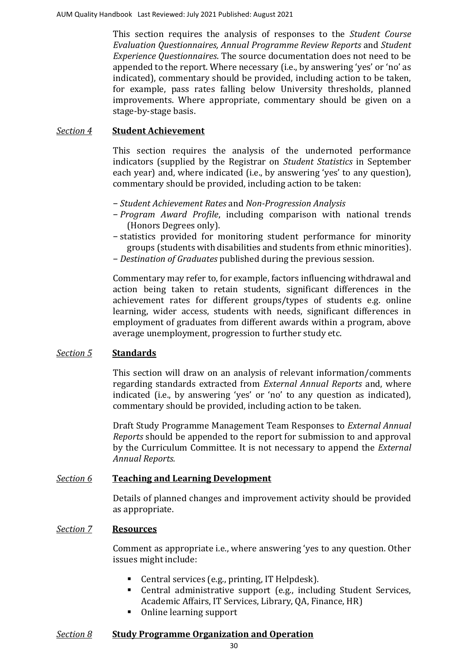This section requires the analysis of responses to the *Student Course Evaluation Questionnaires, Annual Programme Review Reports* and *Student Experience Questionnaires*. The source documentation does not need to be appended to the report. Where necessary (i.e., by answering 'yes' or 'no' as indicated), commentary should be provided, including action to be taken, for example, pass rates falling below University thresholds, planned improvements. Where appropriate, commentary should be given on a stage-by-stage basis.

### *Section 4* **Student Achievement**

This section requires the analysis of the undernoted performance indicators (supplied by the Registrar on *Student Statistics* in September each year) and, where indicated (i.e., by answering 'yes' to any question), commentary should be provided, including action to be taken:

- − *Student Achievement Rates* and *Non-Progression Analysis*
- − *Program Award Profile*, including comparison with national trends (Honors Degrees only).
- − statistics provided for monitoring student performance for minority groups (students with disabilities and students from ethnic minorities).
- − *Destination of Graduates* published during the previous session.

Commentary may refer to, for example, factors influencing withdrawal and action being taken to retain students, significant differences in the achievement rates for different groups/types of students e.g. online learning, wider access, students with needs, significant differences in employment of graduates from different awards within a program, above average unemployment, progression to further study etc.

#### *Section 5* **Standards**

This section will draw on an analysis of relevant information/comments regarding standards extracted from *External Annual Reports* and, where indicated (i.e., by answering 'yes' or 'no' to any question as indicated), commentary should be provided, including action to be taken.

Draft Study Programme Management Team Responses to *External Annual Reports* should be appended to the report for submission to and approval by the Curriculum Committee. It is not necessary to append the *External Annual Reports.*

#### *Section 6* **Teaching and Learning Development**

Details of planned changes and improvement activity should be provided as appropriate.

## *Section 7* **Resources**

Comment as appropriate i.e., where answering 'yes to any question. Other issues might include:

- Central services (e.g., printing, IT Helpdesk).
- Central administrative support (e.g., including Student Services, Academic Affairs, IT Services, Library, QA, Finance, HR)
- Online learning support

#### *Section 8* **Study Programme Organization and Operation**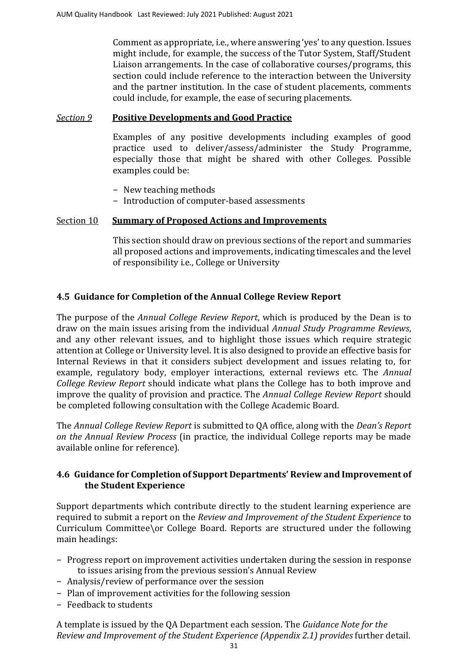Comment as appropriate, i.e., where answering 'yes' to any question. Issues might include, for example, the success of the Tutor System, Staff/Student Liaison arrangements. In the case of collaborative courses/programs, this section could include reference to the interaction between the University and the partner institution. In the case of student placements, comments could include, for example, the ease of securing placements.

# *Section 9* **Positive Developments and Good Practice**

Examples of any positive developments including examples of good practice used to deliver/assess/administer the Study Programme, especially those that might be shared with other Colleges. Possible examples could be:

- − New teaching methods
- − Introduction of computer-based assessments

# Section 10 **Summary of Proposed Actions and Improvements**

This section should draw on previous sections of the report and summaries all proposed actions and improvements, indicating timescales and the level of responsibility i.e., College or University

# **4.5 Guidance for Completion of the Annual College Review Report**

The purpose of the *[Annual College Review](file:///C:/Users/ola.tina/AppData/Local/Microsoft/Windows/INetCache/Content.Outlook/Forms/Section%202/Annual%20School%20Appraisal%20Report.pdf) Report*[, w](file:///C:/Users/ola.tina/AppData/Local/Microsoft/Windows/INetCache/Content.Outlook/Forms/Section%202/Annual%20School%20Appraisal%20Report.pdf)hich is produced by the Dean is to draw on the main issues arising from the individual *Annual Study Programme Reviews*, and any other relevant issues, and to highlight those issues which require strategic attention at College or University level. It is also designed to provide an effective basis for Internal Reviews in that it considers subject development and issues relating to, for example, regulatory body, employer interactions, external reviews etc. The *Annual College Review Report* should indicate what plans the College has to both improve and improve the quality of provision and practice. The *Annual College Review Report* should be completed following consultation with the College Academic Board.

The *Annual College Review Report* is submitted to QA office, along with the *[Dean's Report](file:///C:/Users/ola.tina/AppData/Local/Microsoft/Windows/INetCache/Content.Outlook/Forms/Section%202/Deans%20Report%20on%20the%20Annual%20Appraisal%20Process.pdf)  [on the](file:///C:/Users/ola.tina/AppData/Local/Microsoft/Windows/INetCache/Content.Outlook/Forms/Section%202/Deans%20Report%20on%20the%20Annual%20Appraisal%20Process.pdf) [Annual Review](file:///C:/Users/ola.tina/AppData/Local/Microsoft/Windows/INetCache/Content.Outlook/Forms/Section%202/Deans%20Report%20on%20the%20Annual%20Appraisal%20Process.pdf) Process* (in practice, the individual College reports may be made available online for reference)*.*

# **4.6 Guidance for Completion of Support Departments' Review and Improvement of the Student Experience**

Support departments which contribute directly to the student learning experience are required to submit a report on the *Review [and Improvement of the Student Experience](#page-31-0)* to Curriculum Committee\or College Board. Reports are structured under the following main headings:

- − Progress report on improvement activities undertaken during the session in response to issues arising from the previous session's Annual Review
- − Analysis/review of performance over the session
- − Plan of improvement activities for the following session
- − Feedback to students

A template is issued by the QA Department each session. The *[Guidance Note for the](#page-31-0) Review and Improvement [of the Student Experience \(Appendix 2.1\) p](#page-31-0)rovides* further detail.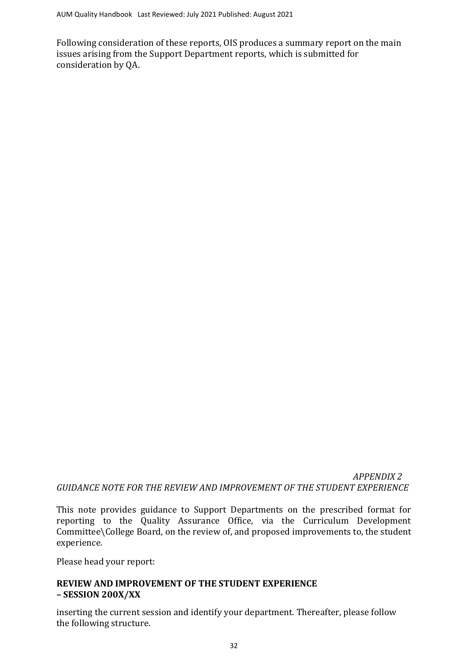Following consideration of these reports, OIS produces a summary report on the main issues arising from the Support Department reports, which is submitted for consideration by QA.

<span id="page-31-0"></span> *APPENDIX 2 GUIDANCE NOTE FOR THE REVIEW AND IMPROVEMENT OF THE STUDENT EXPERIENCE*

This note provides guidance to Support Departments on the prescribed format for reporting to the Quality Assurance Office, via the Curriculum Development Committee\College Board, on the review of, and proposed improvements to, the student experience.

Please head your report:

# **REVIEW AND IMPROVEMENT OF THE STUDENT EXPERIENCE – SESSION 200X/XX**

inserting the current session and identify your department. Thereafter, please follow the following structure.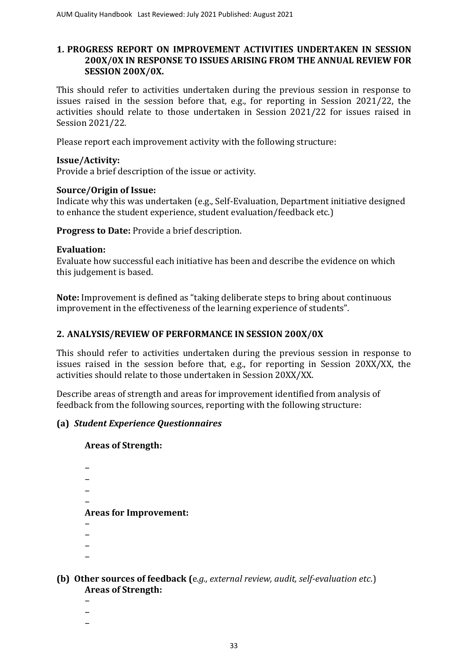# **1. PROGRESS REPORT ON IMPROVEMENT ACTIVITIES UNDERTAKEN IN SESSION 200X/0X IN RESPONSE TO ISSUES ARISING FROM THE ANNUAL REVIEW FOR SESSION 200X/0X.**

This should refer to activities undertaken during the previous session in response to issues raised in the session before that, e.g., for reporting in Session 2021/22, the activities should relate to those undertaken in Session 2021/22 for issues raised in Session 2021/22.

Please report each improvement activity with the following structure:

## **Issue/Activity:**

Provide a brief description of the issue or activity.

## **Source/Origin of Issue:**

Indicate why this was undertaken (e.g., Self-Evaluation, Department initiative designed to enhance the student experience, student evaluation/feedback etc.)

**Progress to Date:** Provide a brief description.

#### **Evaluation:**

Evaluate how successful each initiative has been and describe the evidence on which this judgement is based.

**Note:** Improvement is defined as "taking deliberate steps to bring about continuous improvement in the effectiveness of the learning experience of students".

# **2. ANALYSIS/REVIEW OF PERFORMANCE IN SESSION 200X/0X**

This should refer to activities undertaken during the previous session in response to issues raised in the session before that, e.g., for reporting in Session 20XX/XX, the activities should relate to those undertaken in Session 20XX/XX.

Describe areas of strength and areas for improvement identified from analysis of feedback from the following sources, reporting with the following structure:

# **(a)** *Student Experience Questionnaires*

#### **Areas of Strength:**

- −
- − −
- −

# **Areas for Improvement:**

- −
- −
- −
- −

## **(b) Other sources of feedback (**e*.g., external review, audit, self-evaluation etc*.) **Areas of Strength:**

- −
- − −

33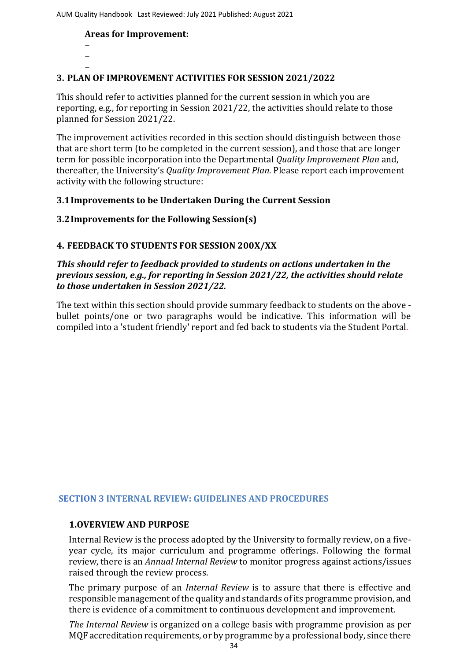## **Areas for Improvement:**

− −

#### − **3. PLAN OF IMPROVEMENT ACTIVITIES FOR SESSION 2021/2022**

This should refer to activities planned for the current session in which you are reporting, e.g., for reporting in Session 2021/22, the activities should relate to those planned for Session 2021/22.

The improvement activities recorded in this section should distinguish between those that are short term (to be completed in the current session), and those that are longer term for possible incorporation into the Departmental *Quality Improvement Plan* and, thereafter, the University's *Quality Improvement Plan*. Please report each improvement activity with the following structure:

## **3.1Improvements to be Undertaken During the Current Session**

## **3.2Improvements for the Following Session(s)**

## **4. FEEDBACK TO STUDENTS FOR SESSION 200X/XX**

# *This should refer to feedback provided to students on actions undertaken in the previous session, e.g., for reporting in Session 2021/22, the activities should relate to those undertaken in Session 2021/22.*

The text within this section should provide summary feedback to students on the above bullet points/one or two paragraphs would be indicative. This information will be compiled into a 'student friendly' report and fed back to students via the Student Portal.

# **SECTION 3 INTERNAL REVIEW: GUIDELINES AND PROCEDURES**

#### **1.OVERVIEW AND PURPOSE**

Internal Review is the process adopted by the University to formally review, on a fiveyear cycle, its major curriculum and programme offerings. Following the formal review, there is an *Annual Internal Review* to monitor progress against actions/issues raised through the review process.

The primary purpose of an *Internal Review* is to assure that there is effective and responsible management of the quality and standards of its programme provision, and there is evidence of a commitment to continuous development and improvement.

*The Internal Review* is organized on a college basis with programme provision as per MQF accreditation requirements, or by programme by a professional body, since there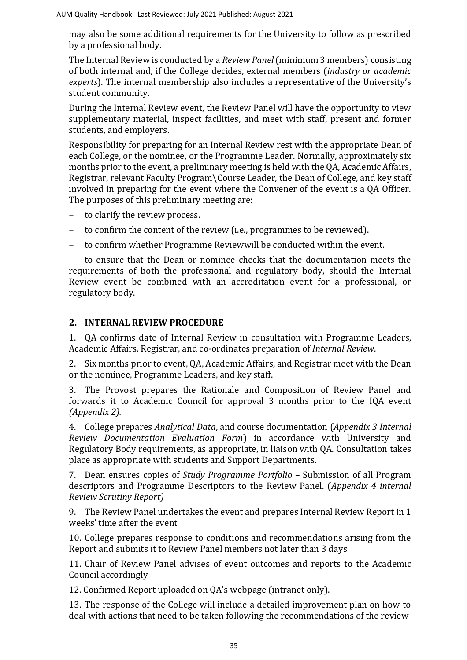may also be some additional requirements for the University to follow as prescribed by a professional body.

The Internal Review is conducted by a *Review Panel* (minimum 3 members) consisting of both internal and, if the College decides, external members (*industry or academic experts*). The internal membership also includes a representative of the University's student community.

During the Internal Review event, the Review Panel will have the opportunity to view supplementary material, inspect facilities, and meet with staff, present and former students, and employers.

Responsibility for preparing for an Internal Review rest with the appropriate Dean of each College, or the nominee, or the Programme Leader. Normally, approximately six months prior to the event, a preliminary meeting is held with the QA, Academic Affairs, Registrar, relevant Faculty Program\Course Leader, the Dean of College, and key staff involved in preparing for the event where the Convener of the event is a QA Officer. The purposes of this preliminary meeting are:

- − to clarify the review process.
- − to confirm the content of the review (i.e., programmes to be reviewed).
- − to confirm whether Programme Reviewwill be conducted within the event.

− to ensure that the Dean or nominee checks that the documentation meets the requirements of both the professional and regulatory body, should the Internal Review event be combined with an accreditation event for a professional, or regulatory body.

# **2. INTERNAL REVIEW PROCEDURE**

1. QA confirms date of Internal Review in consultation with Programme Leaders, Academic Affairs, Registrar, and co-ordinates preparation of *Internal Review*.

2. Six months prior to event, QA, Academic Affairs, and Registrar meet with the Dean or the nominee, Programme Leaders, and key staff.

3. The Provost prepares the Rationale and Composition of Review Panel and forwards it to Academic Council for approval 3 months prior to the IQA event *(Appendix 2).*

4. College prepares *Analytical Data*, and course documentation (*Appendix 3 Internal Review Documentation Evaluation Form*) in accordance with University and Regulatory Body requirements, as appropriate, in liaison with QA. Consultation takes place as appropriate with students and Support Departments.

7. Dean ensures copies of *Study Programme Portfolio* – Submission of all Program descriptors and Programme Descriptors to the Review Panel. (*Appendix 4 internal Review Scrutiny Report)*

9. The Review Panel undertakes the event and prepares Internal Review Report in 1 weeks' time after the event

10. College prepares response to conditions and recommendations arising from the Report and submits it to Review Panel members not later than 3 days

11. Chair of Review Panel advises of event outcomes and reports to the Academic Council accordingly

12. Confirmed Report uploaded on QA's webpage (intranet only).

13. The response of the College will include a detailed improvement plan on how to deal with actions that need to be taken following the recommendations of the review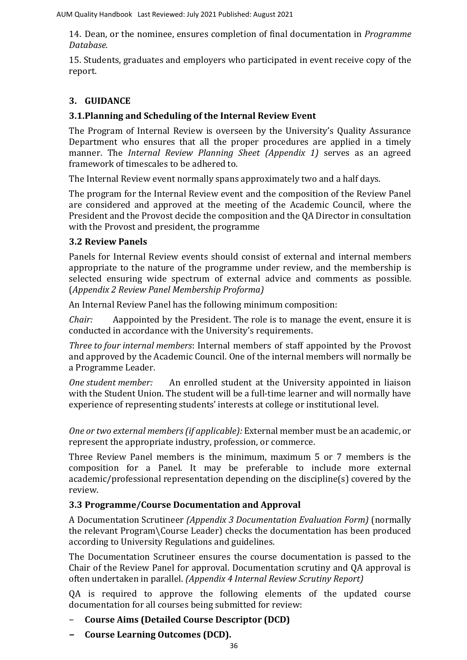14. Dean, or the nominee, ensures completion of final documentation in *Programme Database.*

15. Students, graduates and employers who participated in event receive copy of the report.

# **3. GUIDANCE**

# **3.1.Planning and Scheduling of the Internal Review Event**

The Program of Internal Review is overseen by the University's Quality Assurance Department who ensures that all the proper procedures are applied in a timely manner. The *Internal Review Planning Sheet (Appendix 1)* serves as an agreed framework of timescales to be adhered to.

The Internal Review event normally spans approximately two and a half days.

The program for the Internal Review event and the composition of the Review Panel are considered and approved at the meeting of the Academic Council, where the President and the Provost decide the composition and the QA Director in consultation with the Provost and president, the programme

# **3.2 Review Panels**

Panels for Internal Review events should consist of external and internal members appropriate to the nature of the programme under review, and the membership is selected ensuring wide spectrum of external advice and comments as possible. (*Appendix 2 Review Panel Membership Proforma)*

An Internal Review Panel has the following minimum composition:

*Chair:* Aappointed by the President. The role is to manage the event, ensure it is conducted in accordance with the University's requirements.

*Three to four internal members*: Internal members of staff appointed by the Provost and approved by the Academic Council. One of the internal members will normally be a Programme Leader.

*One student member:* An enrolled student at the University appointed in liaison with the Student Union. The student will be a full-time learner and will normally have experience of representing students' interests at college or institutional level.

*One or two external members (if applicable):* External member must be an academic, or represent the appropriate industry, profession, or commerce.

Three Review Panel members is the minimum, maximum 5 or 7 members is the composition for a Panel. It may be preferable to include more external academic/professional representation depending on the discipline(s) covered by the review.

# **3.3 Programme/Course Documentation and Approval**

A Documentation Scrutineer *(Appendix 3 Documentation Evaluation Form)* (normally the relevant Program\Course Leader) checks the documentation has been produced according to University Regulations and guidelines.

The Documentation Scrutineer ensures the course documentation is passed to the Chair of the Review Panel for approval. Documentation scrutiny and QA approval is often undertaken in parallel. *(Appendix 4 Internal Review Scrutiny Report)*

QA is required to approve the following elements of the updated course documentation for all courses being submitted for review:

- − **Course Aims (Detailed Course Descriptor (DCD)**
- **− Course Learning Outcomes (DCD).**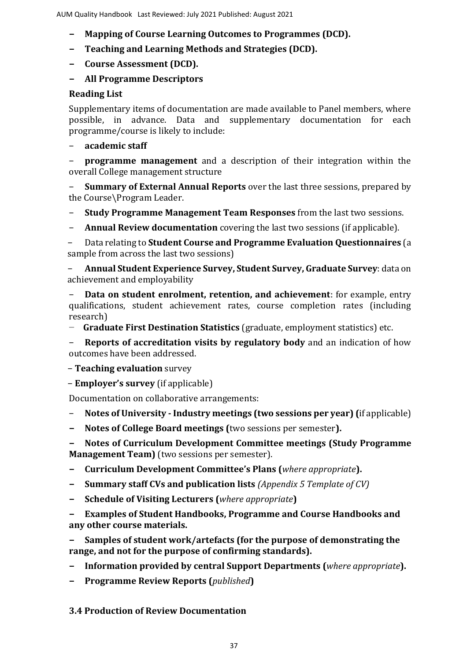- **− Mapping of Course Learning Outcomes to Programmes (DCD).**
- **− Teaching and Learning Methods and Strategies (DCD).**
- **− Course Assessment (DCD).**
- **− All Programme Descriptors**

## **Reading List**

Supplementary items of documentation are made available to Panel members, where possible, in advance. Data and supplementary documentation for each programme/course is likely to include:

− **academic staff**

− **programme management** and a description of their integration within the overall College management structure

− **Summary of External Annual Reports** over the last three sessions, prepared by the Course\Program Leader.

- − **Study Programme Management Team Responses** from the last two sessions.
- − **Annual Review documentation** covering the last two sessions (if applicable).

− Data relating to **Student Course and Programme Evaluation Questionnaires** (a sample from across the last two sessions)

− **Annual Student Experience Survey, Student Survey, Graduate Survey**: data on achievement and employability

− **Data on student enrolment, retention, and achievement**: for example, entry qualifications, student achievement rates, course completion rates (including research)

− **Graduate First Destination Statistics** (graduate, employment statistics) etc.

**Reports of accreditation visits by regulatory body** and an indication of how outcomes have been addressed.

− **Teaching evaluation** survey

− **Employer's survey** (if applicable)

Documentation on collaborative arrangements:

- − **Notes of University - Industry meetings (two sessions per year) (**if applicable)
- **− Notes of College Board meetings (**two sessions per semester**).**

**− Notes of Curriculum Development Committee meetings (Study Programme Management Team)** (two sessions per semester).

- **− Curriculum Development Committee's Plans (***where appropriate***).**
- **− Summary staff CVs and publication lists** *(Appendix 5 Template of CV)*
- **− Schedule of Visiting Lecturers (***where appropriate***)**

**− Examples of Student Handbooks, Programme and Course Handbooks and any other course materials.**

**− Samples of student work/artefacts (for the purpose of demonstrating the range, and not for the purpose of confirming standards).**

- **− Information provided by central Support Departments (***where appropriate***).**
- **− Programme Review Reports (***published***)**

**3.4 Production of Review Documentation**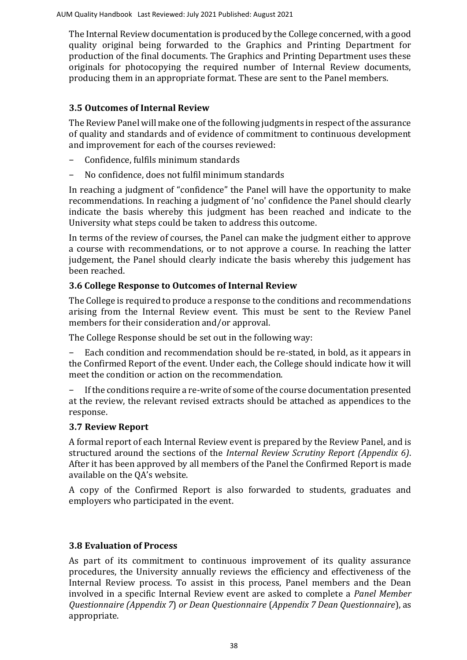The Internal Review documentation is produced by the College concerned, with a good quality original being forwarded to the Graphics and Printing Department for production of the final documents. The Graphics and Printing Department uses these originals for photocopying the required number of Internal Review documents, producing them in an appropriate format. These are sent to the Panel members.

#### **3.5 Outcomes of Internal Review**

The Review Panel will make one of the following judgments in respect of the assurance of quality and standards and of evidence of commitment to continuous development and improvement for each of the courses reviewed:

- − Confidence, fulfils minimum standards
- − No confidence, does not fulfil minimum standards

In reaching a judgment of "confidence" the Panel will have the opportunity to make recommendations. In reaching a judgment of 'no' confidence the Panel should clearly indicate the basis whereby this judgment has been reached and indicate to the University what steps could be taken to address this outcome.

In terms of the review of courses, the Panel can make the judgment either to approve a course with recommendations, or to not approve a course. In reaching the latter judgement, the Panel should clearly indicate the basis whereby this judgement has been reached.

### **3.6 College Response to Outcomes of Internal Review**

The College is required to produce a response to the conditions and recommendations arising from the Internal Review event. This must be sent to the Review Panel members for their consideration and/or approval.

The College Response should be set out in the following way:

− Each condition and recommendation should be re-stated, in bold, as it appears in the Confirmed Report of the event. Under each, the College should indicate how it will meet the condition or action on the recommendation.

If the conditions require a re-write of some of the course documentation presented at the review, the relevant revised extracts should be attached as appendices to the response.

#### **3.7 Review Report**

A formal report of each Internal Review event is prepared by the Review Panel, and is structured around the sections of the *Internal Review Scrutiny Report (Appendix 6)*. After it has been approved by all members of the Panel the Confirmed Report is made available on the QA's website.

A copy of the Confirmed Report is also forwarded to students, graduates and employers who participated in the event.

#### **3.8 Evaluation of Process**

As part of its commitment to continuous improvement of its quality assurance procedures, the University annually reviews the efficiency and effectiveness of the Internal Review process. To assist in this process, Panel members and the Dean involved in a specific Internal Review event are asked to complete a *Panel Member Questionnaire (Appendix 7*) *or Dean Questionnaire* (*Appendix 7 Dean Questionnaire*), as appropriate.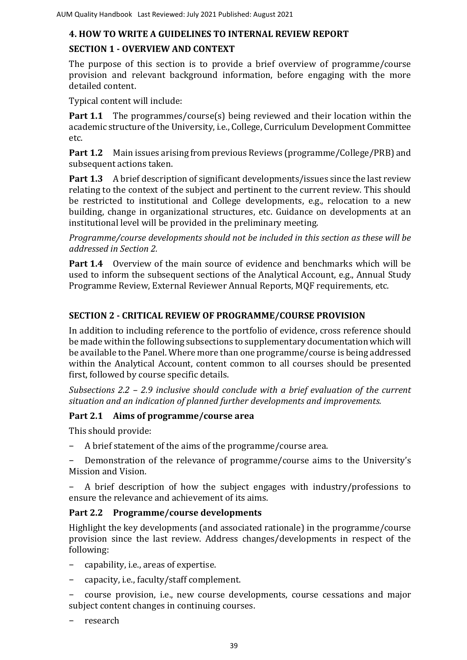### **4. HOW TO WRITE A GUIDELINES TO INTERNAL REVIEW REPORT**

### **SECTION 1 - OVERVIEW AND CONTEXT**

The purpose of this section is to provide a brief overview of programme/course provision and relevant background information, before engaging with the more detailed content.

Typical content will include:

**Part 1.1** The programmes/course(s) being reviewed and their location within the academic structure of the University, i.e., College, Curriculum Development Committee etc.

**Part 1.2** Main issues arising from previous Reviews (programme/College/PRB) and subsequent actions taken.

**Part 1.3** A brief description of significant developments/issues since the last review relating to the context of the subject and pertinent to the current review. This should be restricted to institutional and College developments, e.g., relocation to a new building, change in organizational structures, etc. Guidance on developments at an institutional level will be provided in the preliminary meeting.

*Programme/course developments should not be included in this section as these will be addressed in Section 2.*

**Part 1.4** Overview of the main source of evidence and benchmarks which will be used to inform the subsequent sections of the Analytical Account, e.g., Annual Study Programme Review, External Reviewer Annual Reports, MQF requirements, etc.

### **SECTION 2 - CRITICAL REVIEW OF PROGRAMME/COURSE PROVISION**

In addition to including reference to the portfolio of evidence, cross reference should be made within the following subsections to supplementary documentation which will be available to the Panel. Where more than one programme/course is being addressed within the Analytical Account, content common to all courses should be presented first, followed by course specific details.

*Subsections 2.2 – 2.9 inclusive should conclude with a brief evaluation of the current situation and an indication of planned further developments and improvements.*

### **Part 2.1 Aims of programme/course area**

This should provide:

- − A brief statement of the aims of the programme/course area.
- Demonstration of the relevance of programme/course aims to the University's Mission and Vision.

− A brief description of how the subject engages with industry/professions to ensure the relevance and achievement of its aims.

### **Part 2.2 Programme/course developments**

Highlight the key developments (and associated rationale) in the programme/course provision since the last review. Address changes/developments in respect of the following:

- − capability, i.e., areas of expertise.
- − capacity, i.e., faculty/staff complement.

− course provision, i.e., new course developments, course cessations and major subject content changes in continuing courses.

− research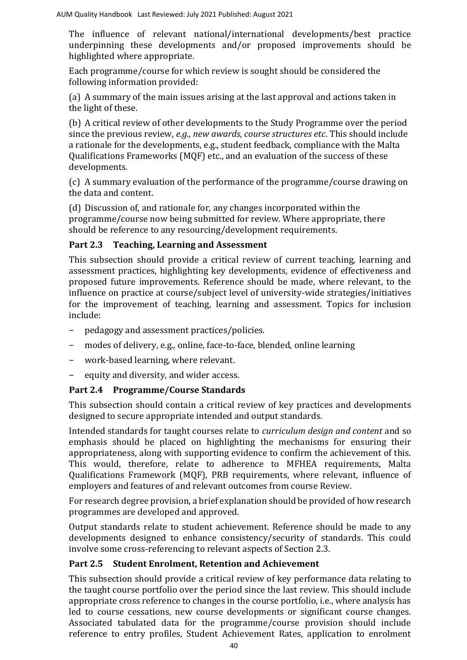AUM Quality Handbook Last Reviewed: July 2021 Published: August 2021

The influence of relevant national/international developments/best practice underpinning these developments and/or proposed improvements should be highlighted where appropriate.

Each programme/course for which review is sought should be considered the following information provided:

(a) A summary of the main issues arising at the last approval and actions taken in the light of these.

(b) A critical review of other developments to the Study Programme over the period since the previous review, *e.g., new awards, course structures etc*. This should include a rationale for the developments, e.g., student feedback, compliance with the Malta Qualifications Frameworks (MQF) etc., and an evaluation of the success of these developments.

(c) A summary evaluation of the performance of the programme/course drawing on the data and content.

(d) Discussion of, and rationale for, any changes incorporated within the programme/course now being submitted for review. Where appropriate, there should be reference to any resourcing/development requirements.

## **Part 2.3 Teaching, Learning and Assessment**

This subsection should provide a critical review of current teaching, learning and assessment practices, highlighting key developments, evidence of effectiveness and proposed future improvements. Reference should be made, where relevant, to the influence on practice at course/subject level of university-wide strategies/initiatives for the improvement of teaching, learning and assessment. Topics for inclusion include:

- − pedagogy and assessment practices/policies.
- − modes of delivery, e.g., online, face-to-face, blended, online learning
- − work-based learning, where relevant.
- − equity and diversity, and wider access.

# **Part 2.4 Programme/Course Standards**

This subsection should contain a critical review of key practices and developments designed to secure appropriate intended and output standards.

Intended standards for taught courses relate to *curriculum design and content* and so emphasis should be placed on highlighting the mechanisms for ensuring their appropriateness, along with supporting evidence to confirm the achievement of this. This would, therefore, relate to adherence to MFHEA requirements, Malta Qualifications Framework (MQF), PRB requirements, where relevant, influence of employers and features of and relevant outcomes from course Review.

For research degree provision, a brief explanation should be provided of how research programmes are developed and approved.

Output standards relate to student achievement. Reference should be made to any developments designed to enhance consistency/security of standards. This could involve some cross-referencing to relevant aspects of Section 2.3.

### **Part 2.5 Student Enrolment, Retention and Achievement**

This subsection should provide a critical review of key performance data relating to the taught course portfolio over the period since the last review. This should include appropriate cross reference to changes in the course portfolio, i.e., where analysis has led to course cessations, new course developments or significant course changes. Associated tabulated data for the programme/course provision should include reference to entry profiles, Student Achievement Rates, application to enrolment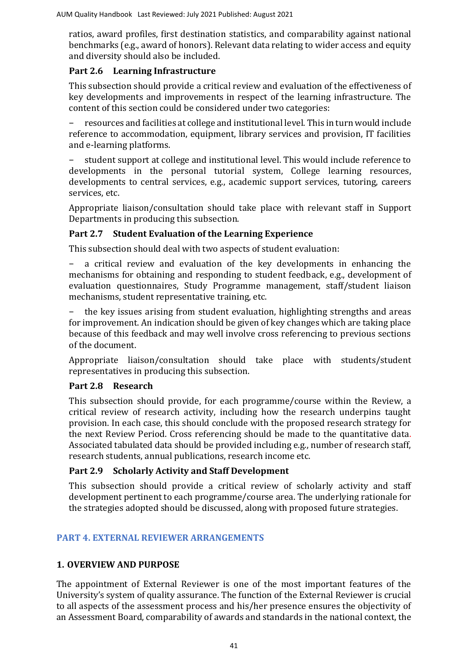ratios, award profiles, first destination statistics, and comparability against national benchmarks (e.g., award of honors). Relevant data relating to wider access and equity and diversity should also be included.

### **Part 2.6 Learning Infrastructure**

This subsection should provide a critical review and evaluation of the effectiveness of key developments and improvements in respect of the learning infrastructure. The content of this section could be considered under two categories:

− resources and facilities at college and institutional level. This in turn would include reference to accommodation, equipment, library services and provision, IT facilities and e-learning platforms.

− student support at college and institutional level. This would include reference to developments in the personal tutorial system, College learning resources, developments to central services, e.g., academic support services, tutoring, careers services, etc.

Appropriate liaison/consultation should take place with relevant staff in Support Departments in producing this subsection.

### **Part 2.7 Student Evaluation of the Learning Experience**

This subsection should deal with two aspects of student evaluation:

a critical review and evaluation of the key developments in enhancing the mechanisms for obtaining and responding to student feedback, e.g., development of evaluation questionnaires, Study Programme management, staff/student liaison mechanisms, student representative training, etc.

the key issues arising from student evaluation, highlighting strengths and areas for improvement. An indication should be given of key changes which are taking place because of this feedback and may well involve cross referencing to previous sections of the document.

Appropriate liaison/consultation should take place with students/student representatives in producing this subsection.

### **Part 2.8 Research**

This subsection should provide, for each programme/course within the Review, a critical review of research activity, including how the research underpins taught provision. In each case, this should conclude with the proposed research strategy for the next Review Period. Cross referencing should be made to the quantitative data. Associated tabulated data should be provided including e.g., number of research staff, research students, annual publications, research income etc.

### **Part 2.9 Scholarly Activity and Staff Development**

This subsection should provide a critical review of scholarly activity and staff development pertinent to each programme/course area. The underlying rationale for the strategies adopted should be discussed, along with proposed future strategies.

#### **PART 4. EXTERNAL REVIEWER ARRANGEMENTS**

### **1. OVERVIEW AND PURPOSE**

The appointment of External Reviewer is one of the most important features of the University's system of quality assurance. The function of the External Reviewer is crucial to all aspects of the assessment process and his/her presence ensures the objectivity of an Assessment Board, comparability of awards and standards in the national context, the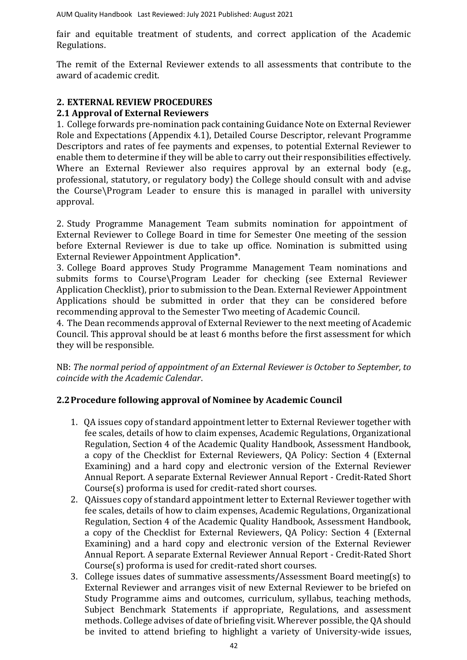AUM Quality Handbook Last Reviewed: July 2021 Published: August 2021

fair and equitable treatment of students, and correct application of the Academic Regulations.

The remit of the External Reviewer extends to all assessments that contribute to the award of academic credit.

### **2. EXTERNAL REVIEW PROCEDURES**

### **2.1 Approval of External Reviewers**

1. College forwards pre-nomination pack containing Guidance Note on External Reviewer Role and Expectations (Appendix 4.1), Detailed Course Descriptor, relevant Programme Descriptors and rates of fee payments and expenses, to potential External Reviewer to enable them to determine if they will be able to carry out their responsibilities effectively. Where an External Reviewer also requires approval by an external body (e.g., professional, statutory, or regulatory body) the College should consult with and advise the Course\Program Leader to ensure this is managed in parallel with university approval.

2. Study Programme Management Team submits nomination for appointment of External Reviewer to College Board in time for Semester One meeting of the session before External Reviewer is due to take up office. Nomination is submitted using External Reviewer Appointment Application\*.

3. College Board approves Study Programme Management Team nominations and submits forms to Course\Program Leader for checking (see External Reviewer Application Checklist), prior to submission to the Dean. External Reviewer Appointment Applications should be submitted in order that they can be considered before recommending approval to the Semester Two meeting of Academic Council.

4. The Dean recommends approval of External Reviewer to the next meeting of Academic Council. This approval should be at least 6 months before the first assessment for which they will be responsible.

NB: *The normal period of appointment of an External Reviewer is October to September, to coincide with the Academic Calendar*.

#### **2.2Procedure following approval of Nominee by Academic Council**

- 1. QA issues copy of standard appointment letter to External Reviewer together with fee scales, details of how to claim expenses, Academic Regulations, Organizational Regulation, Section 4 of the Academic Quality Handbook, Assessment Handbook, a copy of the Checklist for External Reviewers, QA Policy: Section 4 (External Examining) and a hard copy and electronic version of the External Reviewer Annual Report. A separate External Reviewer Annual Report - Credit-Rated Short Course(s) proforma is used for credit-rated short courses.
- 2. QAissues copy of standard appointment letter to External Reviewer together with fee scales, details of how to claim expenses, Academic Regulations, Organizational Regulation, Section 4 of the Academic Quality Handbook, Assessment Handbook, a copy of the Checklist for External Reviewers, QA Policy: Section 4 (External Examining) and a hard copy and electronic version of the External Reviewer Annual Report. A separate External Reviewer Annual Report - Credit-Rated Short Course(s) proforma is used for credit-rated short courses.
- 3. College issues dates of summative assessments/Assessment Board meeting(s) to External Reviewer and arranges visit of new External Reviewer to be briefed on Study Programme aims and outcomes, curriculum, syllabus, teaching methods, Subject Benchmark Statements if appropriate, Regulations, and assessment methods. College advises of date of briefing visit. Wherever possible, the QA should be invited to attend briefing to highlight a variety of University-wide issues,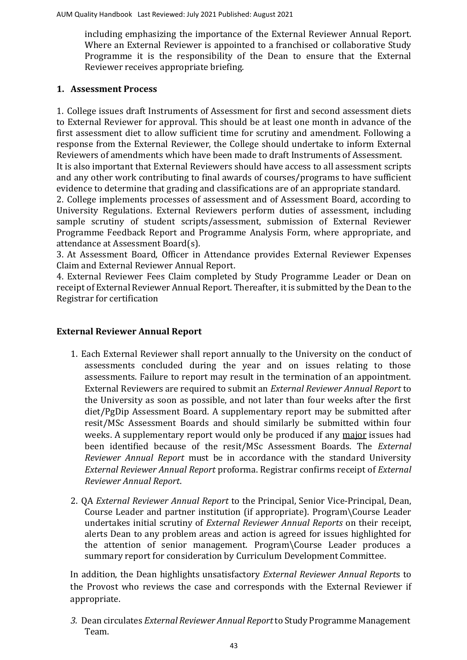including emphasizing the importance of the External Reviewer Annual Report. Where an External Reviewer is appointed to a franchised or collaborative Study Programme it is the responsibility of the Dean to ensure that the External Reviewer receives appropriate briefing.

#### **1. Assessment Process**

1. College issues draft Instruments of Assessment for first and second assessment diets to External Reviewer for approval. This should be at least one month in advance of the first assessment diet to allow sufficient time for scrutiny and amendment. Following a response from the External Reviewer, the College should undertake to inform External Reviewers of amendments which have been made to draft Instruments of Assessment.

It is also important that External Reviewers should have access to all assessment scripts and any other work contributing to final awards of courses/programs to have sufficient evidence to determine that grading and classifications are of an appropriate standard.

2. College implements processes of assessment and of Assessment Board, according to University Regulations. External Reviewers perform duties of assessment, including sample scrutiny of student scripts/assessment, submission of External Reviewer Programme Feedback Report and Programme Analysis Form, where appropriate, and attendance at Assessment Board(s).

3. At Assessment Board, Officer in Attendance provides External Reviewer Expenses Claim and External Reviewer Annual Report.

4. External Reviewer Fees Claim completed by Study Programme Leader or Dean on receipt of External Reviewer Annual Report. Thereafter, it is submitted by the Dean to the Registrar for certification

#### **External Reviewer Annual Report**

- 1. Each External Reviewer shall report annually to the University on the conduct of assessments concluded during the year and on issues relating to those assessments. Failure to report may result in the termination of an appointment. External Reviewers are required to submit an *[External Reviewer](file:///C:/Users/ola.tina/AppData/Local/Microsoft/Windows/INetCache/Content.Outlook/Forms/Section%204/External%20Examiner%20Annual%20Report.pdf) Annual Report* [t](file:///C:/Users/ola.tina/AppData/Local/Microsoft/Windows/INetCache/Content.Outlook/Forms/Section%204/External%20Examiner%20Annual%20Report.pdf)o the University as soon as possible, and not later than four weeks after the first diet/PgDip Assessment Board. A supplementary report may be submitted after resit/MSc Assessment Boards and should similarly be submitted within four weeks. A supplementary report would only be produced if any major issues had been identified because of the resit/MSc Assessment Boards. The *[External](file:///C:/Users/ola.tina/AppData/Local/Microsoft/Windows/INetCache/Content.Outlook/Forms/Section%204/External%20Examiner%20Annual%20Report.pdf) Reviewer [Annual Report](file:///C:/Users/ola.tina/AppData/Local/Microsoft/Windows/INetCache/Content.Outlook/Forms/Section%204/External%20Examiner%20Annual%20Report.pdf)* must be in accordance with the standard University *[External Reviewer](file:///C:/Users/ola.tina/AppData/Local/Microsoft/Windows/INetCache/Content.Outlook/Forms/Section%204/External%20Examiner%20Annual%20Report.pdf) Annual Repor[t](file:///C:/Users/ola.tina/AppData/Local/Microsoft/Windows/INetCache/Content.Outlook/Forms/Section%204/External%20Examiner%20Annual%20Report.pdf)* proforma. Registrar confirms receipt of *[External](file:///C:/Users/ola.tina/AppData/Local/Microsoft/Windows/INetCache/Content.Outlook/Forms/Section%204/External%20Examiner%20Annual%20Report.pdf)  Reviewer [Annual Report](file:///C:/Users/ola.tina/AppData/Local/Microsoft/Windows/INetCache/Content.Outlook/Forms/Section%204/External%20Examiner%20Annual%20Report.pdf)*[.](file:///C:/Users/ola.tina/AppData/Local/Microsoft/Windows/INetCache/Content.Outlook/Forms/Section%204/External%20Examiner%20Annual%20Report.pdf)
- 2. QA *[External Reviewer](file:///C:/Users/ola.tina/AppData/Local/Microsoft/Windows/INetCache/Content.Outlook/Forms/Section%204/External%20Examiner%20Annual%20Report.pdf) [Annual Report](file:///C:/Users/ola.tina/AppData/Local/Microsoft/Windows/INetCache/Content.Outlook/Forms/Section%204/External%20Examiner%20Annual%20Report.pdf)* to the Principal, Senior Vice-Principal, Dean, Course Leader and partner institution (if appropriate). Program\Course Leader undertakes initial scrutiny of *[External Reviewer](file:///C:/Users/ola.tina/AppData/Local/Microsoft/Windows/INetCache/Content.Outlook/Forms/Section%204/External%20Examiner%20Annual%20Report.pdf) Annual Report[s](file:///C:/Users/ola.tina/AppData/Local/Microsoft/Windows/INetCache/Content.Outlook/Forms/Section%204/External%20Examiner%20Annual%20Report.pdf)* on their receipt, alerts Dean to any problem areas and action is agreed for issues highlighted for the attention of senior management. Program\Course Leader produces a summary report for consideration by Curriculum Development Committee.

In addition, the Dean highlights unsatisfactory *[External Reviewer](file:///C:/Users/ola.tina/AppData/Local/Microsoft/Windows/INetCache/Content.Outlook/Forms/Section%204/External%20Examiner%20Annual%20Report.pdf) [Annual Report](file:///C:/Users/ola.tina/AppData/Local/Microsoft/Windows/INetCache/Content.Outlook/Forms/Section%204/External%20Examiner%20Annual%20Report.pdf)*[s](file:///C:/Users/ola.tina/AppData/Local/Microsoft/Windows/INetCache/Content.Outlook/Forms/Section%204/External%20Examiner%20Annual%20Report.pdf) [t](file:///C:/Users/ola.tina/AppData/Local/Microsoft/Windows/INetCache/Content.Outlook/Forms/Section%204/External%20Examiner%20Annual%20Report.pdf)o the Provost who reviews the case and corresponds with the External Reviewer if appropriate.

*3.* Dean circulates *[External Reviewer](file:///C:/Users/ola.tina/AppData/Local/Microsoft/Windows/INetCache/Content.Outlook/Forms/Section%204/External%20Examiner%20Annual%20Report.pdf) Annual [Report](file:///C:/Users/ola.tina/AppData/Local/Microsoft/Windows/INetCache/Content.Outlook/Forms/Section%204/External%20Examiner%20Annual%20Report.pdf)* to Study Programme Management Team.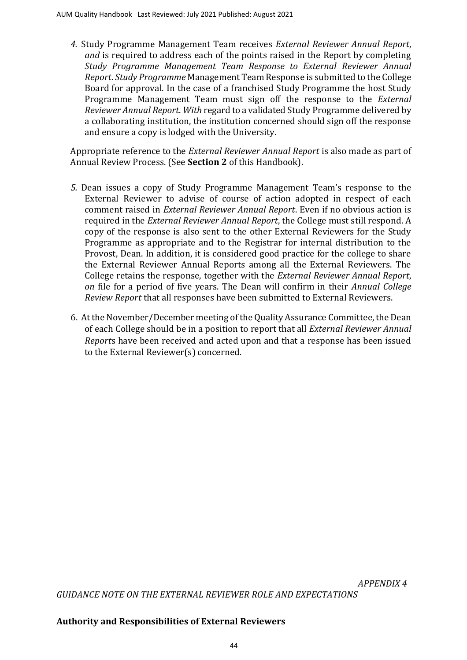*4.* Study Programme Management Team receives *[External](file:///C:/Users/ola.tina/AppData/Local/Microsoft/Windows/INetCache/Content.Outlook/Forms/Section%204/External%20Examiner%20Annual%20Report.pdf) Reviewer [Annual Report](file:///C:/Users/ola.tina/AppData/Local/Microsoft/Windows/INetCache/Content.Outlook/Forms/Section%204/External%20Examiner%20Annual%20Report.pdf)*[,](file:///C:/Users/ola.tina/AppData/Local/Microsoft/Windows/INetCache/Content.Outlook/Forms/Section%204/External%20Examiner%20Annual%20Report.pdf)  *and* is required to address each of the points raised in the Report by completing *[Study Programme](file:///C:/Users/ola.tina/AppData/Local/Microsoft/Windows/INetCache/Content.Outlook/Forms/Section%204/CMT-PMT%20Response%20to%20External%20Examiner%20Annual%20Report.pdf) [Management Team Response to External Reviewer](file:///C:/Users/ola.tina/AppData/Local/Microsoft/Windows/INetCache/Content.Outlook/Forms/Section%204/CMT-PMT%20Response%20to%20External%20Examiner%20Annual%20Report.pdf) Annual [Report](file:///C:/Users/ola.tina/AppData/Local/Microsoft/Windows/INetCache/Content.Outlook/Forms/Section%204/CMT-PMT%20Response%20to%20External%20Examiner%20Annual%20Report.pdf)*[.](file:///C:/Users/ola.tina/AppData/Local/Microsoft/Windows/INetCache/Content.Outlook/Forms/Section%204/CMT-PMT%20Response%20to%20External%20Examiner%20Annual%20Report.pdf) *Study Programme* Management Team Response is submitted to the College Board for approval. In the case of a franchised Study Programme the host Study Programme Management Team must sign off the response to the *[External](file:///C:/Users/ola.tina/AppData/Local/Microsoft/Windows/INetCache/Content.Outlook/Forms/Section%204/External%20Examiner%20Annual%20Report.pdf) Reviewer [Annual Report](file:///C:/Users/ola.tina/AppData/Local/Microsoft/Windows/INetCache/Content.Outlook/Forms/Section%204/External%20Examiner%20Annual%20Report.pdf)*[.](file:///C:/Users/ola.tina/AppData/Local/Microsoft/Windows/INetCache/Content.Outlook/Forms/Section%204/External%20Examiner%20Annual%20Report.pdf) *With* regard to a validated Study Programme delivered by a collaborating institution, the institution concerned should sign off the response and ensure a copy is lodged with the University.

Appropriate reference to the *[External Reviewer](file:///C:/Users/ola.tina/AppData/Local/Microsoft/Windows/INetCache/Content.Outlook/Forms/Section%204/External%20Examiner%20Annual%20Report.pdf) Annual Report* [i](file:///C:/Users/ola.tina/AppData/Local/Microsoft/Windows/INetCache/Content.Outlook/Forms/Section%204/External%20Examiner%20Annual%20Report.pdf)s also made as part of Annual Review Process. (See **[Section 2](file:///C:/Users/ola.tina/AppData/Local/Microsoft/Windows/INetCache/Content.Outlook/2PY684QH/Section%202%20Annual%20Appraisal%20Process.pdf)** of this Handbook).

- *5.* Dean issues a copy of Study Programme Management Team's response to the External Reviewer to advise of course of action adopted in respect of each comment raised in *[External Reviewer](file:///C:/Users/ola.tina/AppData/Local/Microsoft/Windows/INetCache/Content.Outlook/Forms/Section%204/External%20Examiner%20Annual%20Report.pdf) Annual Report*[. E](file:///C:/Users/ola.tina/AppData/Local/Microsoft/Windows/INetCache/Content.Outlook/Forms/Section%204/External%20Examiner%20Annual%20Report.pdf)ven if no obvious action is required in the *[External Reviewer](file:///C:/Users/ola.tina/AppData/Local/Microsoft/Windows/INetCache/Content.Outlook/Forms/Section%204/External%20Examiner%20Annual%20Report.pdf) Annual [Report](file:///C:/Users/ola.tina/AppData/Local/Microsoft/Windows/INetCache/Content.Outlook/Forms/Section%204/External%20Examiner%20Annual%20Report.pdf)*, the College must still respond. A copy of the response is also sent to the other External Reviewers for the Study Programme as appropriate and to the Registrar for internal distribution to the Provost, Dean. In addition, it is considered good practice for the college to share the External Reviewer Annual Reports among all the External Reviewers. The College retains the response, together with the *[External Reviewer](file:///C:/Users/ola.tina/AppData/Local/Microsoft/Windows/INetCache/Content.Outlook/Forms/Section%204/External%20Examiner%20Annual%20Report.pdf) Annual Report*[,](file:///C:/Users/ola.tina/AppData/Local/Microsoft/Windows/INetCache/Content.Outlook/Forms/Section%204/External%20Examiner%20Annual%20Report.pdf)  *on* file for a period of five years. The Dean will confirm in their *[Annual College](file:///C:/Users/ola.tina/AppData/Local/Microsoft/Windows/INetCache/Content.Outlook/Forms/Section%202/Annual%20School%20Appraisal%20Report.pdf) Review [Report](file:///C:/Users/ola.tina/AppData/Local/Microsoft/Windows/INetCache/Content.Outlook/Forms/Section%202/Annual%20School%20Appraisal%20Report.pdf)* that all responses have been submitted to External Reviewers.
- 6. At the November/December meeting of the Quality Assurance Committee, the Dean of each College should be in a position to report that all *[External Reviewer](file:///C:/Users/ola.tina/AppData/Local/Microsoft/Windows/INetCache/Content.Outlook/Forms/Section%204/External%20Examiner%20Annual%20Report.pdf) Annual [Report](file:///C:/Users/ola.tina/AppData/Local/Microsoft/Windows/INetCache/Content.Outlook/Forms/Section%204/External%20Examiner%20Annual%20Report.pdf)*[s](file:///C:/Users/ola.tina/AppData/Local/Microsoft/Windows/INetCache/Content.Outlook/Forms/Section%204/External%20Examiner%20Annual%20Report.pdf) have been received and acted upon and that a response has been issued to the External Reviewer(s) concerned.

*GUIDANCE NOTE ON THE EXTERNAL REVIEWER ROLE AND EXPECTATIONS*

#### **Authority and Responsibilities of External Reviewers**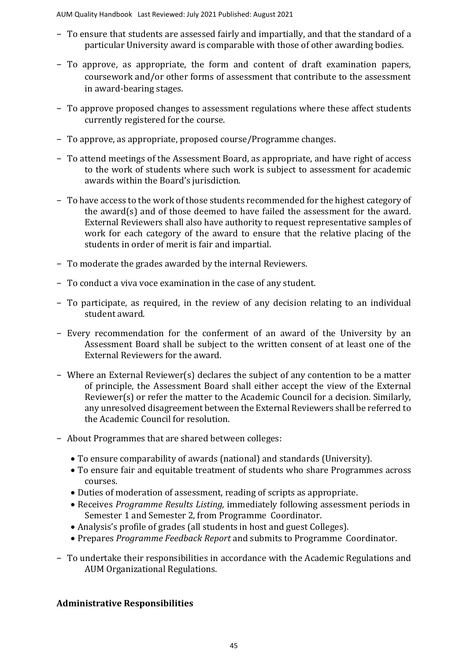AUM Quality Handbook Last Reviewed: July 2021 Published: August 2021

- − To ensure that students are assessed fairly and impartially, and that the standard of a particular University award is comparable with those of other awarding bodies.
- − To approve, as appropriate, the form and content of draft examination papers, coursework and/or other forms of assessment that contribute to the assessment in award-bearing stages.
- − To approve proposed changes to assessment regulations where these affect students currently registered for the course.
- − To approve, as appropriate, proposed course/Programme changes.
- − To attend meetings of the Assessment Board, as appropriate, and have right of access to the work of students where such work is subject to assessment for academic awards within the Board's jurisdiction.
- − To have access to the work of those students recommended for the highest category of the award(s) and of those deemed to have failed the assessment for the award. External Reviewers shall also have authority to request representative samples of work for each category of the award to ensure that the relative placing of the students in order of merit is fair and impartial.
- − To moderate the grades awarded by the internal Reviewers.
- − To conduct a viva voce examination in the case of any student.
- − To participate, as required, in the review of any decision relating to an individual student award.
- − Every recommendation for the conferment of an award of the University by an Assessment Board shall be subject to the written consent of at least one of the External Reviewers for the award.
- − Where an External Reviewer(s) declares the subject of any contention to be a matter of principle, the Assessment Board shall either accept the view of the External Reviewer(s) or refer the matter to the Academic Council for a decision. Similarly, any unresolved disagreement between the External Reviewers shall be referred to the Academic Council for resolution.
- − About Programmes that are shared between colleges:
	- To ensure comparability of awards (national) and standards (University).
	- To ensure fair and equitable treatment of students who share Programmes across courses.
	- Duties of moderation of assessment, reading of scripts as appropriate.
	- Receives *Programme Results Listing,* immediately following assessment periods in Semester 1 and Semester 2, from Programme Coordinator.
	- Analysis's profile of grades (all students in host and guest Colleges).
	- Prepares *Programme Feedback Report* and submits to Programme Coordinator.
- − To undertake their responsibilities in accordance with the Academic Regulations and AUM Organizational Regulations.

### **Administrative Responsibilities**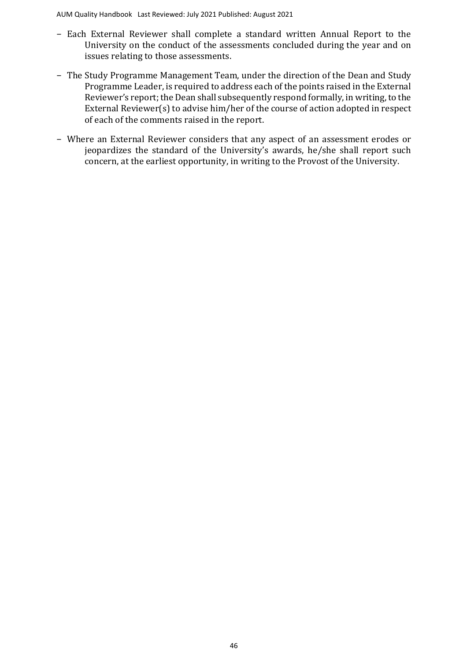AUM Quality Handbook Last Reviewed: July 2021 Published: August 2021

- − Each External Reviewer shall complete a standard written Annual Report to the University on the conduct of the assessments concluded during the year and on issues relating to those assessments.
- − The Study Programme Management Team, under the direction of the Dean and Study Programme Leader, is required to address each of the points raised in the External Reviewer's report; the Dean shall subsequently respond formally, in writing, to the External Reviewer(s) to advise him/her of the course of action adopted in respect of each of the comments raised in the report.
- − Where an External Reviewer considers that any aspect of an assessment erodes or jeopardizes the standard of the University's awards, he/she shall report such concern, at the earliest opportunity, in writing to the Provost of the University.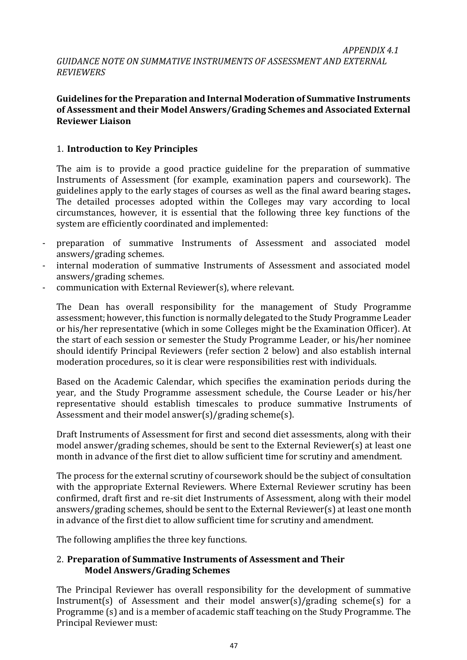#### **Guidelines for the Preparation and Internal Moderation of Summative Instruments of Assessment and their Model Answers/Grading Schemes and Associated External Reviewer Liaison**

### 1. **Introduction to Key Principles**

The aim is to provide a good practice guideline for the preparation of summative Instruments of Assessment (for example, examination papers and coursework). The guidelines apply to the early stages of courses as well as the final award bearing stages**.**  The detailed processes adopted within the Colleges may vary according to local circumstances, however, it is essential that the following three key functions of the system are efficiently coordinated and implemented:

- preparation of summative Instruments of Assessment and associated model answers/grading schemes.
- internal moderation of summative Instruments of Assessment and associated model answers/grading schemes.
- communication with External Reviewer(s), where relevant.

The Dean has overall responsibility for the management of Study Programme assessment; however, this function is normally delegated to the Study Programme Leader or his/her representative (which in some Colleges might be the Examination Officer). At the start of each session or semester the Study Programme Leader, or his/her nominee should identify Principal Reviewers (refer section 2 below) and also establish internal moderation procedures, so it is clear were responsibilities rest with individuals.

Based on the Academic Calendar, which specifies the examination periods during the year, and the Study Programme assessment schedule, the Course Leader or his/her representative should establish timescales to produce summative Instruments of Assessment and their model answer(s)/grading scheme(s).

Draft Instruments of Assessment for first and second diet assessments, along with their model answer/grading schemes, should be sent to the External Reviewer(s) at least one month in advance of the first diet to allow sufficient time for scrutiny and amendment.

The process for the external scrutiny of coursework should be the subject of consultation with the appropriate External Reviewers. Where External Reviewer scrutiny has been confirmed, draft first and re-sit diet Instruments of Assessment, along with their model answers/grading schemes, should be sent to the External Reviewer(s) at least one month in advance of the first diet to allow sufficient time for scrutiny and amendment.

The following amplifies the three key functions.

### 2. **Preparation of Summative Instruments of Assessment and Their Model Answers/Grading Schemes**

The Principal Reviewer has overall responsibility for the development of summative Instrument(s) of Assessment and their model answer(s)/grading scheme(s) for a Programme (s) and is a member of academic staff teaching on the Study Programme. The Principal Reviewer must: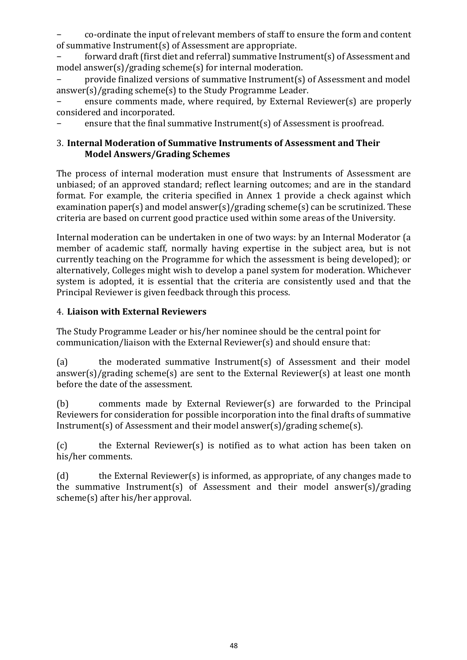− co-ordinate the input of relevant members of staff to ensure the form and content of summative Instrument(s) of Assessment are appropriate.

forward draft (first diet and referral) summative Instrument(s) of Assessment and model answer(s)/grading scheme(s) for internal moderation.

− provide finalized versions of summative Instrument(s) of Assessment and model answer(s)/grading scheme(s) to the Study Programme Leader.

ensure comments made, where required, by External Reviewer(s) are properly considered and incorporated.

ensure that the final summative Instrument(s) of Assessment is proofread.

#### 3. **Internal Moderation of Summative Instruments of Assessment and Their Model Answers/Grading Schemes**

The process of internal moderation must ensure that Instruments of Assessment are unbiased; of an approved standard; reflect learning outcomes; and are in the standard format. For example, the criteria specified in Annex 1 provide a check against which examination paper(s) and model answer(s)/grading scheme(s) can be scrutinized. These criteria are based on current good practice used within some areas of the University.

Internal moderation can be undertaken in one of two ways: by an Internal Moderator (a member of academic staff, normally having expertise in the subject area, but is not currently teaching on the Programme for which the assessment is being developed); or alternatively, Colleges might wish to develop a panel system for moderation. Whichever system is adopted, it is essential that the criteria are consistently used and that the Principal Reviewer is given feedback through this process.

### 4. **Liaison with External Reviewers**

The Study Programme Leader or his/her nominee should be the central point for communication/liaison with the External Reviewer(s) and should ensure that:

(a) the moderated summative Instrument(s) of Assessment and their model answer(s)/grading scheme(s) are sent to the External Reviewer(s) at least one month before the date of the assessment.

(b) comments made by External Reviewer(s) are forwarded to the Principal Reviewers for consideration for possible incorporation into the final drafts of summative Instrument(s) of Assessment and their model answer(s)/grading scheme(s).

(c) the External Reviewer(s) is notified as to what action has been taken on his/her comments.

(d) the External Reviewer(s) is informed, as appropriate, of any changes made to the summative Instrument(s) of Assessment and their model answer(s)/grading scheme(s) after his/her approval.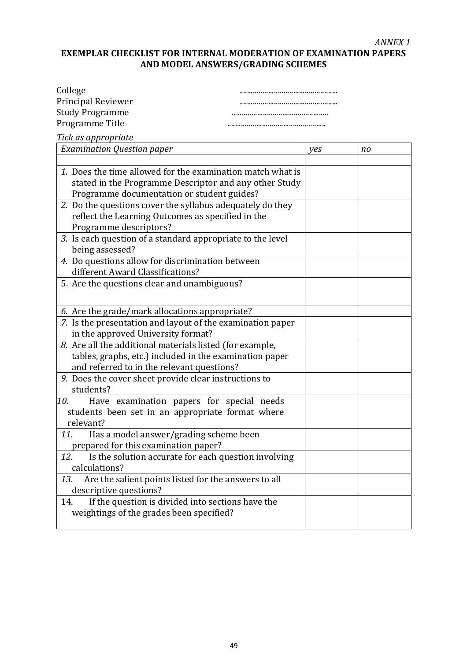### **EXEMPLAR CHECKLIST FOR INTERNAL MODERATION OF EXAMINATION PAPERS AND MODEL ANSWERS/GRADING SCHEMES**

| College                |  |
|------------------------|--|
| Principal Reviewer     |  |
| <b>Study Programme</b> |  |
| Programme Title        |  |
|                        |  |

*Tick as appropriate*

| <b>Examination Question paper</b>                           |  | no |
|-------------------------------------------------------------|--|----|
|                                                             |  |    |
| 1. Does the time allowed for the examination match what is  |  |    |
| stated in the Programme Descriptor and any other Study      |  |    |
| Programme documentation or student guides?                  |  |    |
| 2. Do the questions cover the syllabus adequately do they   |  |    |
| reflect the Learning Outcomes as specified in the           |  |    |
| Programme descriptors?                                      |  |    |
| 3. Is each question of a standard appropriate to the level  |  |    |
| being assessed?                                             |  |    |
| 4. Do questions allow for discrimination between            |  |    |
| different Award Classifications?                            |  |    |
| 5. Are the questions clear and unambiguous?                 |  |    |
|                                                             |  |    |
|                                                             |  |    |
| 6. Are the grade/mark allocations appropriate?              |  |    |
| 7. Is the presentation and layout of the examination paper  |  |    |
| in the approved University format?                          |  |    |
| 8. Are all the additional materials listed (for example,    |  |    |
| tables, graphs, etc.) included in the examination paper     |  |    |
| and referred to in the relevant questions?                  |  |    |
| 9. Does the cover sheet provide clear instructions to       |  |    |
| students?                                                   |  |    |
| Have examination papers for special needs<br>10.            |  |    |
| students been set in an appropriate format where            |  |    |
| relevant?                                                   |  |    |
| 11.<br>Has a model answer/grading scheme been               |  |    |
| prepared for this examination paper?                        |  |    |
| 12.<br>Is the solution accurate for each question involving |  |    |
| calculations?                                               |  |    |
| Are the salient points listed for the answers to all<br>13. |  |    |
| descriptive questions?                                      |  |    |
| 14.<br>If the question is divided into sections have the    |  |    |
| weightings of the grades been specified?                    |  |    |
|                                                             |  |    |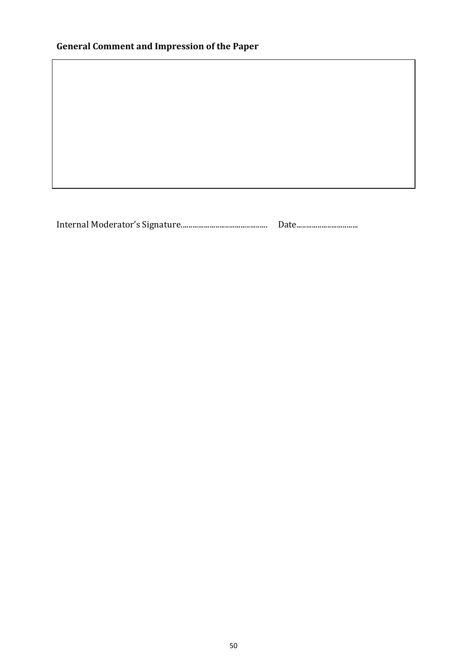# **General Comment and Impression of the Paper**

Internal Moderator's Signature............................................. Date................................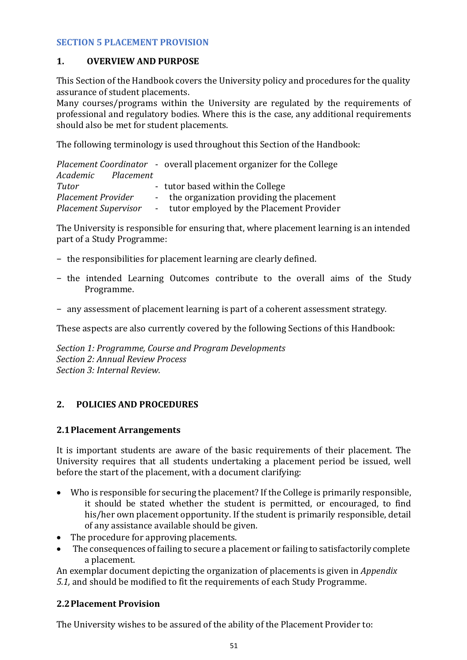#### **SECTION 5 PLACEMENT PROVISION**

#### **1. OVERVIEW AND PURPOSE**

This Section of the Handbook covers the University policy and procedures for the quality assurance of student placements.

Many courses/programs within the University are regulated by the requirements of professional and regulatory bodies. Where this is the case, any additional requirements should also be met for student placements.

The following terminology is used throughout this Section of the Handbook:

|                             | <i>Placement Coordinator - overall placement organizer for the College</i> |
|-----------------------------|----------------------------------------------------------------------------|
| Academic Placement          |                                                                            |
| Tutor                       | - tutor based within the College                                           |
| <b>Placement Provider</b>   | - the organization providing the placement                                 |
| <b>Placement Supervisor</b> | - tutor employed by the Placement Provider                                 |

The University is responsible for ensuring that, where placement learning is an intended part of a Study Programme:

- − the responsibilities for placement learning are clearly defined.
- − the intended Learning Outcomes contribute to the overall aims of the Study Programme.
- − any assessment of placement learning is part of a coherent assessment strategy.

These aspects are also currently covered by the following Sections of this Handbook:

*[Section 1: Programme,](file:///C:/Users/ola.tina/AppData/Local/Microsoft/Windows/INetCache/Content.Outlook/2PY684QH/Section%201%20Module,%20Course%20and%20Programme%20Development.pdf) Course and Program Developments [Section 2: Annual Review](file:///C:/Users/ola.tina/AppData/Local/Microsoft/Windows/INetCache/Content.Outlook/2PY684QH/Section%202%20Annual%20Appraisal%20Process.pdf) Process [Section 3: Internal Review.](file:///C:/Users/ola.tina/AppData/Local/Microsoft/Windows/INetCache/Content.Outlook/2PY684QH/Section%203%20Internal%20Review.pdf)*

#### **2. POLICIES AND PROCEDURES**

#### **2.1Placement Arrangements**

It is important students are aware of the basic requirements of their placement. The University requires that all students undertaking a placement period be issued, well before the start of the placement, with a document clarifying:

- Who is responsible for securing the placement? If the College is primarily responsible, it should be stated whether the student is permitted, or encouraged, to find his/her own placement opportunity. If the student is primarily responsible, detail of any assistance available should be given.
- The procedure for approving placements.
- The consequences of failing to secure a placement or failing to satisfactorily complete a placement.

An exemplar document depicting the organization of placements is given in *[Appendix](#page-53-0)  [5.1,](#page-53-0)* and should be modified to fit the requirements of each Study Programme.

#### **2.2Placement Provision**

The University wishes to be assured of the ability of the Placement Provider to: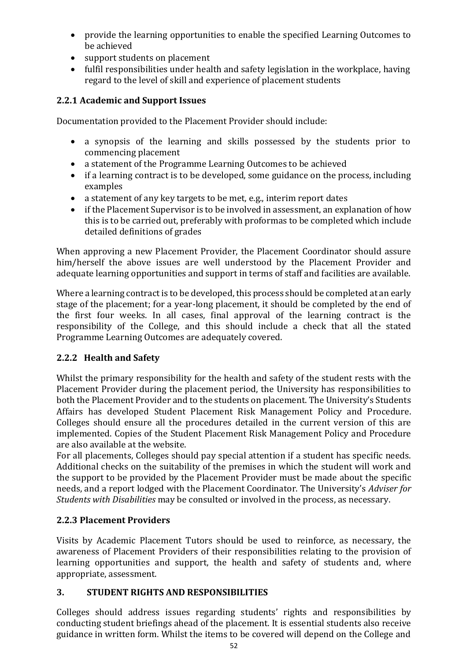- provide the learning opportunities to enable the specified Learning Outcomes to be achieved
- support students on placement
- fulfil responsibilities under health and safety legislation in the workplace, having regard to the level of skill and experience of placement students

## **2.2.1 Academic and Support Issues**

Documentation provided to the Placement Provider should include:

- a synopsis of the learning and skills possessed by the students prior to commencing placement
- a statement of the Programme Learning Outcomes to be achieved
- if a learning contract is to be developed, some guidance on the process, including examples
- a statement of any key targets to be met, e.g., interim report dates
- if the Placement Supervisor is to be involved in assessment, an explanation of how this is to be carried out, preferably with proformas to be completed which include detailed definitions of grades

When approving a new Placement Provider, the Placement Coordinator should assure him/herself the above issues are well understood by the Placement Provider and adequate learning opportunities and support in terms of staff and facilities are available.

Where a learning contract is to be developed, this process should be completed at an early stage of the placement; for a year-long placement, it should be completed by the end of the first four weeks. In all cases, final approval of the learning contract is the responsibility of the College, and this should include a check that all the stated Programme Learning Outcomes are adequately covered.

### **2.2.2 Health and Safety**

Whilst the primary responsibility for the health and safety of the student rests with the Placement Provider during the placement period, the University has responsibilities to both the Placement Provider and to the students on placement. The University's Students Affairs has developed [Student Placement Risk Management Policy and Procedure.](http://www.rgu.ac.uk/hr/healthsafety/page.cfm?pge=26027#39739) Colleges should ensure all the procedures detailed in the current version of this are implemented. Copies of the [Student Placement Risk Management Policy and Procedure](http://www.rgu.ac.uk/hr/healthsafety/page.cfm?pge=26027#39739)  are also available at the website.

For all placements, Colleges should pay special attention if a student has specific needs. Additional checks on the suitability of the premises in which the student will work and the support to be provided by the Placement Provider must be made about the specific needs, and a report lodged with the Placement Coordinator. The University's *[Adviser for](http://www.rgu.ac.uk/censa/home/page.cfm?pge=7799)  [Students with Disabilities](http://www.rgu.ac.uk/censa/home/page.cfm?pge=7799)* may be consulted or involved in the process, as necessary.

### **2.2.3 Placement Providers**

Visits by Academic Placement Tutors should be used to reinforce, as necessary, the awareness of Placement Providers of their responsibilities relating to the provision of learning opportunities and support, the health and safety of students and, where appropriate, assessment.

### **3. STUDENT RIGHTS AND RESPONSIBILITIES**

Colleges should address issues regarding students' rights and responsibilities by conducting student briefings ahead of the placement. It is essential students also receive guidance in written form. Whilst the items to be covered will depend on the College and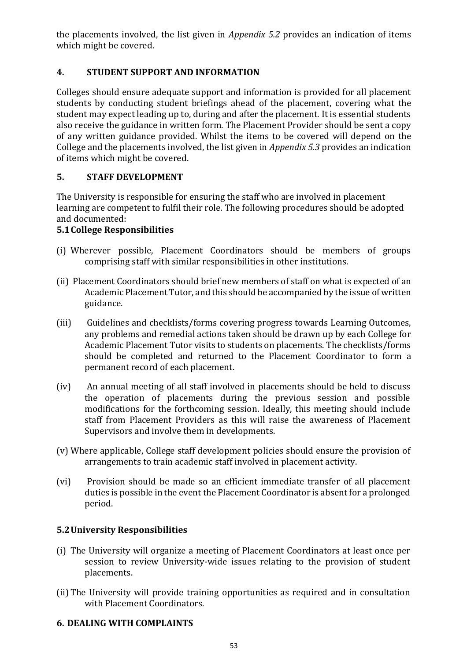the placements involved, the list given in *Appendix 5.2* provides an indication of items which might be covered.

# **4. STUDENT SUPPORT AND INFORMATION**

Colleges should ensure adequate support and information is provided for all placement students by conducting student briefings ahead of the placement, covering what the student may expect leading up to, during and after the placement. It is essential students also receive the guidance in written form. The Placement Provider should be sent a copy of any written guidance provided. Whilst the items to be covered will depend on the College and the placements involved, the list given in *[Appendix 5.3](#page-56-0)* provides an indication of items which might be covered.

# **5. STAFF DEVELOPMENT**

The University is responsible for ensuring the staff who are involved in placement learning are competent to fulfil their role. The following procedures should be adopted and documented:

# **5.1College Responsibilities**

- (i) Wherever possible, Placement Coordinators should be members of groups comprising staff with similar responsibilities in other institutions.
- (ii) Placement Coordinators should brief new members of staff on what is expected of an Academic Placement Tutor, and this should be accompanied by the issue of written guidance.
- (iii) Guidelines and checklists/forms covering progress towards Learning Outcomes, any problems and remedial actions taken should be drawn up by each College for Academic Placement Tutor visits to students on placements. The checklists/forms should be completed and returned to the Placement Coordinator to form a permanent record of each placement.
- (iv) An annual meeting of all staff involved in placements should be held to discuss the operation of placements during the previous session and possible modifications for the forthcoming session. Ideally, this meeting should include staff from Placement Providers as this will raise the awareness of Placement Supervisors and involve them in developments.
- (v) Where applicable, College staff development policies should ensure the provision of arrangements to train academic staff involved in placement activity.
- (vi) Provision should be made so an efficient immediate transfer of all placement duties is possible in the event the Placement Coordinator is absent for a prolonged period.

# **5.2University Responsibilities**

- (i) The University will organize a meeting of Placement Coordinators at least once per session to review University-wide issues relating to the provision of student placements.
- (ii) The University will provide training opportunities as required and in consultation with Placement Coordinators.

### **6. DEALING WITH COMPLAINTS**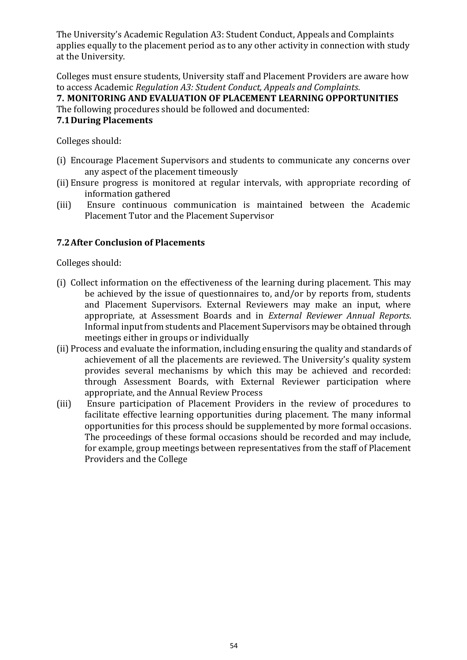The University's [Academic Regulation A3: Student Conduct, Appeals and Complaints](http://www.rgu.ac.uk/academicaffairs/quality_assurance/page.cfm?pge=1826)  applies equally to the placement period as to any other activity in connection with study at the University.

Colleges must ensure students, University staff and Placement Providers are aware how to access [Academic](http://www.rgu.ac.uk/academicaffairs/quality_assurance/page.cfm?pge=1826) *[Regulation A3: Student Conduct, Appeals and Complaints.](http://www.rgu.ac.uk/academicaffairs/quality_assurance/page.cfm?pge=1826)*

**7. MONITORING AND EVALUATION OF PLACEMENT LEARNING OPPORTUNITIES** The following procedures should be followed and documented:

#### **7.1During Placements**

Colleges should:

- (i) Encourage Placement Supervisors and students to communicate any concerns over any aspect of the placement timeously
- (ii) Ensure progress is monitored at regular intervals, with appropriate recording of information gathered
- (iii) Ensure continuous communication is maintained between the Academic Placement Tutor and the Placement Supervisor

## **7.2After Conclusion of Placements**

Colleges should:

- (i) Collect information on the effectiveness of the learning during placement. This may be achieved by the issue of questionnaires to, and/or by reports from, students and Placement Supervisors. External Reviewers may make an input, where appropriate, at Assessment Boards and in *External Reviewer Annual Reports*. Informal input from students and Placement Supervisors may be obtained through meetings either in groups or individually
- (ii) Process and evaluate the information, including ensuring the quality and standards of achievement of all the placements are reviewed. The University's quality system provides several mechanisms by which this may be achieved and recorded: through Assessment Boards, with External Reviewer participation where appropriate, and the Annual Review Process
- <span id="page-53-0"></span>(iii) Ensure participation of Placement Providers in the review of procedures to facilitate effective learning opportunities during placement. The many informal opportunities for this process should be supplemented by more formal occasions. The proceedings of these formal occasions should be recorded and may include, for example, group meetings between representatives from the staff of Placement Providers and the College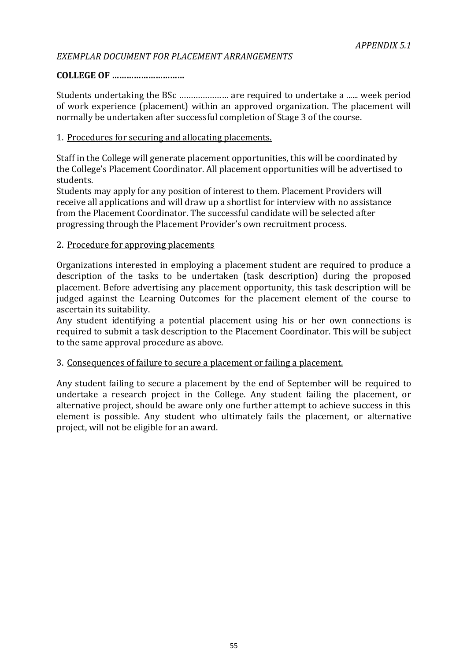### *EXEMPLAR DOCUMENT FOR PLACEMENT ARRANGEMENTS*

### **COLLEGE OF …………………………**

Students undertaking the BSc ………………… are required to undertake a ...... week period of work experience (placement) within an approved organization. The placement will normally be undertaken after successful completion of Stage 3 of the course.

#### 1. Procedures for securing and allocating placements.

Staff in the College will generate placement opportunities, this will be coordinated by the College's Placement Coordinator. All placement opportunities will be advertised to students.

Students may apply for any position of interest to them. Placement Providers will receive all applications and will draw up a shortlist for interview with no assistance from the Placement Coordinator. The successful candidate will be selected after progressing through the Placement Provider's own recruitment process.

#### 2. Procedure for approving placements

Organizations interested in employing a placement student are required to produce a description of the tasks to be undertaken (task description) during the proposed placement. Before advertising any placement opportunity, this task description will be judged against the Learning Outcomes for the placement element of the course to ascertain its suitability.

Any student identifying a potential placement using his or her own connections is required to submit a task description to the Placement Coordinator. This will be subject to the same approval procedure as above.

#### 3. Consequences of failure to secure a placement or failing a placement.

Any student failing to secure a placement by the end of September will be required to undertake a research project in the College. Any student failing the placement, or alternative project, should be aware only one further attempt to achieve success in this element is possible. Any student who ultimately fails the placement, or alternative project, will not be eligible for an award.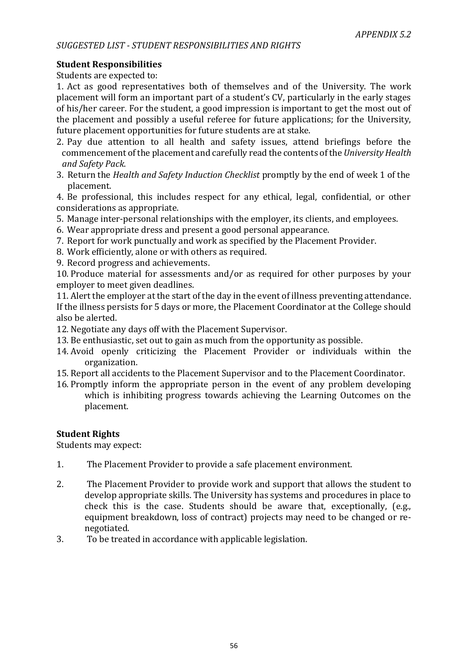### **Student Responsibilities**

Students are expected to:

1. Act as good representatives both of themselves and of the University. The work placement will form an important part of a student's CV, particularly in the early stages of his/her career. For the student, a good impression is important to get the most out of the placement and possibly a useful referee for future applications; for the University, future placement opportunities for future students are at stake.

- 2. Pay due attention to all health and safety issues, attend briefings before the commencement of the placement and carefully read the contents of the *University Health and Safety Pack*.
- 3. Return the *Health and Safety Induction Checklist* promptly by the end of week 1 of the placement.

4. Be professional, this includes respect for any ethical, legal, confidential, or other considerations as appropriate.

- 5. Manage inter-personal relationships with the employer, its clients, and employees.
- 6. Wear appropriate dress and present a good personal appearance.
- 7. Report for work punctually and work as specified by the Placement Provider.
- 8. Work efficiently, alone or with others as required.
- 9. Record progress and achievements.

10. Produce material for assessments and/or as required for other purposes by your employer to meet given deadlines.

11. Alert the employer at the start of the day in the event of illness preventing attendance. If the illness persists for 5 days or more, the Placement Coordinator at the College should also be alerted.

12. Negotiate any days off with the Placement Supervisor.

- 13. Be enthusiastic, set out to gain as much from the opportunity as possible.
- 14. Avoid openly criticizing the Placement Provider or individuals within the organization.
- 15. Report all accidents to the Placement Supervisor and to the Placement Coordinator.
- 16. Promptly inform the appropriate person in the event of any problem developing which is inhibiting progress towards achieving the Learning Outcomes on the placement.

#### **Student Rights**

Students may expect:

- 1. The Placement Provider to provide a safe placement environment.
- 2. The Placement Provider to provide work and support that allows the student to develop appropriate skills. The University has systems and procedures in place to check this is the case. Students should be aware that, exceptionally, (e.g., equipment breakdown, loss of contract) projects may need to be changed or renegotiated.
- 3. To be treated in accordance with applicable legislation.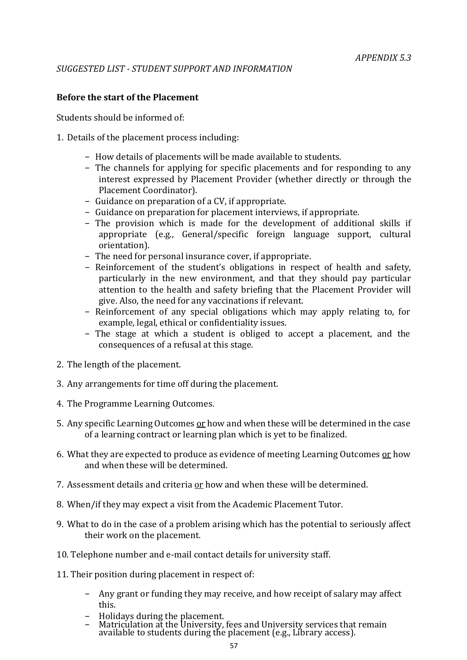#### <span id="page-56-0"></span>**Before the start of the Placement**

Students should be informed of:

- 1. Details of the placement process including:
	- − How details of placements will be made available to students.
	- − The channels for applying for specific placements and for responding to any interest expressed by Placement Provider (whether directly or through the Placement Coordinator).
	- − Guidance on preparation of a CV, if appropriate.
	- − Guidance on preparation for placement interviews, if appropriate.
	- − The provision which is made for the development of additional skills if appropriate (e.g., General/specific foreign language support, cultural orientation).
	- − The need for personal insurance cover, if appropriate.
	- − Reinforcement of the student's obligations in respect of health and safety, particularly in the new environment, and that they should pay particular attention to the health and safety briefing that the Placement Provider will give. Also, the need for any vaccinations if relevant.
	- − Reinforcement of any special obligations which may apply relating to, for example, legal, ethical or confidentiality issues.
	- − The stage at which a student is obliged to accept a placement, and the consequences of a refusal at this stage.
- 2. The length of the placement.
- 3. Any arrangements for time off during the placement.
- 4. The Programme Learning Outcomes.
- 5. Any specific Learning Outcomes or how and when these will be determined in the case of a learning contract or learning plan which is yet to be finalized.
- 6. What they are expected to produce as evidence of meeting Learning Outcomes or how and when these will be determined.
- 7. Assessment details and criteria or how and when these will be determined.
- 8. When/if they may expect a visit from the Academic Placement Tutor.
- 9. What to do in the case of a problem arising which has the potential to seriously affect their work on the placement.
- 10. Telephone number and e-mail contact details for university staff.
- 11. Their position during placement in respect of:
	- − Any grant or funding they may receive, and how receipt of salary may affect this.
	- − Holidays during the placement.
	- − Matriculation at the University, fees and University services that remain available to students during the placement (e.g., Library access).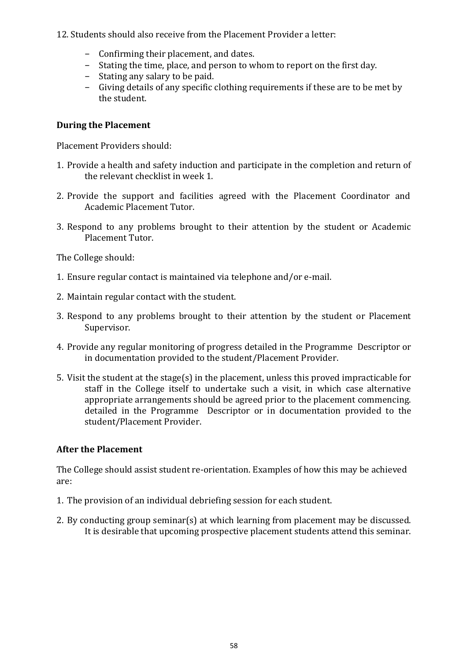12. Students should also receive from the Placement Provider a letter:

- − Confirming their placement, and dates.
- − Stating the time, place, and person to whom to report on the first day.
- − Stating any salary to be paid.
- − Giving details of any specific clothing requirements if these are to be met by the student.

### **During the Placement**

Placement Providers should:

- 1. Provide a health and safety induction and participate in the completion and return of the relevant checklist in week 1.
- 2. Provide the support and facilities agreed with the Placement Coordinator and Academic Placement Tutor.
- 3. Respond to any problems brought to their attention by the student or Academic Placement Tutor.

The College should:

- 1. Ensure regular contact is maintained via telephone and/or e-mail.
- 2. Maintain regular contact with the student.
- 3. Respond to any problems brought to their attention by the student or Placement Supervisor.
- 4. Provide any regular monitoring of progress detailed in the Programme Descriptor or in documentation provided to the student/Placement Provider.
- 5. Visit the student at the stage(s) in the placement, unless this proved impracticable for staff in the College itself to undertake such a visit, in which case alternative appropriate arrangements should be agreed prior to the placement commencing. detailed in the Programme Descriptor or in documentation provided to the student/Placement Provider.

### **After the Placement**

The College should assist student re-orientation. Examples of how this may be achieved are:

- 1. The provision of an individual debriefing session for each student.
- 2. By conducting group seminar(s) at which learning from placement may be discussed. It is desirable that upcoming prospective placement students attend this seminar.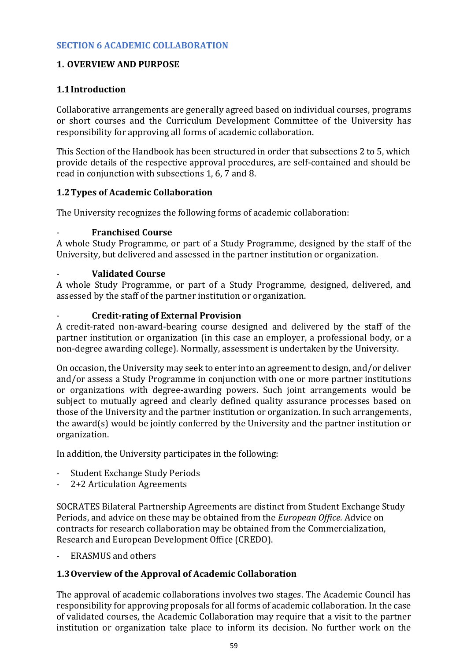### **1. OVERVIEW AND PURPOSE**

### **1.1Introduction**

Collaborative arrangements are generally agreed based on individual courses, programs or short courses and the Curriculum Development Committee of the University has responsibility for approving all forms of academic collaboration.

This Section of the Handbook has been structured in order that subsections 2 to 5, which provide details of the respective approval procedures, are self-contained and should be read in conjunction with subsections 1, 6, 7 and 8.

### **1.2Types of Academic Collaboration**

The University recognizes the following forms of academic collaboration:

### - **Franchised Course**

A whole Study Programme, or part of a Study Programme, designed by the staff of the University, but delivered and assessed in the partner institution or organization.

#### - **Validated Course**

A whole Study Programme, or part of a Study Programme, designed, delivered, and assessed by the staff of the partner institution or organization.

### - **Credit-rating of External Provision**

A credit-rated non-award-bearing course designed and delivered by the staff of the partner institution or organization (in this case an employer, a professional body, or a non-degree awarding college). Normally, assessment is undertaken by the University.

On occasion, the University may seek to enter into an agreement to design, and/or deliver and/or assess a Study Programme in conjunction with one or more partner institutions or organizations with degree-awarding powers. Such joint arrangements would be subject to mutually agreed and clearly defined quality assurance processes based on those of the University and the partner institution or organization. In such arrangements, the award(s) would be jointly conferred by the University and the partner institution or organization.

In addition, the University participates in the following:

- Student Exchange Study Periods
- 2+2 Articulation Agreements

SOCRATES Bilateral Partnership Agreements are distinct from Student Exchange Study Periods, and advice on these may be obtained from the *[European Office.](http://www.rgu.ac.uk/europeanoffice/europeanoffice/page.cfm)* Advice on contracts for research collaboration may be obtained from the [Commercialization,](http://www.rgu.ac.uk/credo/aboutus/page.cfm) [Research and European Development Office \(CREDO\).](http://www.rgu.ac.uk/credo/aboutus/page.cfm)

- ERASMUS and others

### **1.3Overview of the Approval of Academic Collaboration**

The approval of academic collaborations involves two stages. The Academic Council has responsibility for approving proposals for all forms of academic collaboration. In the case of validated courses, the Academic Collaboration may require that a visit to the partner institution or organization take place to inform its decision. No further work on the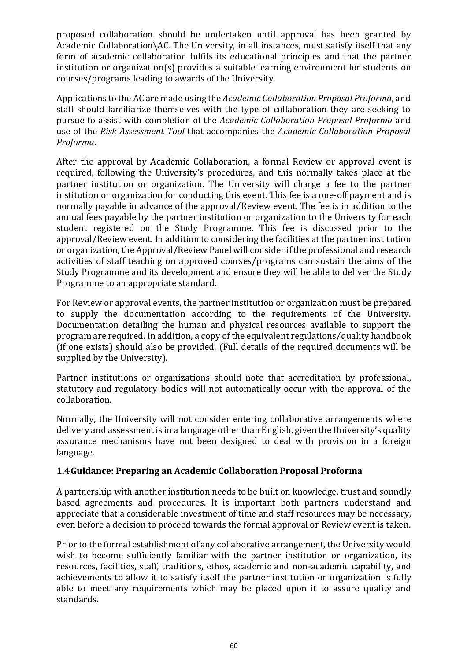proposed collaboration should be undertaken until approval has been granted by Academic Collaboration\AC. The University, in all instances, must satisfy itself that any form of academic collaboration fulfils its educational principles and that the partner institution or organization(s) provides a suitable learning environment for students on courses/programs leading to awards of the University.

Applications to the AC are made using the *[Academic Collaboration Proposal Proforma](file:///C:/Users/ola.tina/AppData/Local/Microsoft/Windows/INetCache/Content.Outlook/Forms/Section%206/Academic%20Collaboration%20Proposal%20Proforma.pdf)*, and staff should familiarize themselves with the type of collaboration they are seeking to pursue to assist with completion of the *[Academic Collaboration Proposal Proforma](file:///C:/Users/ola.tina/AppData/Local/Microsoft/Windows/INetCache/Content.Outlook/Forms/Section%206/Academic%20Collaboration%20Proposal%20Proforma.pdf)* and use of the *[Risk Assessment](file:///C:/Users/ola.tina/AppData/Local/Microsoft/Windows/INetCache/Content.Outlook/Forms/Section%206/Academic%20Collaboration%20Proposal%20Proforma.pdf) [Tool](file:///C:/Users/ola.tina/AppData/Local/Microsoft/Windows/INetCache/Content.Outlook/Forms/Section%206/Academic%20Collaboration%20Proposal%20Proforma.pdf)* that accompanies the *[Academic Collaboration Proposal](file:///C:/Users/ola.tina/AppData/Local/Microsoft/Windows/INetCache/Content.Outlook/Forms/Section%206/Academic%20Collaboration%20Proposal%20Proforma.pdf)  [Proforma](file:///C:/Users/ola.tina/AppData/Local/Microsoft/Windows/INetCache/Content.Outlook/Forms/Section%206/Academic%20Collaboration%20Proposal%20Proforma.pdf)*.

After the approval by Academic Collaboration, a formal Review or approval event is required, following the University's procedures, and this normally takes place at the partner institution or organization. The University will charge a fee to the partner institution or organization for conducting this event. This fee is a one-off payment and is normally payable in advance of the approval/Review event. The fee is in addition to the annual fees payable by the partner institution or organization to the University for each student registered on the Study Programme. This fee is discussed prior to the approval/Review event. In addition to considering the facilities at the partner institution or organization, the Approval/Review Panel will consider if the professional and research activities of staff teaching on approved courses/programs can sustain the aims of the Study Programme and its development and ensure they will be able to deliver the Study Programme to an appropriate standard.

For Review or approval events, the partner institution or organization must be prepared to supply the documentation according to the requirements of the University. Documentation detailing the human and physical resources available to support the program are required. In addition, a copy of the equivalent regulations/quality handbook (if one exists) should also be provided. (Full details of the required documents will be supplied by the University).

Partner institutions or organizations should note that accreditation by professional, statutory and regulatory bodies will not automatically occur with the approval of the collaboration.

Normally, the University will not consider entering collaborative arrangements where delivery and assessment is in a language other than English, given the University's quality assurance mechanisms have not been designed to deal with provision in a foreign language.

#### **1.4Guidance: Preparing an Academic Collaboration Proposal Proforma**

A partnership with another institution needs to be built on knowledge, trust and soundly based agreements and procedures. It is important both partners understand and appreciate that a considerable investment of time and staff resources may be necessary, even before a decision to proceed towards the formal approval or Review event is taken.

Prior to the formal establishment of any collaborative arrangement, the University would wish to become sufficiently familiar with the partner institution or organization, its resources, facilities, staff, traditions, ethos, academic and non-academic capability, and achievements to allow it to satisfy itself the partner institution or organization is fully able to meet any requirements which may be placed upon it to assure quality and standards.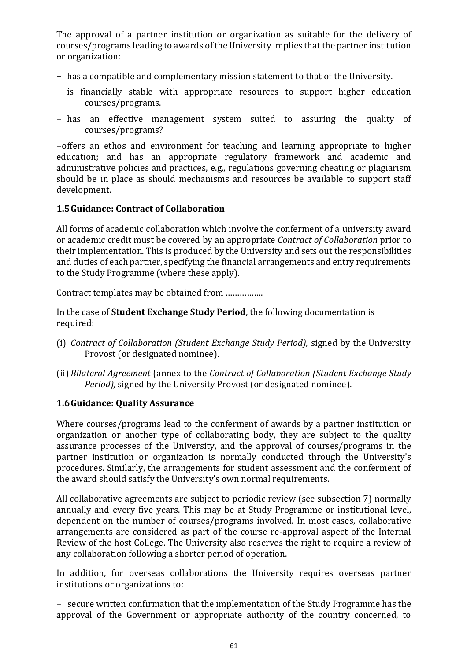The approval of a partner institution or organization as suitable for the delivery of courses/programs leading to awards of the University implies that the partner institution or organization:

- − has a compatible and complementary mission statement to that of the University.
- − is financially stable with appropriate resources to support higher education courses/programs.
- − has an effective management system suited to assuring the quality of courses/programs?

−offers an ethos and environment for teaching and learning appropriate to higher education; and has an appropriate regulatory framework and academic and administrative policies and practices, e.g., regulations governing cheating or plagiarism should be in place as should mechanisms and resources be available to support staff development.

#### **1.5Guidance: Contract of Collaboration**

All forms of academic collaboration which involve the conferment of a university award or academic credit must be covered by an appropriate *Contract of Collaboration* prior to their implementation. This is produced by the University and sets out the responsibilities and duties of each partner, specifying the financial arrangements and entry requirements to the Study Programme (where these apply).

Contract templates may be obtained from …………….

In the case of **Student Exchange Study Period**, the following documentation is required:

- (i) *Contract of Collaboration (Student Exchange Study Period),* signed by the University Provost (or designated nominee).
- (ii) *Bilateral Agreement* (annex to the *Contract of Collaboration (Student Exchange Study Period),* signed by the University Provost (or designated nominee).

### **1.6Guidance: Quality Assurance**

Where courses/programs lead to the conferment of awards by a partner institution or organization or another type of collaborating body, they are subject to the quality assurance processes of the University, and the approval of courses/programs in the partner institution or organization is normally conducted through the University's procedures. Similarly, the arrangements for student assessment and the conferment of the award should satisfy the University's own normal requirements.

All collaborative agreements are subject to periodic review (see subsection 7) normally annually and every five years. This may be at Study Programme or institutional level, dependent on the number of courses/programs involved. In most cases, collaborative arrangements are considered as part of the course re-approval aspect of the Internal Review of the host College. The University also reserves the right to require a review of any collaboration following a shorter period of operation.

In addition, for overseas collaborations the University requires overseas partner institutions or organizations to:

− secure written confirmation that the implementation of the Study Programme has the approval of the Government or appropriate authority of the country concerned, to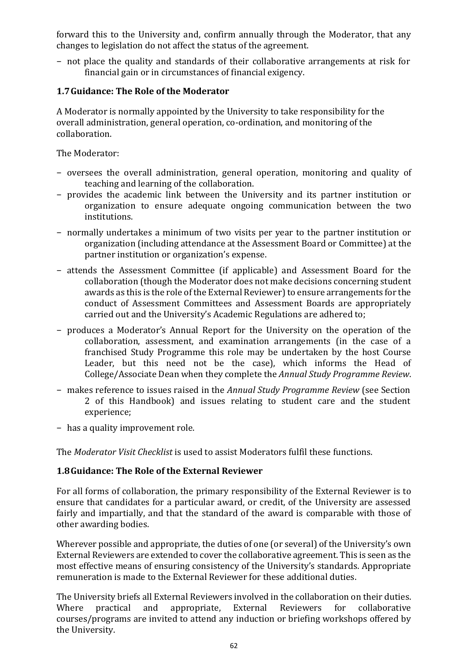forward this to the University and, confirm annually through the Moderator, that any changes to legislation do not affect the status of the agreement.

− not place the quality and standards of their collaborative arrangements at risk for financial gain or in circumstances of financial exigency.

## **1.7Guidance: The Role of the Moderator**

A Moderator is normally appointed by the University to take responsibility for the overall administration, general operation, co-ordination, and monitoring of the collaboration.

The Moderator:

- − oversees the overall administration, general operation, monitoring and quality of teaching and learning of the collaboration.
- − provides the academic link between the University and its partner institution or organization to ensure adequate ongoing communication between the two institutions.
- − normally undertakes a minimum of two visits per year to the partner institution or organization (including attendance at the Assessment Board or Committee) at the partner institution or organization's expense.
- − attends the Assessment Committee (if applicable) and Assessment Board for the collaboration (though the Moderator does not make decisions concerning student awards as this is the role of the External Reviewer) to ensure arrangements for the conduct of Assessment Committees and Assessment Boards are appropriately carried out and the University's [Academic Regulations a](http://www.rgu.ac.uk/academicaffairs/quality_assurance/page.cfm?pge=1826)re adhered to;
- − produces a Moderator's Annual Report for the University on the operation of the collaboration, assessment, and examination arrangements (in the case of a franchised Study Programme this role may be undertaken by the host Course Leader, but this need not be the case), which informs the Head of College/Associate Dean when they complete the *Annual Study Programme Review*.
- − makes reference to issues raised in the *Annual Study Programme Review* (see [Section](file:///C:/Users/ola.tina/AppData/Local/Microsoft/Windows/INetCache/Content.Outlook/2PY684QH/Section%202%20Annual%20Appraisal%20Process.pdf) [2 o](file:///C:/Users/ola.tina/AppData/Local/Microsoft/Windows/INetCache/Content.Outlook/2PY684QH/Section%202%20Annual%20Appraisal%20Process.pdf)f this Handbook) and issues relating to student care and the student experience;
- − has a quality improvement role.

The *[Moderator Visit Checklist](file:///C:/Users/ola.tina/AppData/Local/Microsoft/Windows/INetCache/Content.Outlook/Forms/Section%206/Moderator%20Visit%20Checklist.pdf)* is used to assist Moderators fulfil these functions.

### **1.8Guidance: The Role of the External Reviewer**

For all forms of collaboration, the primary responsibility of the External Reviewer is to ensure that candidates for a particular award, or credit, of the University are assessed fairly and impartially, and that the standard of the award is comparable with those of other awarding bodies.

Wherever possible and appropriate, the duties of one (or several) of the University's own External Reviewers are extended to cover the collaborative agreement. This is seen as the most effective means of ensuring consistency of the University's standards. Appropriate remuneration is made to the External Reviewer for these additional duties.

The University briefs all External Reviewers involved in the collaboration on their duties. Where practical and appropriate, External Reviewers for collaborative courses/programs are invited to attend any induction or briefing workshops offered by the University.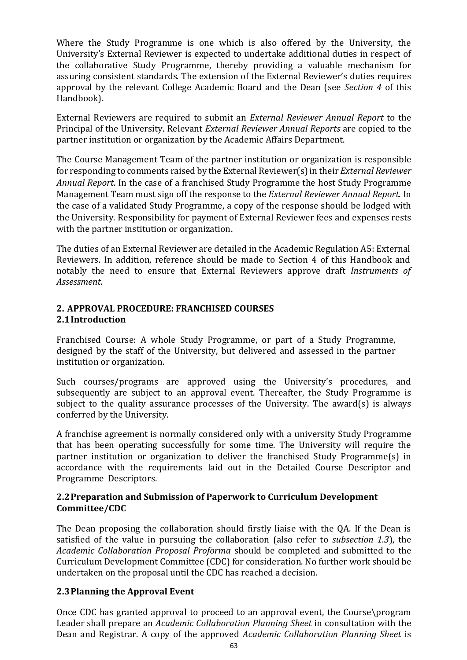Where the Study Programme is one which is also offered by the University, the University's External Reviewer is expected to undertake additional duties in respect of the collaborative Study Programme, thereby providing a valuable mechanism for assuring consistent standards. The extension of the External Reviewer's duties requires approval by the relevant College Academic Board and the Dean (see *[Section 4](file:///C:/Users/ola.tina/AppData/Local/Microsoft/Windows/INetCache/Content.Outlook/2PY684QH/Section%204%20External%20Examiner%20Arrangements.pdf)* of this Handbook).

External Reviewers are required to submit an *External Reviewer Annual Report* to the Principal of the University. Relevant *External Reviewer Annual Reports* are copied to the partner institution or organization by the Academic Affairs Department.

The Course Management Team of the partner institution or organization is responsible for responding to comments raised by the External Reviewer(s) in their *External Reviewer Annual Report*. In the case of a franchised Study Programme the host Study Programme Management Team must sign off the response to the *External Reviewer Annual Report*. In the case of a validated Study Programme, a copy of the response should be lodged with the University. Responsibility for payment of External Reviewer fees and expenses rests with the partner institution or organization.

The duties of an External Reviewer are detailed in the [Academic Regulation A5: External](http://www.rgu.ac.uk/academicaffairs/quality_assurance/page.cfm?pge=1826) [Reviewers. I](http://www.rgu.ac.uk/academicaffairs/quality_assurance/page.cfm?pge=1826)n addition, reference should be made to [Section 4 o](file:///C:/Users/ola.tina/AppData/Local/Microsoft/Windows/INetCache/Content.Outlook/2PY684QH/Section%204%20External%20Examiner%20Arrangements.pdf)f this Handbook and notably the need to ensure that External Reviewers approve draft *Instruments of Assessment*.

### **2. APPROVAL PROCEDURE: FRANCHISED COURSES 2.1Introduction**

Franchised Course: A whole Study Programme, or part of a Study Programme, designed by the staff of the University, but delivered and assessed in the partner institution or organization.

Such courses/programs are approved using the University's procedures, and subsequently are subject to an approval event. Thereafter, the Study Programme is subject to the quality assurance processes of the University. The award(s) is always conferred by the University.

A franchise agreement is normally considered only with a university Study Programme that has been operating successfully for some time. The University will require the partner institution or organization to deliver the franchised Study Programme(s) in accordance with the requirements laid out in the Detailed Course Descriptor and Programme Descriptors.

#### **2.2Preparation and Submission of Paperwork to Curriculum Development Committee/CDC**

The Dean proposing the collaboration should firstly liaise with the QA. If the Dean is satisfied of the value in pursuing the collaboration (also refer to *subsection 1.3*), the *[Academic Collaboration Proposal Proforma](file:///C:/Users/ola.tina/AppData/Local/Microsoft/Windows/INetCache/Content.Outlook/Forms/Section%206/Academic%20Collaboration%20Proposal%20Proforma.pdf)* [s](file:///C:/Users/ola.tina/AppData/Local/Microsoft/Windows/INetCache/Content.Outlook/Forms/Section%206/Academic%20Collaboration%20Proposal%20Proforma.pdf)hould be completed and submitted to the Curriculum Development Committee (CDC) for consideration. No further work should be undertaken on the proposal until the CDC has reached a decision.

### **2.3Planning the Approval Event**

Once CDC has granted approval to proceed to an approval event, the Course\program Leader shall prepare an *[Academic Collaboration Planning Sheet](file:///C:/Users/ola.tina/AppData/Local/Microsoft/Windows/INetCache/Content.Outlook/Forms/Section%206/Academic%20Collaboration%20Planning%20Sheet.pdf)* in consultation with the Dean and Registrar. A copy of the approved *Academic Collaboration Planning Sheet* is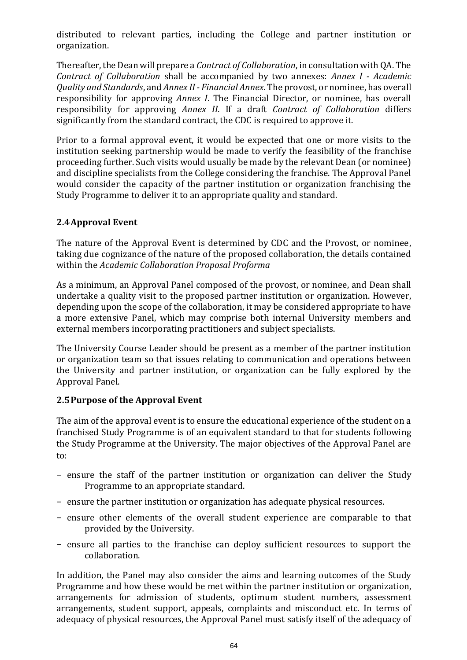distributed to relevant parties, including the College and partner institution or organization.

Thereafter, the Dean will prepare a *Contract of Collaboration*, in consultation with QA. The *Contract of Collaboration* shall be accompanied by two annexes: *Annex I - Academic Quality and Standards*, and *Annex II - Financial Annex*. The provost, or nominee, has overall responsibility for approving *Annex I*. The Financial Director, or nominee, has overall responsibility for approving *Annex II*. If a draft *Contract of Collaboration* differs significantly from the standard contract, the CDC is required to approve it.

Prior to a formal approval event, it would be expected that one or more visits to the institution seeking partnership would be made to verify the feasibility of the franchise proceeding further. Such visits would usually be made by the relevant Dean (or nominee) and discipline specialists from the College considering the franchise. The Approval Panel would consider the capacity of the partner institution or organization franchising the Study Programme to deliver it to an appropriate quality and standard.

## **2.4Approval Event**

The nature of the Approval Event is determined by CDC and the Provost, or nominee, taking due cognizance of the nature of the proposed collaboration, the details contained within the *[Academic Collaboration Proposal Proforma](file:///C:/Users/ola.tina/AppData/Local/Microsoft/Windows/INetCache/Content.Outlook/Forms/Section%206/Academic%20Collaboration%20Proposal%20Proforma.pdf)*

As a minimum, an Approval Panel composed of the provost, or nominee, and Dean shall undertake a quality visit to the proposed partner institution or organization. However, depending upon the scope of the collaboration, it may be considered appropriate to have a more extensive Panel, which may comprise both internal University members and external members incorporating practitioners and subject specialists.

The University Course Leader should be present as a member of the partner institution or organization team so that issues relating to communication and operations between the University and partner institution, or organization can be fully explored by the Approval Panel.

### **2.5Purpose of the Approval Event**

The aim of the approval event is to ensure the educational experience of the student on a franchised Study Programme is of an equivalent standard to that for students following the Study Programme at the University. The major objectives of the Approval Panel are to:

- − ensure the staff of the partner institution or organization can deliver the Study Programme to an appropriate standard.
- − ensure the partner institution or organization has adequate physical resources.
- − ensure other elements of the overall student experience are comparable to that provided by the University.
- − ensure all parties to the franchise can deploy sufficient resources to support the collaboration.

In addition, the Panel may also consider the aims and learning outcomes of the Study Programme and how these would be met within the partner institution or organization, arrangements for admission of students, optimum student numbers, assessment arrangements, student support, appeals, complaints and misconduct etc*.* In terms of adequacy of physical resources, the Approval Panel must satisfy itself of the adequacy of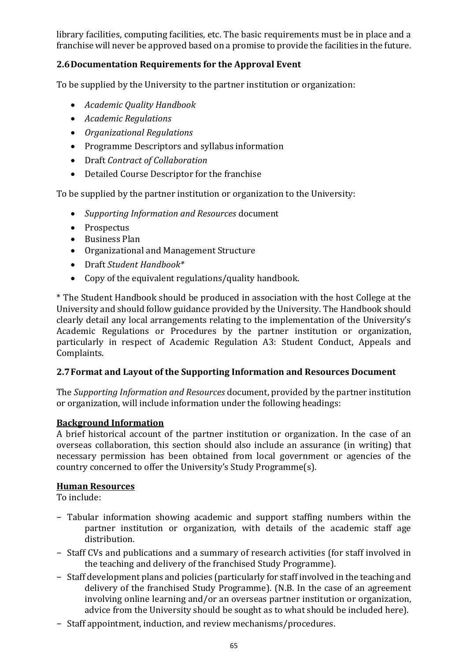library facilities, computing facilities, etc. The basic requirements must be in place and a franchise will never be approved based on a promise to provide the facilities in the future.

# **2.6Documentation Requirements for the Approval Event**

To be supplied by the University to the partner institution or organization:

- *Academic Quality Handbook*
- *Academic Regulations*
- *Organizational Regulations*
- Programme Descriptors and syllabus information
- Draft *Contract of Collaboration*
- Detailed Course Descriptor for the franchise

To be supplied by the partner institution or organization to the University:

- *Supporting Information and Resources* document
- Prospectus
- Business Plan
- Organizational and Management Structure
- Draft *Student Handbook\**
- Copy of the equivalent regulations/quality handbook.

\* The Student Handbook should be produced in association with the host College at the University and should follow guidance provided by the University. The Handbook should clearly detail any local arrangements relating to the implementation of the University's Academic Regulations or Procedures by the partner institution or organization, particularly in respect of [Academic Regulation A3: Student](http://www.rgu.ac.uk/academicaffairs/quality_assurance/page.cfm?pge=1826) [Conduct, Appeals and](http://www.rgu.ac.uk/academicaffairs/quality_assurance/page.cfm?pge=1826)  [Complaints.](http://www.rgu.ac.uk/academicaffairs/quality_assurance/page.cfm?pge=1826)

#### **2.7Format and Layout of the Supporting Information and Resources Document**

The *Supporting Information and Resources* document, provided by the partner institution or organization, will include information under the following headings:

#### **Background Information**

A brief historical account of the partner institution or organization. In the case of an overseas collaboration, this section should also include an assurance (in writing) that necessary permission has been obtained from local government or agencies of the country concerned to offer the University's Study Programme(s).

#### **Human Resources**

To include:

- − Tabular information showing academic and support staffing numbers within the partner institution or organization*,* with details of the academic staff age distribution.
- − Staff CVs and publications and a summary of research activities (for staff involved in the teaching and delivery of the franchised Study Programme).
- − Staff development plans and policies (particularly for staff involved in the teaching and delivery of the franchised Study Programme). (N.B. In the case of an agreement involving online learning and/or an overseas partner institution or organization, advice from the University should be sought as to what should be included here).
- − Staff appointment, induction, and review mechanisms/procedures.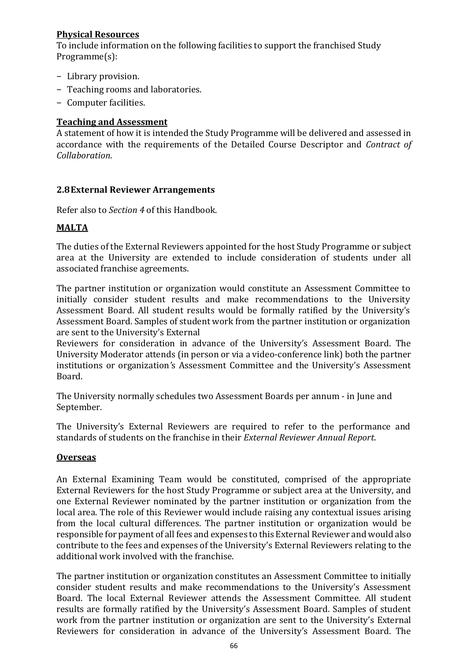### **Physical Resources**

To include information on the following facilities to support the franchised Study Programme(s):

- − Library provision.
- − Teaching rooms and laboratories.
- − Computer facilities.

### **Teaching and Assessment**

A statement of how it is intended the Study Programme will be delivered and assessed in accordance with the requirements of the Detailed Course Descriptor and *Contract of Collaboration*.

### **2.8External Reviewer Arrangements**

Refer also to *[Section 4](file:///C:/Users/ola.tina/AppData/Local/Microsoft/Windows/INetCache/Content.Outlook/2PY684QH/Section%204%20External%20Examiner%20Arrangements.pdf)* of this Handbook.

### **MALTA**

The duties of the External Reviewers appointed for the host Study Programme or subject area at the University are extended to include consideration of students under all associated franchise agreements.

The partner institution or organization would constitute an Assessment Committee to initially consider student results and make recommendations to the University Assessment Board. All student results would be formally ratified by the University's Assessment Board. Samples of student work from the partner institution or organization are sent to the University's External

Reviewers for consideration in advance of the University's Assessment Board. The University Moderator attends (in person or via a video-conference link) both the partner institutions or organization*'*s Assessment Committee and the University's Assessment Board.

The University normally schedules two Assessment Boards per annum - in June and September.

The University's External Reviewers are required to refer to the performance and standards of students on the franchise in their *External Reviewer Annual Report*.

#### **Overseas**

An External Examining Team would be constituted, comprised of the appropriate External Reviewers for the host Study Programme or subject area at the University, and one External Reviewer nominated by the partner institution or organization from the local area. The role of this Reviewer would include raising any contextual issues arising from the local cultural differences. The partner institution or organization would be responsible for payment of all fees and expenses to this External Reviewer and would also contribute to the fees and expenses of the University's External Reviewers relating to the additional work involved with the franchise.

The partner institution or organization constitutes an Assessment Committee to initially consider student results and make recommendations to the University's Assessment Board. The local External Reviewer attends the Assessment Committee. All student results are formally ratified by the University's Assessment Board. Samples of student work from the partner institution or organization are sent to the University's External Reviewers for consideration in advance of the University's Assessment Board. The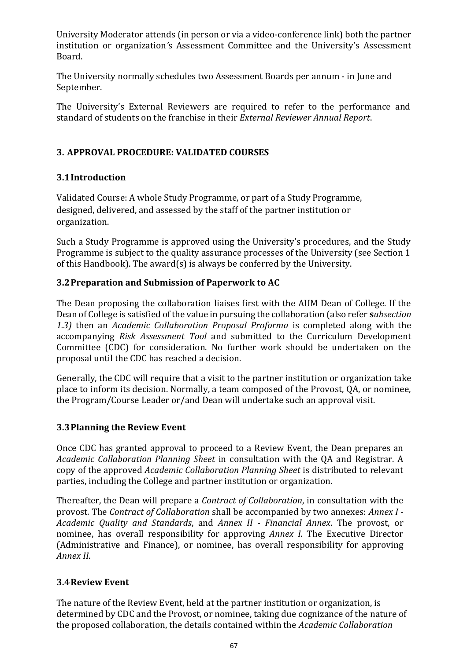University Moderator attends (in person or via a video-conference link) both the partner institution or organization*'*s Assessment Committee and the University's Assessment Board.

The University normally schedules two Assessment Boards per annum - in June and September.

The University's External Reviewers are required to refer to the performance and standard of students on the franchise in their *External Reviewer Annual Report*.

# **3. APPROVAL PROCEDURE: VALIDATED COURSES**

### **3.1Introduction**

Validated Course: A whole Study Programme, or part of a Study Programme, designed, delivered, and assessed by the staff of the partner institution or organization.

Such a Study Programme is approved using the University's procedures, and the Study Programme is subject to the quality assurance processes of the University (see [Section 1](file:///C:/Users/ola.tina/AppData/Local/Microsoft/Windows/INetCache/Content.Outlook/2PY684QH/Section%201%20Module,%20Course%20and%20Programme%20Development.pdf) of this Handbook). The award(s) is always be conferred by the University.

### **3.2Preparation and Submission of Paperwork to AC**

The Dean proposing the collaboration liaises first with the AUM Dean of College. If the Dean of College is satisfied of the value in pursuing the collaboration (also refer **s***ubsection 1.3)* then an *[Academic Collaboration Proposal Proforma](file:///C:/Users/ola.tina/AppData/Local/Microsoft/Windows/INetCache/Content.Outlook/Forms/Section%206/Academic%20Collaboration%20Proposal%20Proforma.pdf)* is completed along with the accompanying *[Risk Assessment Tool](file:///C:/Users/ola.tina/AppData/Local/Microsoft/Windows/INetCache/Content.Outlook/Forms/Section%206/Academic%20Collaboration%20Proposal%20Proforma.pdf)* and submitted to the Curriculum Development Committee (CDC) for consideration. No further work should be undertaken on the proposal until the CDC has reached a decision.

Generally, the CDC will require that a visit to the partner institution or organization take place to inform its decision. Normally, a team composed of the Provost, QA, or nominee, the Program/Course Leader or/and Dean will undertake such an approval visit.

### **3.3Planning the Review Event**

Once CDC has granted approval to proceed to a Review Event, the Dean prepares an *[Academic Collaboration Planning Sheet](file:///C:/Users/ola.tina/AppData/Local/Microsoft/Windows/INetCache/Content.Outlook/Forms/Section%206/Academic%20Collaboration%20Planning%20Sheet.pdf)* [i](file:///C:/Users/ola.tina/AppData/Local/Microsoft/Windows/INetCache/Content.Outlook/Forms/Section%206/Academic%20Collaboration%20Planning%20Sheet.pdf)n consultation with the QA and Registrar. A copy of the approved *Academic Collaboration Planning Sheet* is distributed to relevant parties, including the College and partner institution or organization.

Thereafter, the Dean will prepare a *Contract of Collaboration*, in consultation with the provost. The *Contract of Collaboration* shall be accompanied by two annexes: *Annex I - Academic Quality and Standards*, and *Annex II - Financial Annex*. The provost, or nominee, has overall responsibility for approving *Annex I*. The Executive Director (Administrative and Finance), or nominee, has overall responsibility for approving *Annex II*.

# **3.4Review Event**

The nature of the Review Event, held at the partner institution or organization, is determined by CDC and the Provost, or nominee, taking due cognizance of the nature of the proposed collaboration, the details contained within the *Academic Collaboration*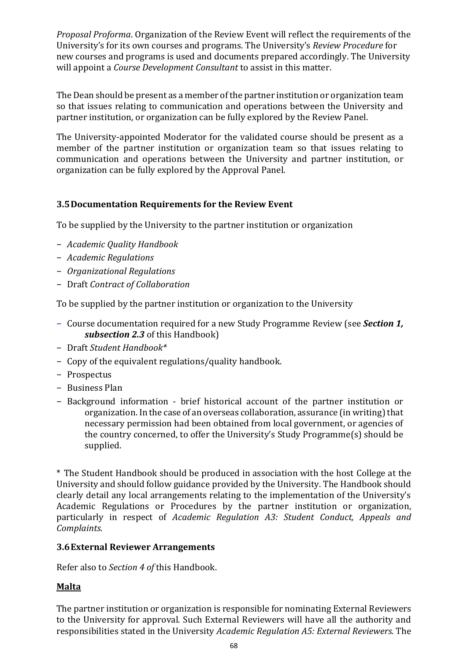*Proposal Proforma*. Organization of the Review Event will reflect the requirements of the University's for its own courses and programs. The University's *Review [Procedure](file:///C:/Users/ola.tina/AppData/Local/Microsoft/Windows/INetCache/Content.Outlook/2PY684QH/Section%201%20Module,%20Course%20and%20Programme%20Development.pdf)* for new courses and programs is used and documents prepared accordingly. The University will appoint a *Course Development Consultant* to assist in this matter.

The Dean should be present as a member of the partner institution or organization team so that issues relating to communication and operations between the University and partner institution, or organization can be fully explored by the Review Panel.

The University-appointed Moderator for the validated course should be present as a member of the partner institution or organization team so that issues relating to communication and operations between the University and partner institution, or organization can be fully explored by the Approval Panel.

### **3.5Documentation Requirements for the Review Event**

To be supplied by the University to the partner institution or organization

- − *Academic Quality Handbook*
- − *Academic Regulations*
- − *Organizational Regulations*
- − Draft *Contract of Collaboration*

To be supplied by the partner institution or organization to the University

- − Course documentation required for a new Study Programme Review (see *[Section 1,](file:///C:/Users/ola.tina/AppData/Local/Microsoft/Windows/INetCache/Content.Outlook/2PY684QH/Section%201%20Module,%20Course%20and%20Programme%20Development.pdf) [subsection 2.3](file:///C:/Users/ola.tina/AppData/Local/Microsoft/Windows/INetCache/Content.Outlook/2PY684QH/Section%201%20Module,%20Course%20and%20Programme%20Development.pdf)* of this Handbook)
- − Draft *Student Handbook\**
- − Copy of the equivalent regulations/quality handbook.
- − Prospectus
- − Business Plan
- − Background information brief historical account of the partner institution or organization. In the case of an overseas collaboration, assurance (in writing) that necessary permission had been obtained from local government, or agencies of the country concerned, to offer the University's Study Programme(s) should be supplied.

\* The Student Handbook should be produced in association with the host College at the University and should follow guidance provided by the University. The Handbook should clearly detail any local arrangements relating to the implementation of the University's Academic Regulations or Procedures by the partner institution or organization, particularly in respect of *[Academic Regulation](http://www.rgu.ac.uk/academicaffairs/quality_assurance/page.cfm?pge=1826) [A3: Student Conduct, Appeals and](http://www.rgu.ac.uk/academicaffairs/quality_assurance/page.cfm?pge=1826)  [Complaints.](http://www.rgu.ac.uk/academicaffairs/quality_assurance/page.cfm?pge=1826)*

### **3.6External Reviewer Arrangements**

Refer also to *[Section 4 o](file:///C:/Users/ola.tina/AppData/Local/Microsoft/Windows/INetCache/Content.Outlook/2PY684QH/Section%204%20External%20Examiner%20Arrangements.pdf)f* this Handbook.

### **Malta**

The partner institution or organization is responsible for nominating External Reviewers to the University for approval. Such External Reviewers will have all the authority and responsibilities stated in the University *[Academic Regulation A5: External Reviewers.](http://www.rgu.ac.uk/academicaffairs/quality_assurance/page.cfm?pge=1826)* The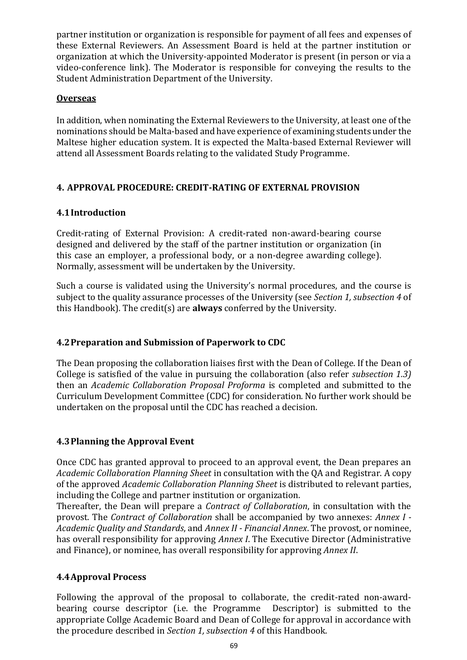partner institution or organization is responsible for payment of all fees and expenses of these External Reviewers. An Assessment Board is held at the partner institution or organization at which the University-appointed Moderator is present (in person or via a video-conference link). The Moderator is responsible for conveying the results to the Student Administration Department of the University.

### **Overseas**

In addition, when nominating the External Reviewers to the University, at least one of the nominations should be Malta-based and have experience of examining students under the Maltese higher education system. It is expected the Malta-based External Reviewer will attend all Assessment Boards relating to the validated Study Programme.

### **4. APPROVAL PROCEDURE: CREDIT-RATING OF EXTERNAL PROVISION**

### **4.1Introduction**

Credit-rating of External Provision: A credit-rated non-award-bearing course designed and delivered by the staff of the partner institution or organization (in this case an employer, a professional body, or a non-degree awarding college). Normally, assessment will be undertaken by the University.

Such a course is validated using the University's normal procedures, and the course is subject to the quality assurance processes of the University (see *[Section 1, subsection 4](file:///C:/Users/ola.tina/AppData/Local/Microsoft/Windows/INetCache/Content.Outlook/2PY684QH/Section%201%20Module,%20Course%20and%20Programme%20Development.pdf)* of this Handbook). The credit(s) are **always** conferred by the University.

### **4.2Preparation and Submission of Paperwork to CDC**

The Dean proposing the collaboration liaises first with the Dean of College. If the Dean of College is satisfied of the value in pursuing the collaboration (also refer *subsection 1.3)* then an *[Academic Collaboration Proposal Proforma](file:///C:/Users/ola.tina/AppData/Local/Microsoft/Windows/INetCache/Content.Outlook/Forms/Section%206/Academic%20Collaboration%20Proposal%20Proforma.pdf)* is complete[d](file:///C:/Users/ola.tina/AppData/Local/Microsoft/Windows/INetCache/Content.Outlook/Forms/Section%206/Academic%20Collaboration%20Proposal%20Proforma.pdf) and submitted to the Curriculum Development Committee (CDC) for consideration. No further work should be undertaken on the proposal until the CDC has reached a decision.

# **4.3Planning the Approval Event**

Once CDC has granted approval to proceed to an approval event, the Dean prepares an *[Academic Collaboration Planning Sheet](file:///C:/Users/ola.tina/AppData/Local/Microsoft/Windows/INetCache/Content.Outlook/Forms/Section%206/Academic%20Collaboration%20Planning%20Sheet.pdf)* in consultation with the QA and Registrar. A copy of the approved *Academic Collaboration Planning Sheet* is distributed to relevant parties, including the College and partner institution or organization.

Thereafter, the Dean will prepare a *Contract of Collaboration*, in consultation with the provost. The *Contract of Collaboration* shall be accompanied by two annexes: *Annex I - Academic Quality and Standards*, and *Annex II - Financial Annex*. The provost, or nominee, has overall responsibility for approving *Annex I*. The Executive Director (Administrative and Finance), or nominee, has overall responsibility for approving *Annex II*.

### **4.4Approval Process**

Following the approval of the proposal to collaborate, the credit-rated non-awardbearing course descriptor (i.e. the Programme Descriptor) is submitted to the appropriate Collge Academic Board and Dean of College for approval in accordance with the procedure described in *[Section 1, subsection](file:///C:/Users/ola.tina/AppData/Local/Microsoft/Windows/INetCache/Content.Outlook/2PY684QH/Section%201%20Module,%20Course%20and%20Programme%20Development.pdf) [4](file:///C:/Users/ola.tina/AppData/Local/Microsoft/Windows/INetCache/Content.Outlook/2PY684QH/Section%201%20Module,%20Course%20and%20Programme%20Development.pdf)* of this Handbook.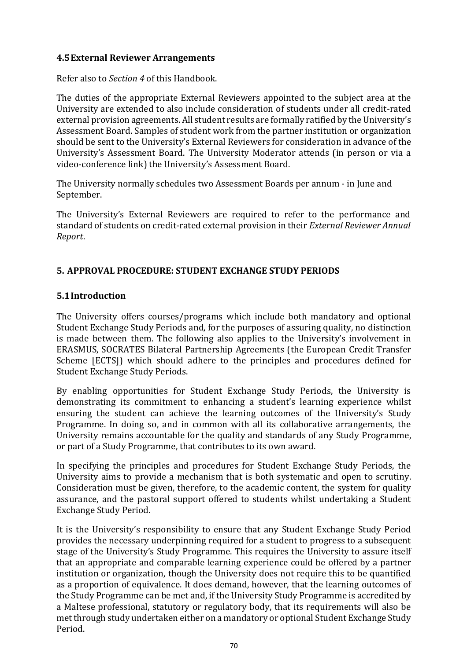### **4.5External Reviewer Arrangements**

Refer also to *[Section 4](file:///C:/Users/ola.tina/AppData/Local/Microsoft/Windows/INetCache/Content.Outlook/2PY684QH/Section%204%20External%20Examiner%20Arrangements.pdf)* of this Handbook.

The duties of the appropriate External Reviewers appointed to the subject area at the University are extended to also include consideration of students under all credit-rated external provision agreements. All student results are formally ratified by the University's Assessment Board. Samples of student work from the partner institution or organization should be sent to the University's External Reviewers for consideration in advance of the University's Assessment Board. The University Moderator attends (in person or via a video-conference link) the University's Assessment Board.

The University normally schedules two Assessment Boards per annum - in June and September.

The University's External Reviewers are required to refer to the performance and standard of students on credit-rated external provision in their *External Reviewer Annual Report*.

### **5. APPROVAL PROCEDURE: STUDENT EXCHANGE STUDY PERIODS**

#### **5.1Introduction**

The University offers courses/programs which include both mandatory and optional Student Exchange Study Periods and, for the purposes of assuring quality, no distinction is made between them. The following also applies to the University's involvement in ERASMUS, SOCRATES Bilateral Partnership Agreements (the European Credit Transfer Scheme [ECTS]) which should adhere to the principles and procedures defined for Student Exchange Study Periods.

By enabling opportunities for Student Exchange Study Periods, the University is demonstrating its commitment to enhancing a student's learning experience whilst ensuring the student can achieve the learning outcomes of the University's Study Programme. In doing so, and in common with all its collaborative arrangements, the University remains accountable for the quality and standards of any Study Programme, or part of a Study Programme, that contributes to its own award.

In specifying the principles and procedures for Student Exchange Study Periods, the University aims to provide a mechanism that is both systematic and open to scrutiny. Consideration must be given, therefore, to the academic content, the system for quality assurance, and the pastoral support offered to students whilst undertaking a Student Exchange Study Period.

It is the University's responsibility to ensure that any Student Exchange Study Period provides the necessary underpinning required for a student to progress to a subsequent stage of the University's Study Programme. This requires the University to assure itself that an appropriate and comparable learning experience could be offered by a partner institution or organization, though the University does not require this to be quantified as a proportion of equivalence. It does demand, however, that the learning outcomes of the Study Programme can be met and, if the University Study Programme is accredited by a Maltese professional, statutory or regulatory body, that its requirements will also be met through study undertaken either on a mandatory or optional Student Exchange Study Period.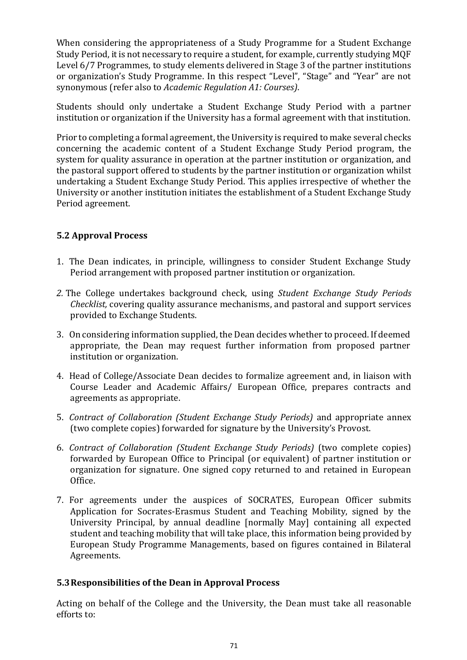When considering the appropriateness of a Study Programme for a Student Exchange Study Period, it is not necessary to require a student, for example, currently studying MQF Level 6/7 Programmes, to study elements delivered in Stage 3 of the partner institutions or organization's Study Programme. In this respect "Level", "Stage" and "Year" are not synonymous (refer also to *[Academic Regulation A1: Courses\)](http://www.rgu.ac.uk/academicaffairs/quality_assurance/page.cfm?pge=1826)*.

Students should only undertake a Student Exchange Study Period with a partner institution or organization if the University has a formal agreement with that institution.

Prior to completing a formal agreement, the University is required to make several checks concerning the academic content of a Student Exchange Study Period program, the system for quality assurance in operation at the partner institution or organization, and the pastoral support offered to students by the partner institution or organization whilst undertaking a Student Exchange Study Period. This applies irrespective of whether the University or another institution initiates the establishment of a Student Exchange Study Period agreement.

## **5.2 Approval Process**

- 1. The Dean indicates, in principle, willingness to consider Student Exchange Study Period arrangement with proposed partner institution or organization.
- *2.* The College undertakes background check, using *[Student Exchange](file:///C:/Users/ola.tina/AppData/Local/Microsoft/Windows/INetCache/Content.Outlook/Forms/Section%206/Student%20Exchange%20Study%20Periods%20Checklist.pdf) [Study Periods](file:///C:/Users/ola.tina/AppData/Local/Microsoft/Windows/INetCache/Content.Outlook/Forms/Section%206/Student%20Exchange%20Study%20Periods%20Checklist.pdf)  [Checklist,](file:///C:/Users/ola.tina/AppData/Local/Microsoft/Windows/INetCache/Content.Outlook/Forms/Section%206/Student%20Exchange%20Study%20Periods%20Checklist.pdf)* covering quality assurance mechanisms, and pastoral and support services provided to Exchange Students.
- 3. On considering information supplied, the Dean decides whether to proceed. If deemed appropriate, the Dean may request further information from proposed partner institution or organization.
- 4. Head of College/Associate Dean decides to formalize agreement and, in liaison with Course Leader and Academic Affairs/ European Office, prepares contracts and agreements as appropriate.
- 5. *Contract of Collaboration (Student Exchange Study Periods)* and appropriate annex (two complete copies) forwarded for signature by the University's Provost.
- 6. *Contract of Collaboration (Student Exchange Study Periods)* (two complete copies) forwarded by European Office to Principal (or equivalent) of partner institution or organization for signature. One signed copy returned to and retained in European Office.
- 7. For agreements under the auspices of SOCRATES, European Officer submits Application for Socrates-Erasmus Student and Teaching Mobility, signed by the University Principal, by annual deadline [normally May] containing all expected student and teaching mobility that will take place, this information being provided by European Study Programme Managements, based on figures contained in Bilateral Agreements.

### **5.3Responsibilities of the Dean in Approval Process**

Acting on behalf of the College and the University, the Dean must take all reasonable efforts to: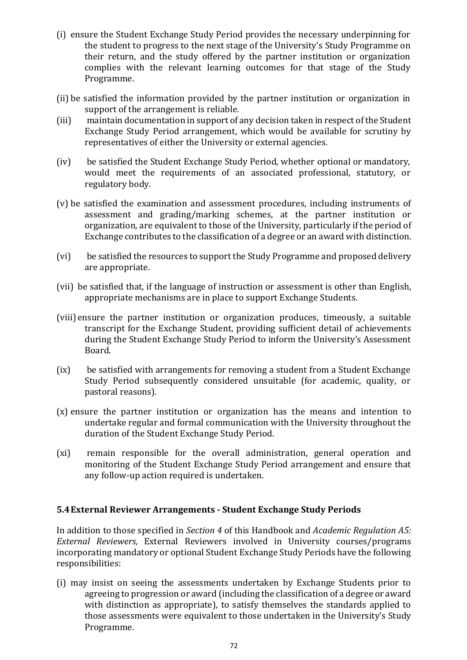- (i) ensure the Student Exchange Study Period provides the necessary underpinning for the student to progress to the next stage of the University's Study Programme on their return, and the study offered by the partner institution or organization complies with the relevant learning outcomes for that stage of the Study Programme.
- (ii) be satisfied the information provided by the partner institution or organization in support of the arrangement is reliable.
- (iii) maintain documentation in support of any decision taken in respect of the Student Exchange Study Period arrangement, which would be available for scrutiny by representatives of either the University or external agencies.
- (iv) be satisfied the Student Exchange Study Period, whether optional or mandatory, would meet the requirements of an associated professional, statutory, or regulatory body.
- (v) be satisfied the examination and assessment procedures, including instruments of assessment and grading/marking schemes, at the partner institution or organization*,* are equivalent to those of the University, particularly if the period of Exchange contributes to the classification of a degree or an award with distinction.
- (vi) be satisfied the resources to support the Study Programme and proposed delivery are appropriate.
- (vii) be satisfied that, if the language of instruction or assessment is other than English, appropriate mechanisms are in place to support Exchange Students.
- (viii) ensure the partner institution or organization produces, timeously, a suitable transcript for the Exchange Student, providing sufficient detail of achievements during the Student Exchange Study Period to inform the University's Assessment Board.
- (ix) be satisfied with arrangements for removing a student from a Student Exchange Study Period subsequently considered unsuitable (for academic, quality, or pastoral reasons).
- (x) ensure the partner institution or organization has the means and intention to undertake regular and formal communication with the University throughout the duration of the Student Exchange Study Period.
- (xi) remain responsible for the overall administration, general operation and monitoring of the Student Exchange Study Period arrangement and ensure that any follow-up action required is undertaken.

#### **5.4External Reviewer Arrangements - Student Exchange Study Periods**

In addition to those specified in *[Section 4](file:///C:/Users/ola.tina/AppData/Local/Microsoft/Windows/INetCache/Content.Outlook/2PY684QH/Section%204%20External%20Examiner%20Arrangements.pdf)* [o](file:///C:/Users/ola.tina/AppData/Local/Microsoft/Windows/INetCache/Content.Outlook/2PY684QH/Section%204%20External%20Examiner%20Arrangements.pdf)f this Handbook and *[Academic Regulation A5:](http://www.rgu.ac.uk/academicaffairs/quality_assurance/page.cfm?pge=1826)  [External](http://www.rgu.ac.uk/academicaffairs/quality_assurance/page.cfm?pge=1826) [Reviewers](http://www.rgu.ac.uk/academicaffairs/quality_assurance/page.cfm?pge=1826)*, External Reviewers involved in University courses/programs incorporating mandatory or optional Student Exchange Study Periods have the following responsibilities:

(i) may insist on seeing the assessments undertaken by Exchange Students prior to agreeing to progression or award (including the classification of a degree or award with distinction as appropriate), to satisfy themselves the standards applied to those assessments were equivalent to those undertaken in the University's Study Programme.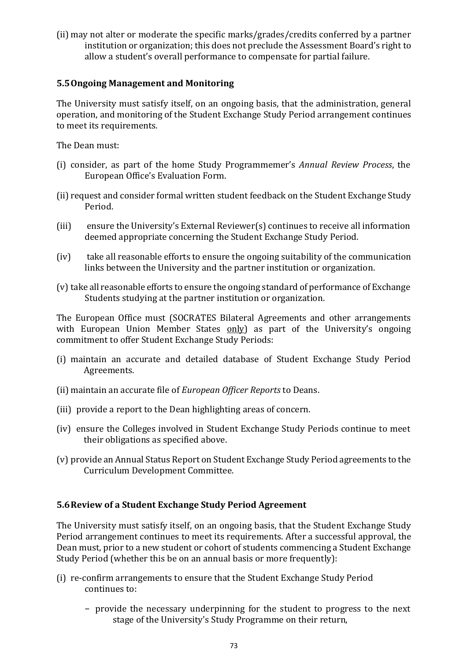(ii) may not alter or moderate the specific marks/grades/credits conferred by a partner institution or organization; this does not preclude the Assessment Board's right to allow a student's overall performance to compensate for partial failure.

### **5.5Ongoing Management and Monitoring**

The University must satisfy itself, on an ongoing basis, that the administration, general operation, and monitoring of the Student Exchange Study Period arrangement continues to meet its requirements.

The Dean must:

- (i) consider, as part of the home Study Programmemer's *Annual Review Process*, the European Office's Evaluation Form.
- (ii) request and consider formal written student feedback on the Student Exchange Study Period.
- (iii) ensure the University's External Reviewer(s) continues to receive all information deemed appropriate concerning the Student Exchange Study Period.
- (iv) take all reasonable efforts to ensure the ongoing suitability of the communication links between the University and the partner institution or organization.
- (v) take all reasonable efforts to ensure the ongoing standard of performance of Exchange Students studying at the partner institution or organization.

The European Office must (SOCRATES Bilateral Agreements and other arrangements with European Union Member States only) as part of the University's ongoing commitment to offer Student Exchange Study Periods:

- (i) maintain an accurate and detailed database of Student Exchange Study Period Agreements.
- (ii) maintain an accurate file of *European Officer Reports* to Deans.
- (iii) provide a report to the Dean highlighting areas of concern.
- (iv) ensure the Colleges involved in Student Exchange Study Periods continue to meet their obligations as specified above.
- (v) provide an Annual Status Report on Student Exchange Study Period agreements to the Curriculum Development Committee.

# **5.6Review of a Student Exchange Study Period Agreement**

The University must satisfy itself, on an ongoing basis, that the Student Exchange Study Period arrangement continues to meet its requirements. After a successful approval, the Dean must, prior to a new student or cohort of students commencing a Student Exchange Study Period (whether this be on an annual basis or more frequently):

- (i) re-confirm arrangements to ensure that the Student Exchange Study Period continues to:
	- − provide the necessary underpinning for the student to progress to the next stage of the University's Study Programme on their return,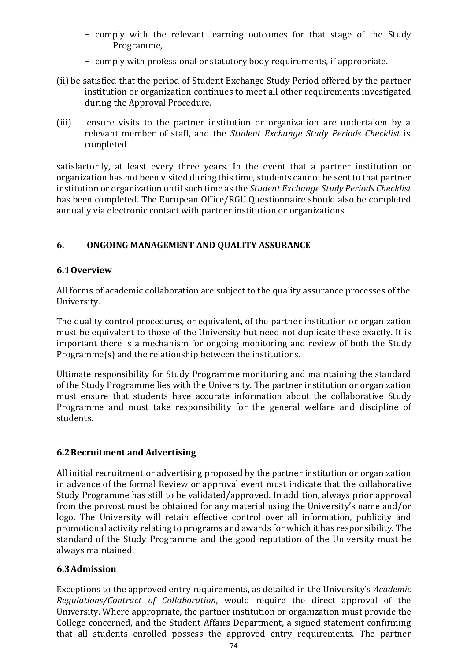- − comply with the relevant learning outcomes for that stage of the Study Programme,
- − comply with professional or statutory body requirements, if appropriate.
- (ii) be satisfied that the period of Student Exchange Study Period offered by the partner institution or organization continues to meet all other requirements investigated during the Approval Procedure.
- (iii) ensure visits to the partner institution or organization are undertaken by a relevant member of staff, and the *[Student Exchange Study Periods Checklist](file:///C:/Users/ola.tina/AppData/Local/Microsoft/Windows/INetCache/Content.Outlook/Forms/Section%206/Student%20Exchange%20Study%20Periods%20Checklist.pdf)* is completed

satisfactorily, at least every three years. In the event that a partner institution or organization has not been visited during this time, students cannot be sent to that partner institution or organization until such time as the *[Student Exchange Study Periods Checklist](file:///C:/Users/ola.tina/AppData/Local/Microsoft/Windows/INetCache/Content.Outlook/Forms/Section%206/Student%20Exchange%20Study%20Periods%20Checklist.pdf)* has been completed. The European Office/RGU Questionnaire should also be completed annually via electronic contact with partner institution or organizations.

### **6. ONGOING MANAGEMENT AND QUALITY ASSURANCE**

### **6.1Overview**

All forms of academic collaboration are subject to the quality assurance processes of the University.

The quality control procedures, or equivalent, of the partner institution or organization must be equivalent to those of the University but need not duplicate these exactly. It is important there is a mechanism for ongoing monitoring and review of both the Study Programme(s) and the relationship between the institutions.

Ultimate responsibility for Study Programme monitoring and maintaining the standard of the Study Programme lies with the University. The partner institution or organization must ensure that students have accurate information about the collaborative Study Programme and must take responsibility for the general welfare and discipline of students.

### **6.2Recruitment and Advertising**

All initial recruitment or advertising proposed by the partner institution or organization in advance of the formal Review or approval event must indicate that the collaborative Study Programme has still to be validated/approved. In addition, always prior approval from the provost must be obtained for any material using the University's name and/or logo. The University will retain effective control over all information, publicity and promotional activity relating to programs and awards for which it has responsibility. The standard of the Study Programme and the good reputation of the University must be always maintained.

### **6.3Admission**

Exceptions to the approved entry requirements, as detailed in the University's *[Academic](http://www.rgu.ac.uk/academicaffairs/quality_assurance/page.cfm?pge=1826) [Regulations/](http://www.rgu.ac.uk/academicaffairs/quality_assurance/page.cfm?pge=1826)Contract of Collaboration*, would require the direct approval of the University. Where appropriate, the partner institution or organization must provide the College concerned, and the Student Affairs Department, a signed statement confirming that all students enrolled possess the approved entry requirements. The partner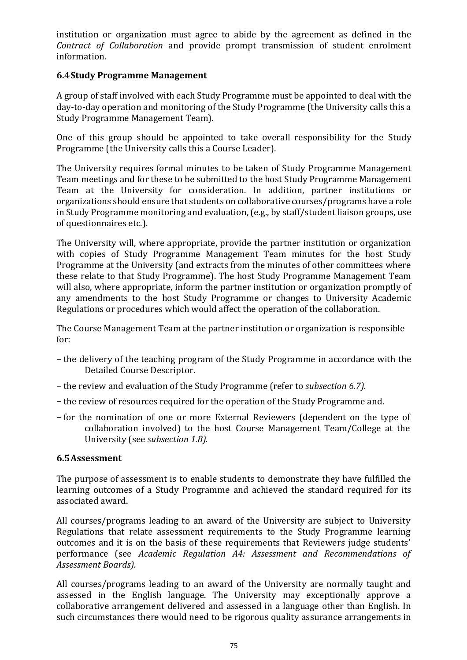institution or organization must agree to abide by the agreement as defined in the *Contract of Collaboration* and provide prompt transmission of student enrolment information.

## **6.4Study Programme Management**

A group of staff involved with each Study Programme must be appointed to deal with the day-to-day operation and monitoring of the Study Programme (the University calls this a Study Programme Management Team).

One of this group should be appointed to take overall responsibility for the Study Programme (the University calls this a Course Leader).

The University requires formal minutes to be taken of Study Programme Management Team meetings and for these to be submitted to the host Study Programme Management Team at the University for consideration. In addition, partner institutions or organizations should ensure that students on collaborative courses/programs have a role in Study Programme monitoring and evaluation, (e.g., by staff/student liaison groups, use of questionnaires etc.).

The University will, where appropriate, provide the partner institution or organization with copies of Study Programme Management Team minutes for the host Study Programme at the University (and extracts from the minutes of other committees where these relate to that Study Programme). The host Study Programme Management Team will also, where appropriate, inform the partner institution or organization promptly of any amendments to the host Study Programme or changes to University Academic Regulations or procedures which would affect the operation of the collaboration.

The Course Management Team at the partner institution or organization is responsible for:

- − the delivery of the teaching program of the Study Programme in accordance with the Detailed Course Descriptor.
- − the review and evaluation of the Study Programme (refer to *subsection 6.7).*
- − the review of resources required for the operation of the Study Programme and.
- − for the nomination of one or more External Reviewers (dependent on the type of collaboration involved) to the host Course Management Team/College at the University (see *subsection 1.8).*

#### **6.5Assessment**

The purpose of assessment is to enable students to demonstrate they have fulfilled the learning outcomes of a Study Programme and achieved the standard required for its associated award.

All courses/programs leading to an award of the University are subject to University Regulations that relate assessment requirements to the Study Programme learning outcomes and it is on the basis of these requirements that Reviewers judge students' performance (see *[Academic](http://www.rgu.ac.uk/academicaffairs/quality_assurance/page.cfm?pge=1826) [Regulation A4: Assessment and Recommendations of](http://www.rgu.ac.uk/academicaffairs/quality_assurance/page.cfm?pge=1826)  [Assessment Boards\)](http://www.rgu.ac.uk/academicaffairs/quality_assurance/page.cfm?pge=1826).*

All courses/programs leading to an award of the University are normally taught and assessed in the English language. The University may exceptionally approve a collaborative arrangement delivered and assessed in a language other than English. In such circumstances there would need to be rigorous quality assurance arrangements in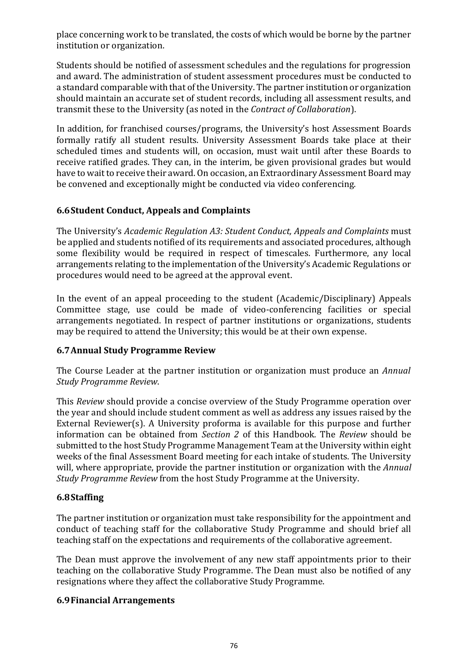place concerning work to be translated, the costs of which would be borne by the partner institution or organization.

Students should be notified of assessment schedules and the regulations for progression and award. The administration of student assessment procedures must be conducted to a standard comparable with that of the University. The partner institution or organization should maintain an accurate set of student records, including all assessment results, and transmit these to the University (as noted in the *Contract of Collaboration*).

In addition, for franchised courses/programs, the University's host Assessment Boards formally ratify all student results. University Assessment Boards take place at their scheduled times and students will, on occasion, must wait until after these Boards to receive ratified grades. They can, in the interim, be given provisional grades but would have to wait to receive their award. On occasion, an Extraordinary Assessment Board may be convened and exceptionally might be conducted via video conferencing.

# **6.6Student Conduct, Appeals and Complaints**

The University's *[Academic Regulation A3: Student Conduct, Appeals and Complaints](http://www.rgu.ac.uk/academicaffairs/quality_assurance/page.cfm?pge=1826)* must be applied and students notified of its requirements and associated procedures, although some flexibility would be required in respect of timescales. Furthermore, any local arrangements relating to the implementation of the University's Academic Regulations or procedures would need to be agreed at the approval event.

In the event of an appeal proceeding to the student (Academic/Disciplinary) Appeals Committee stage, use could be made of video-conferencing facilities or special arrangements negotiated. In respect of partner institutions or organizations, students may be required to attend the University; this would be at their own expense.

# **6.7Annual Study Programme Review**

The Course Leader at the partner institution or organization must produce an *Annual Study Programme Review*.

This *Review* should provide a concise overview of the Study Programme operation over the year and should include student comment as well as address any issues raised by the External Reviewer(s). A University proforma is available for this purpose and further information can be obtained from *[Section 2](file:///C:/Users/ola.tina/AppData/Local/Microsoft/Windows/INetCache/Content.Outlook/2PY684QH/Section%202%20Annual%20Appraisal%20Process.pdf)* of this Handbook. The *Review* should be submitted to the host Study Programme Management Team at the University within eight weeks of the final Assessment Board meeting for each intake of students. The University will, where appropriate, provide the partner institution or organization with the *Annual Study Programme Review* from the host Study Programme at the University.

# **6.8Staffing**

The partner institution or organization must take responsibility for the appointment and conduct of teaching staff for the collaborative Study Programme and should brief all teaching staff on the expectations and requirements of the collaborative agreement.

The Dean must approve the involvement of any new staff appointments prior to their teaching on the collaborative Study Programme. The Dean must also be notified of any resignations where they affect the collaborative Study Programme.

# **6.9Financial Arrangements**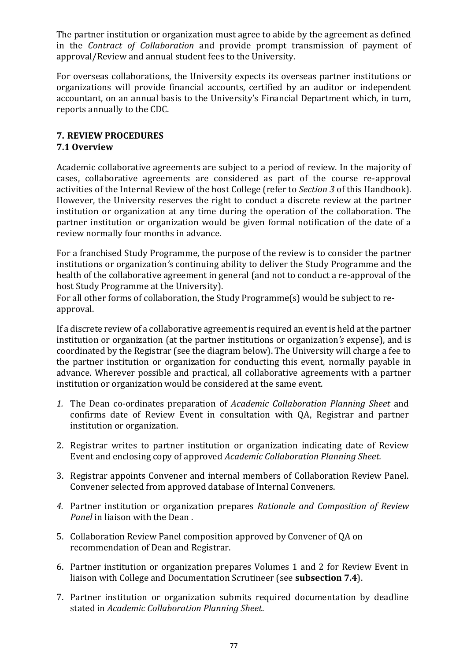The partner institution or organization must agree to abide by the agreement as defined in the *Contract of Collaboration* and provide prompt transmission of payment of approval/Review and annual student fees to the University.

For overseas collaborations, the University expects its overseas partner institutions or organizations will provide financial accounts, certified by an auditor or independent accountant, on an annual basis to the University's Financial Department which, in turn, reports annually to the CDC.

### **7. REVIEW PROCEDURES 7.1 Overview**

Academic collaborative agreements are subject to a period of review. In the majority of cases, collaborative agreements are considered as part of the course re-approval activities of the Internal Review of the host College (refer to *[Section 3](file:///C:/Users/ola.tina/AppData/Local/Microsoft/Windows/INetCache/Content.Outlook/2PY684QH/Section%203%20Internal%20Review.pdf)* of this Handbook). However, the University reserves the right to conduct a discrete review at the partner institution or organization at any time during the operation of the collaboration. The partner institution or organization would be given formal notification of the date of a review normally four months in advance.

For a franchised Study Programme, the purpose of the review is to consider the partner institutions or organization*'*s continuing ability to deliver the Study Programme and the health of the collaborative agreement in general (and not to conduct a re-approval of the host Study Programme at the University).

For all other forms of collaboration, the Study Programme(s) would be subject to reapproval.

If a discrete review of a collaborative agreement is required an event is held at the partner institution or organization (at the partner institutions or organization*'s* expense), and is coordinated by the Registrar (see the diagram below). The University will charge a fee to the partner institution or organization for conducting this event, normally payable in advance. Wherever possible and practical, all collaborative agreements with a partner institution or organization would be considered at the same event.

- *1.* The Dean co-ordinates preparation of *[Academic Collaboration](file:///C:/Users/ola.tina/AppData/Local/Microsoft/Windows/INetCache/Content.Outlook/Forms/Section%206/Academic%20Collaboration%20Review%20Planning%20Sheet.pdf) [Planning Sheet](file:///C:/Users/ola.tina/AppData/Local/Microsoft/Windows/INetCache/Content.Outlook/Forms/Section%206/Academic%20Collaboration%20Review%20Planning%20Sheet.pdf)* and confirms date of Review Event in consultation with QA, Registrar and partner institution or organization.
- 2. Registrar writes to partner institution or organization indicating date of Review Event and enclosing copy of approved *Academic Collaboration Planning Sheet.*
- 3. Registrar appoints Convener and internal members of Collaboration Review Panel. Convener selected from approved database of Internal Conveners.
- *4.* Partner institution or organization prepares *[Rationale and](file:///C:/Users/ola.tina/AppData/Local/Microsoft/Windows/INetCache/Content.Outlook/Exemplars/Section%201%20-%20Module,%20Course%20and%20Programme%20Developments/PDF/Exemplar%20Validation%20Panel%20Membership.pdf) [Composition of Review](file:///C:/Users/ola.tina/AppData/Local/Microsoft/Windows/INetCache/Content.Outlook/Exemplars/Section%201%20-%20Module,%20Course%20and%20Programme%20Developments/PDF/Exemplar%20Validation%20Panel%20Membership.pdf)  [Panel](file:///C:/Users/ola.tina/AppData/Local/Microsoft/Windows/INetCache/Content.Outlook/Exemplars/Section%201%20-%20Module,%20Course%20and%20Programme%20Developments/PDF/Exemplar%20Validation%20Panel%20Membership.pdf)* in liaison with the Dean .
- 5. Collaboration Review Panel composition approved by Convener of QA on recommendation of Dean and Registrar.
- 6. Partner institution or organization prepares Volumes 1 and 2 for Review Event in liaison with College and Documentation Scrutineer (see **[subsection 7.4](#page-79-0)**).
- 7. Partner institution or organization submits required documentation by deadline stated in *Academic Collaboration Planning Sheet*.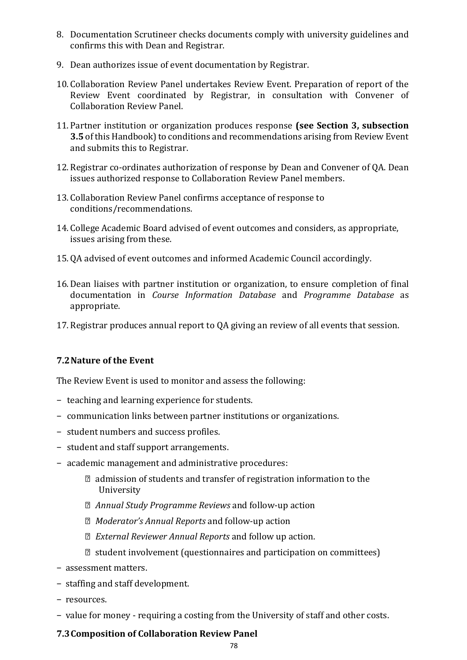- 8. Documentation Scrutineer checks documents comply with university guidelines and confirms this with Dean and Registrar.
- 9. Dean authorizes issue of event documentation by Registrar.
- 10. Collaboration Review Panel undertakes Review Event. Preparation of report of the Review Event coordinated by Registrar, in consultation with Convener of Collaboration Review Panel.
- 11. Partner institution or organization produces response **(see [Section 3, subsection](file:///C:/Users/ola.tina/AppData/Local/Microsoft/Windows/INetCache/Content.Outlook/2PY684QH/Section%203%20Internal%20Review.pdf)  [3.5](file:///C:/Users/ola.tina/AppData/Local/Microsoft/Windows/INetCache/Content.Outlook/2PY684QH/Section%203%20Internal%20Review.pdf)** of this Handbook) to conditions and recommendations arising from Review Event and submits this to Registrar.
- 12. Registrar co-ordinates authorization of response by Dean and Convener of QA. Dean issues authorized response to Collaboration Review Panel members.
- 13. Collaboration Review Panel confirms acceptance of response to conditions/recommendations.
- 14. College Academic Board advised of event outcomes and considers, as appropriate, issues arising from these.
- 15. QA advised of event outcomes and informed Academic Council accordingly.
- 16.Dean liaises with partner institution or organization, to ensure completion of final documentation in *Course Information Database* and *Programme Database* as appropriate.
- 17. Registrar produces annual report to QA giving an review of all events that session.

# **7.2Nature of the Event**

The Review Event is used to monitor and assess the following:

- − teaching and learning experience for students.
- − communication links between partner institutions or organizations.
- − student numbers and success profiles.
- − student and staff support arrangements.
- − academic management and administrative procedures:
	- admission of students and transfer of registration information to the University
	- *Annual Study Programme Reviews* and follow-up action
	- *Moderator's Annual Reports* and follow-up action
	- *External Reviewer Annual Reports* and follow up action.
	- $\mathbb D$  student involvement (questionnaires and participation on committees)
- − assessment matters.
- − staffing and staff development.
- − resources.
- − value for money requiring a costing from the University of staff and other costs.

# **7.3Composition of Collaboration Review Panel**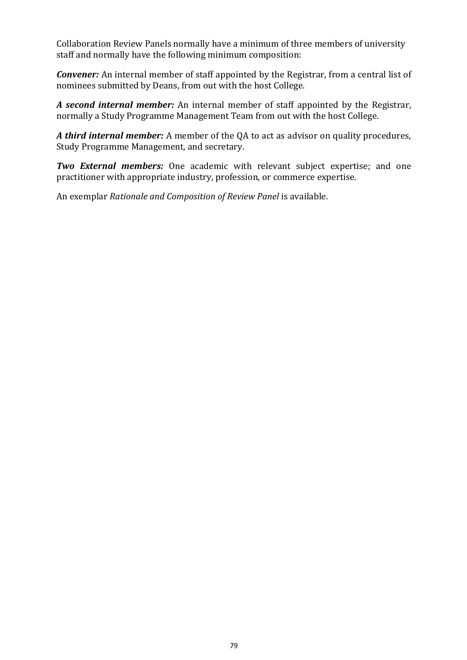Collaboration Review Panels normally have a minimum of three members of university staff and normally have the following minimum composition:

*Convener:* An internal member of staff appointed by the Registrar, from a central list of nominees submitted by Deans, from out with the host College.

*A second internal member:* An internal member of staff appointed by the Registrar, normally a Study Programme Management Team from out with the host College.

*A third internal member:* A member of the QA to act as advisor on quality procedures, Study Programme Management, and secretary.

*Two External members:* One academic with relevant subject expertise; and one practitioner with appropriate industry, profession, or commerce expertise.

An exemplar *[Rationale and Composition of Review Panel](file:///C:/Users/ola.tina/AppData/Local/Microsoft/Windows/INetCache/Content.Outlook/Exemplars/Section%201%20-%20Module,%20Course%20and%20Programme%20Developments/PDF/Exemplar%20Validation%20Panel%20Membership.pdf)* is available.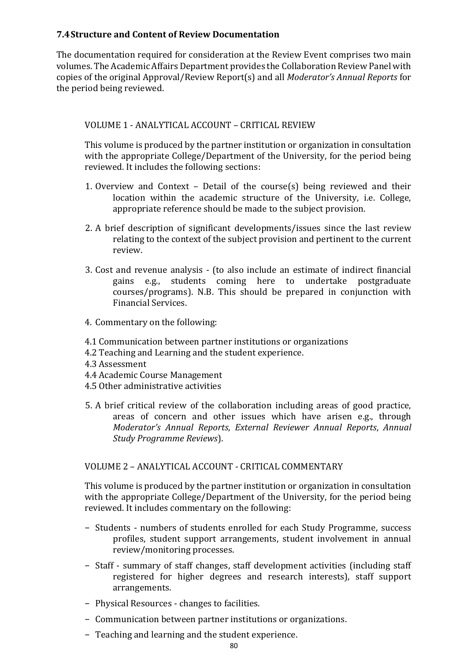### <span id="page-79-0"></span>**7.4Structure and Content of Review Documentation**

The documentation required for consideration at the Review Event comprises two main volumes. The Academic Affairs Department provides the Collaboration Review Panel with copies of the original Approval/Review Report(s) and all *Moderator's Annual Reports* for the period being reviewed.

### VOLUME 1 - ANALYTICAL ACCOUNT – CRITICAL REVIEW

This volume is produced by the partner institution or organization in consultation with the appropriate College/Department of the University, for the period being reviewed. It includes the following sections:

- 1. Overview and Context Detail of the course(s) being reviewed and their location within the academic structure of the University, i.e. College, appropriate reference should be made to the subject provision.
- 2. A brief description of significant developments/issues since the last review relating to the context of the subject provision and pertinent to the current review.
- 3. Cost and revenue analysis (to also include an estimate of indirect financial gains e.g., students coming here to undertake postgraduate courses/programs). N.B. This should be prepared in conjunction with Financial Services.
- 4. Commentary on the following:
- 4.1 Communication between partner institutions or organizations
- 4.2 Teaching and Learning and the student experience.
- 4.3 Assessment
- 4.4 Academic Course Management
- 4.5 Other administrative activities
- 5. A brief critical review of the collaboration including areas of good practice, areas of concern and other issues which have arisen e.g., through *Moderator's Annual Reports*, *External Reviewer Annual Reports*, *Annual Study Programme Reviews*).

#### VOLUME 2 – ANALYTICAL ACCOUNT - CRITICAL COMMENTARY

This volume is produced by the partner institution or organization in consultation with the appropriate College/Department of the University, for the period being reviewed. It includes commentary on the following:

- − Students numbers of students enrolled for each Study Programme, success profiles, student support arrangements, student involvement in annual review/monitoring processes.
- − Staff summary of staff changes, staff development activities (including staff registered for higher degrees and research interests), staff support arrangements.
- − Physical Resources changes to facilities.
- − Communication between partner institutions or organizations.
- − Teaching and learning and the student experience.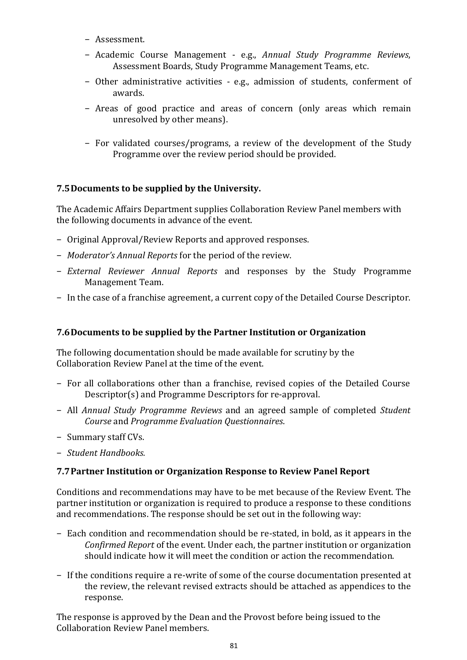- − Assessment.
- − Academic Course Management e.g., *Annual Study Programme Reviews*, Assessment Boards, Study Programme Management Teams, etc.
- − Other administrative activities e.g., admission of students, conferment of awards.
- − Areas of good practice and areas of concern (only areas which remain unresolved by other means).
- − For validated courses/programs, a review of the development of the Study Programme over the review period should be provided.

### **7.5Documents to be supplied by the University.**

The Academic Affairs Department supplies Collaboration Review Panel members with the following documents in advance of the event.

- − Original Approval/Review Reports and approved responses.
- − *Moderator's Annual Reports* for the period of the review.
- − *External Reviewer Annual Reports* and responses by the Study Programme Management Team.
- − In the case of a franchise agreement, a current copy of the Detailed Course Descriptor.

## **7.6Documents to be supplied by the Partner Institution or Organization**

The following documentation should be made available for scrutiny by the Collaboration Review Panel at the time of the event.

- − For all collaborations other than a franchise, revised copies of the Detailed Course Descriptor(s) and Programme Descriptors for re-approval.
- − All *Annual Study Programme Reviews* and an agreed sample of completed *Student Course* and *Programme Evaluation Questionnaires*.
- − Summary staff CVs.
- − *Student Handbooks.*

### **7.7Partner Institution or Organization Response to Review Panel Report**

Conditions and recommendations may have to be met because of the Review Event. The partner institution or organization is required to produce a response to these conditions and recommendations. The response should be set out in the following way:

- − Each condition and recommendation should be re-stated, in bold, as it appears in the *Confirmed Report* of the event. Under each, the partner institution or organization should indicate how it will meet the condition or action the recommendation.
- − If the conditions require a re-write of some of the course documentation presented at the review, the relevant revised extracts should be attached as appendices to the response.

The response is approved by the Dean and the Provost before being issued to the Collaboration Review Panel members.